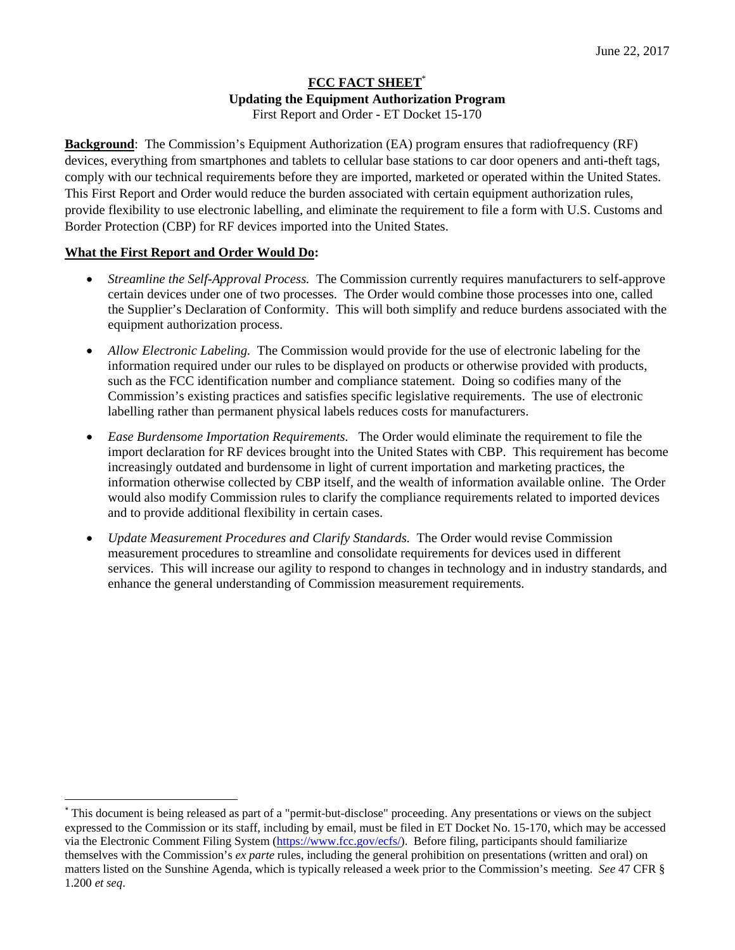# **FCC FACT SHEET**\* **Updating the Equipment Authorization Program**  First Report and Order - ET Docket 15-170

**Background**: The Commission's Equipment Authorization (EA) program ensures that radiofrequency (RF) devices, everything from smartphones and tablets to cellular base stations to car door openers and anti-theft tags, comply with our technical requirements before they are imported, marketed or operated within the United States. This First Report and Order would reduce the burden associated with certain equipment authorization rules, provide flexibility to use electronic labelling, and eliminate the requirement to file a form with U.S. Customs and Border Protection (CBP) for RF devices imported into the United States.

# **What the First Report and Order Would Do:**

- *Streamline the Self-Approval Process.* The Commission currently requires manufacturers to self-approve certain devices under one of two processes. The Order would combine those processes into one, called the Supplier's Declaration of Conformity. This will both simplify and reduce burdens associated with the equipment authorization process.
- *Allow Electronic Labeling.* The Commission would provide for the use of electronic labeling for the information required under our rules to be displayed on products or otherwise provided with products, such as the FCC identification number and compliance statement. Doing so codifies many of the Commission's existing practices and satisfies specific legislative requirements. The use of electronic labelling rather than permanent physical labels reduces costs for manufacturers.
- *Ease Burdensome Importation Requirements.* The Order would eliminate the requirement to file the import declaration for RF devices brought into the United States with CBP. This requirement has become increasingly outdated and burdensome in light of current importation and marketing practices, the information otherwise collected by CBP itself, and the wealth of information available online. The Order would also modify Commission rules to clarify the compliance requirements related to imported devices and to provide additional flexibility in certain cases.
- *Update Measurement Procedures and Clarify Standards.* The Order would revise Commission measurement procedures to streamline and consolidate requirements for devices used in different services. This will increase our agility to respond to changes in technology and in industry standards, and enhance the general understanding of Commission measurement requirements.

<sup>\*</sup> This document is being released as part of a "permit-but-disclose" proceeding. Any presentations or views on the subject expressed to the Commission or its staff, including by email, must be filed in ET Docket No. 15-170, which may be accessed via the Electronic Comment Filing System (https://www.fcc.gov/ecfs/). Before filing, participants should familiarize themselves with the Commission's *ex parte* rules, including the general prohibition on presentations (written and oral) on matters listed on the Sunshine Agenda, which is typically released a week prior to the Commission's meeting. *See* 47 CFR § 1.200 *et seq*.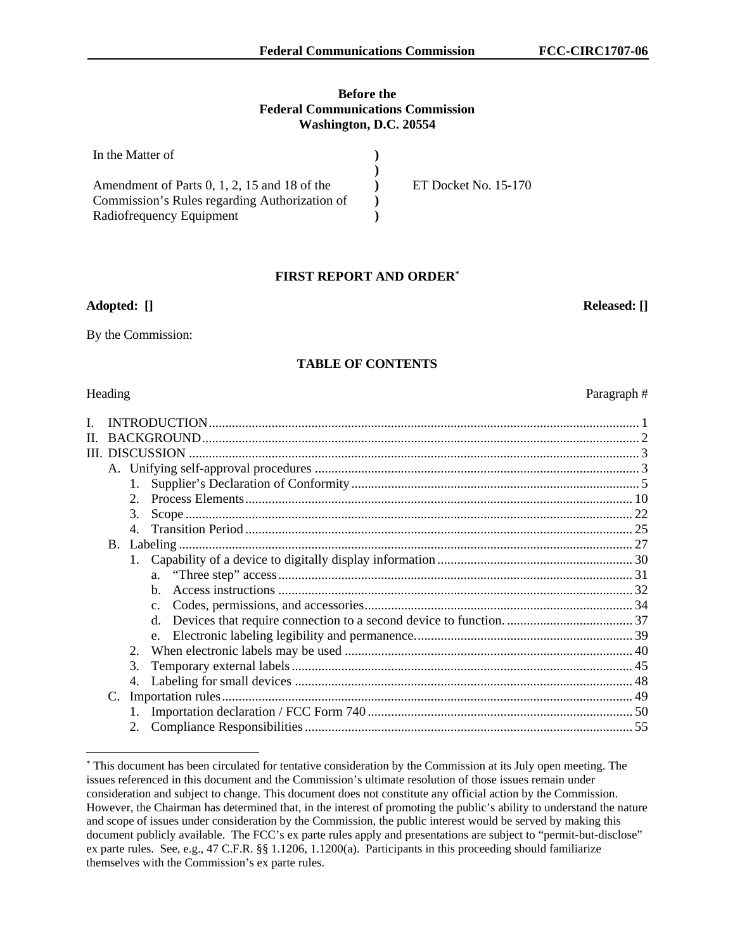## **Before the Federal Communications Commission Washington, D.C. 20554**

| In the Matter of                               |                      |
|------------------------------------------------|----------------------|
|                                                |                      |
| Amendment of Parts $0, 1, 2, 15$ and 18 of the | ET Docket No. 15-170 |
| Commission's Rules regarding Authorization of  |                      |
| Radiofrequency Equipment                       |                      |

## **FIRST REPORT AND ORDER\***

#### **Adopted: [] Released: []**

By the Commission:

#### **TABLE OF CONTENTS**

-

| II. |    |              |                 |  |
|-----|----|--------------|-----------------|--|
|     |    |              | III. DISCUSSION |  |
|     |    |              |                 |  |
|     |    | $1_{\cdots}$ |                 |  |
|     |    | 2.           |                 |  |
|     |    | 3.           |                 |  |
|     |    |              |                 |  |
|     |    |              |                 |  |
|     |    |              |                 |  |
|     |    |              |                 |  |
|     |    |              |                 |  |
|     |    |              |                 |  |
|     |    |              |                 |  |
|     |    |              |                 |  |
|     |    | 2.           |                 |  |
|     |    | 3.           |                 |  |
|     |    | 4.           |                 |  |
|     | C. |              |                 |  |
|     |    |              |                 |  |
|     |    | 2.           |                 |  |
|     |    |              |                 |  |

#### \* This document has been circulated for tentative consideration by the Commission at its July open meeting. The issues referenced in this document and the Commission's ultimate resolution of those issues remain under consideration and subject to change. This document does not constitute any official action by the Commission. However, the Chairman has determined that, in the interest of promoting the public's ability to understand the nature and scope of issues under consideration by the Commission, the public interest would be served by making this document publicly available. The FCC's ex parte rules apply and presentations are subject to "permit-but-disclose" ex parte rules. See, e.g., 47 C.F.R. §§ 1.1206, 1.1200(a). Participants in this proceeding should familiarize themselves with the Commission's ex parte rules.

Heading Paragraph #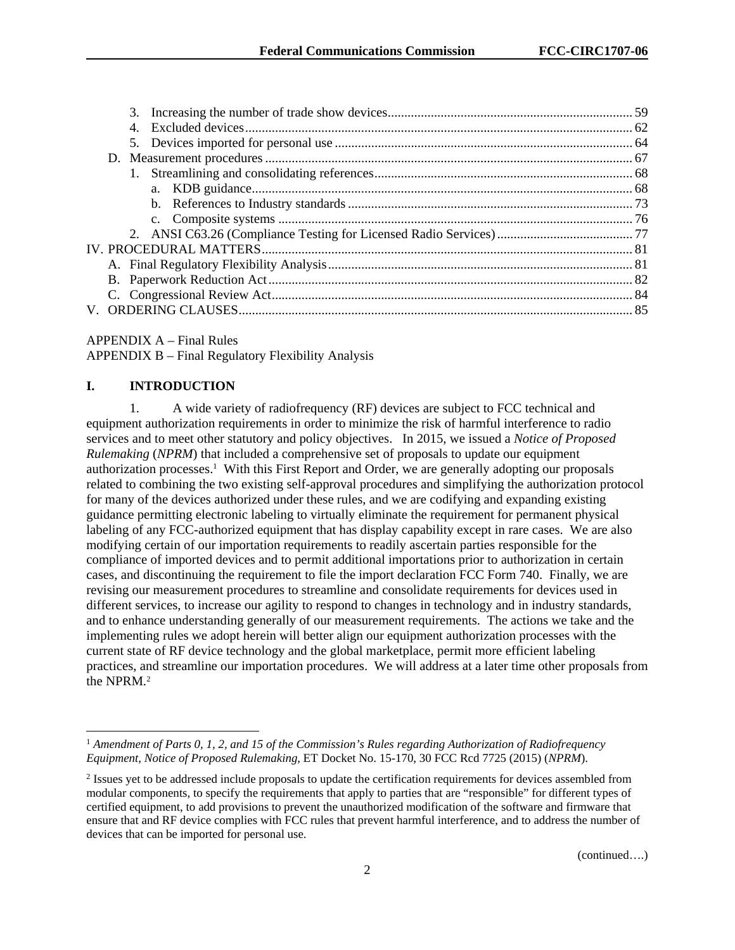| 4. |  |
|----|--|
|    |  |
|    |  |
|    |  |
|    |  |
|    |  |
|    |  |
|    |  |
|    |  |
|    |  |
|    |  |
|    |  |
|    |  |
|    |  |

## APPENDIX A – Final Rules

APPENDIX B – Final Regulatory Flexibility Analysis

## **I. INTRODUCTION**

l

1. A wide variety of radiofrequency (RF) devices are subject to FCC technical and equipment authorization requirements in order to minimize the risk of harmful interference to radio services and to meet other statutory and policy objectives. In 2015, we issued a *Notice of Proposed Rulemaking* (*NPRM*) that included a comprehensive set of proposals to update our equipment authorization processes.<sup>1</sup> With this First Report and Order, we are generally adopting our proposals related to combining the two existing self-approval procedures and simplifying the authorization protocol for many of the devices authorized under these rules, and we are codifying and expanding existing guidance permitting electronic labeling to virtually eliminate the requirement for permanent physical labeling of any FCC-authorized equipment that has display capability except in rare cases. We are also modifying certain of our importation requirements to readily ascertain parties responsible for the compliance of imported devices and to permit additional importations prior to authorization in certain cases, and discontinuing the requirement to file the import declaration FCC Form 740. Finally, we are revising our measurement procedures to streamline and consolidate requirements for devices used in different services, to increase our agility to respond to changes in technology and in industry standards, and to enhance understanding generally of our measurement requirements. The actions we take and the implementing rules we adopt herein will better align our equipment authorization processes with the current state of RF device technology and the global marketplace, permit more efficient labeling practices, and streamline our importation procedures. We will address at a later time other proposals from the NPRM.2

<sup>1</sup> *Amendment of Parts 0, 1, 2, and 15 of the Commission's Rules regarding Authorization of Radiofrequency Equipment, Notice of Proposed Rulemaking*, ET Docket No. 15-170, 30 FCC Rcd 7725 (2015) (*NPRM*).

 $2$  Issues yet to be addressed include proposals to update the certification requirements for devices assembled from modular components, to specify the requirements that apply to parties that are "responsible" for different types of certified equipment, to add provisions to prevent the unauthorized modification of the software and firmware that ensure that and RF device complies with FCC rules that prevent harmful interference, and to address the number of devices that can be imported for personal use.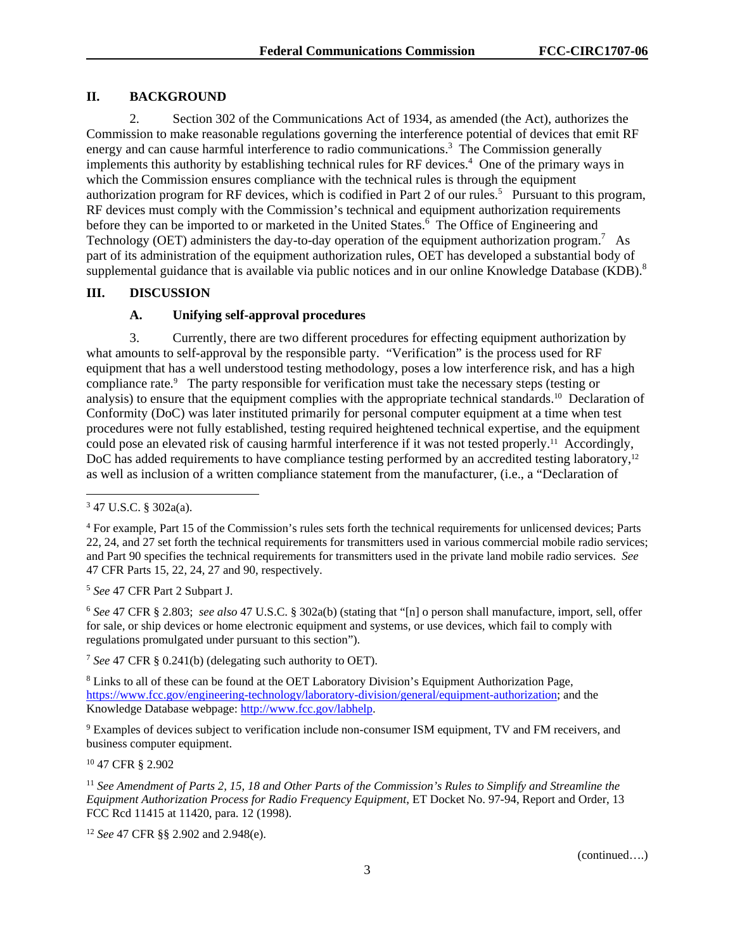## **II. BACKGROUND**

2. Section 302 of the Communications Act of 1934, as amended (the Act), authorizes the Commission to make reasonable regulations governing the interference potential of devices that emit RF energy and can cause harmful interference to radio communications.<sup>3</sup> The Commission generally implements this authority by establishing technical rules for RF devices.<sup>4</sup> One of the primary ways in which the Commission ensures compliance with the technical rules is through the equipment authorization program for RF devices, which is codified in Part 2 of our rules.<sup>5</sup> Pursuant to this program, RF devices must comply with the Commission's technical and equipment authorization requirements before they can be imported to or marketed in the United States.<sup>6</sup> The Office of Engineering and Technology (OET) administers the day-to-day operation of the equipment authorization program.<sup>7</sup> As part of its administration of the equipment authorization rules, OET has developed a substantial body of supplemental guidance that is available via public notices and in our online Knowledge Database (KDB).<sup>8</sup>

## **III. DISCUSSION**

## **A. Unifying self-approval procedures**

3. Currently, there are two different procedures for effecting equipment authorization by what amounts to self-approval by the responsible party. "Verification" is the process used for RF equipment that has a well understood testing methodology, poses a low interference risk, and has a high compliance rate.<sup>9</sup> The party responsible for verification must take the necessary steps (testing or analysis) to ensure that the equipment complies with the appropriate technical standards.10 Declaration of Conformity (DoC) was later instituted primarily for personal computer equipment at a time when test procedures were not fully established, testing required heightened technical expertise, and the equipment could pose an elevated risk of causing harmful interference if it was not tested properly.11 Accordingly, DoC has added requirements to have compliance testing performed by an accredited testing laboratory,<sup>12</sup> as well as inclusion of a written compliance statement from the manufacturer, (i.e., a "Declaration of

1

<sup>5</sup> *See* 47 CFR Part 2 Subpart J.

<sup>6</sup> *See* 47 CFR § 2.803; *see also* 47 U.S.C. § 302a(b) (stating that "[n] o person shall manufacture, import, sell, offer for sale, or ship devices or home electronic equipment and systems, or use devices, which fail to comply with regulations promulgated under pursuant to this section").

<sup>7</sup> *See* 47 CFR § 0.241(b) (delegating such authority to OET).

<sup>8</sup> Links to all of these can be found at the OET Laboratory Division's Equipment Authorization Page, https://www.fcc.gov/engineering-technology/laboratory-division/general/equipment-authorization; and the Knowledge Database webpage: http://www.fcc.gov/labhelp.

<sup>9</sup> Examples of devices subject to verification include non-consumer ISM equipment, TV and FM receivers, and business computer equipment.

10 47 CFR § 2.902

<sup>11</sup> *See Amendment of Parts 2, 15, 18 and Other Parts of the Commission's Rules to Simplify and Streamline the Equipment Authorization Process for Radio Frequency Equipment*, ET Docket No. 97-94, Report and Order, 13 FCC Rcd 11415 at 11420, para. 12 (1998).

<sup>12</sup> *See* 47 CFR §§ 2.902 and 2.948(e).

 $347$  U.S.C. § 302a(a).

<sup>&</sup>lt;sup>4</sup> For example, Part 15 of the Commission's rules sets forth the technical requirements for unlicensed devices; Parts 22, 24, and 27 set forth the technical requirements for transmitters used in various commercial mobile radio services; and Part 90 specifies the technical requirements for transmitters used in the private land mobile radio services. *See* 47 CFR Parts 15, 22, 24, 27 and 90, respectively.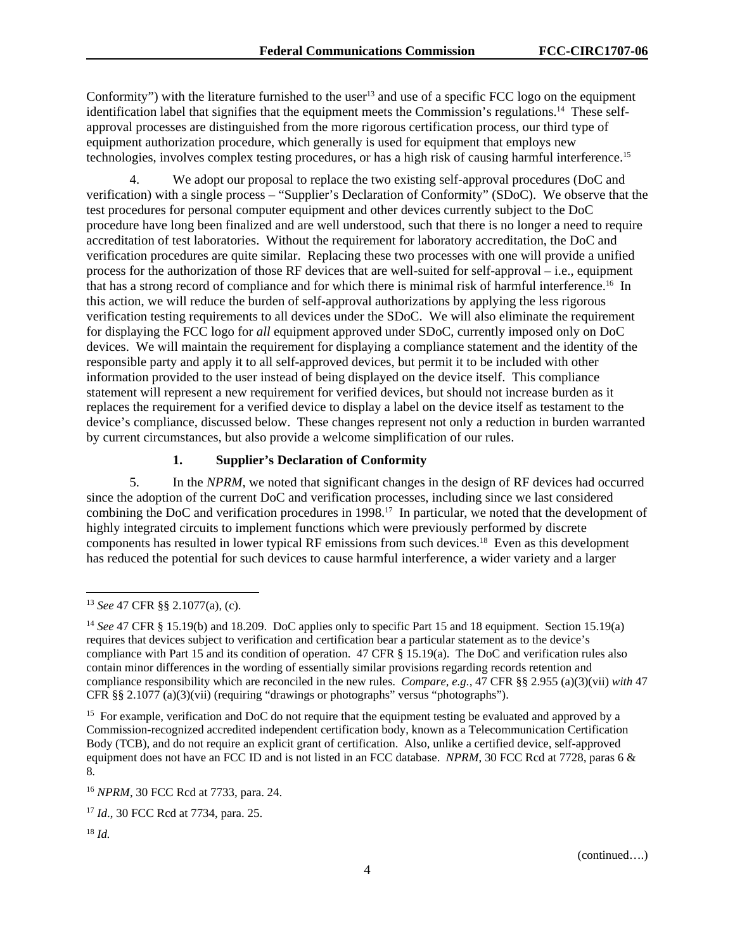Conformity") with the literature furnished to the user<sup>13</sup> and use of a specific FCC logo on the equipment identification label that signifies that the equipment meets the Commission's regulations.14 These selfapproval processes are distinguished from the more rigorous certification process, our third type of equipment authorization procedure, which generally is used for equipment that employs new technologies, involves complex testing procedures, or has a high risk of causing harmful interference.15

4. We adopt our proposal to replace the two existing self-approval procedures (DoC and verification) with a single process – "Supplier's Declaration of Conformity" (SDoC). We observe that the test procedures for personal computer equipment and other devices currently subject to the DoC procedure have long been finalized and are well understood, such that there is no longer a need to require accreditation of test laboratories. Without the requirement for laboratory accreditation, the DoC and verification procedures are quite similar. Replacing these two processes with one will provide a unified process for the authorization of those RF devices that are well-suited for self-approval – i.e., equipment that has a strong record of compliance and for which there is minimal risk of harmful interference.16 In this action, we will reduce the burden of self-approval authorizations by applying the less rigorous verification testing requirements to all devices under the SDoC. We will also eliminate the requirement for displaying the FCC logo for *all* equipment approved under SDoC, currently imposed only on DoC devices. We will maintain the requirement for displaying a compliance statement and the identity of the responsible party and apply it to all self-approved devices, but permit it to be included with other information provided to the user instead of being displayed on the device itself. This compliance statement will represent a new requirement for verified devices, but should not increase burden as it replaces the requirement for a verified device to display a label on the device itself as testament to the device's compliance, discussed below. These changes represent not only a reduction in burden warranted by current circumstances, but also provide a welcome simplification of our rules.

## **1. Supplier's Declaration of Conformity**

5. In the *NPRM*, we noted that significant changes in the design of RF devices had occurred since the adoption of the current DoC and verification processes, including since we last considered combining the DoC and verification procedures in 1998.<sup>17</sup> In particular, we noted that the development of highly integrated circuits to implement functions which were previously performed by discrete components has resulted in lower typical RF emissions from such devices.18 Even as this development has reduced the potential for such devices to cause harmful interference, a wider variety and a larger

l

<sup>13</sup> *See* 47 CFR §§ 2.1077(a), (c).

<sup>14</sup> *See* 47 CFR § 15.19(b) and 18.209. DoC applies only to specific Part 15 and 18 equipment. Section 15.19(a) requires that devices subject to verification and certification bear a particular statement as to the device's compliance with Part 15 and its condition of operation. 47 CFR § 15.19(a). The DoC and verification rules also contain minor differences in the wording of essentially similar provisions regarding records retention and compliance responsibility which are reconciled in the new rules. *Compare, e.g.,* 47 CFR §§ 2.955 (a)(3)(vii) *with* 47 CFR §§ 2.1077 (a)(3)(vii) (requiring "drawings or photographs" versus "photographs").

<sup>&</sup>lt;sup>15</sup> For example, verification and DoC do not require that the equipment testing be evaluated and approved by a Commission-recognized accredited independent certification body, known as a Telecommunication Certification Body (TCB), and do not require an explicit grant of certification. Also, unlike a certified device, self-approved equipment does not have an FCC ID and is not listed in an FCC database. *NPRM*, 30 FCC Rcd at 7728, paras 6 & 8*.*

<sup>16</sup> *NPRM*, 30 FCC Rcd at 7733, para. 24.

<sup>17</sup> *Id*., 30 FCC Rcd at 7734, para. 25.

<sup>18</sup> *Id.*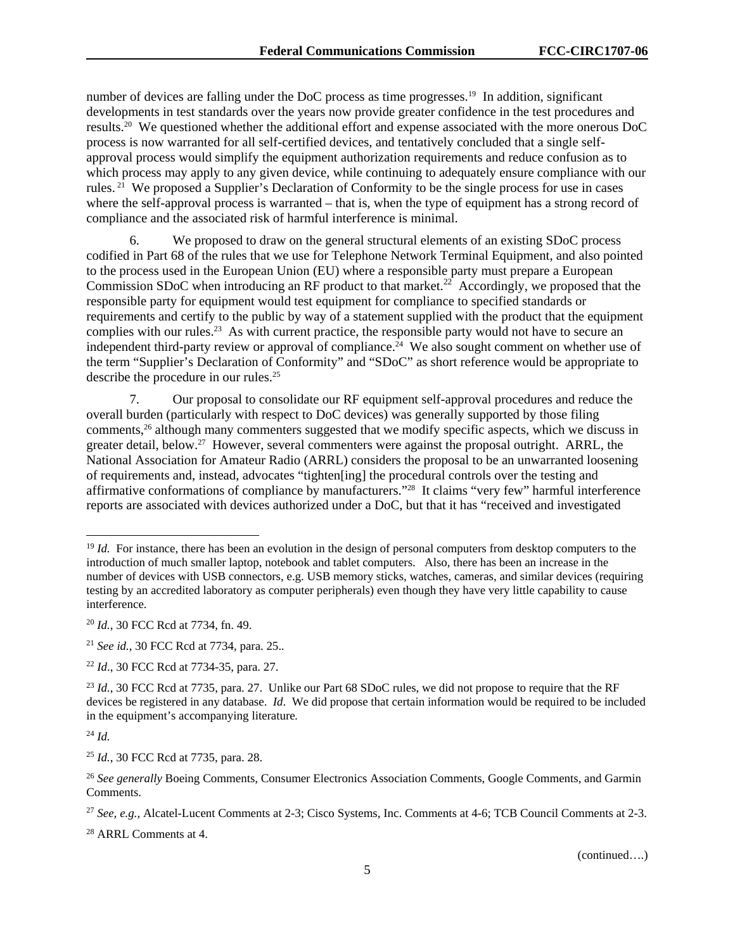number of devices are falling under the DoC process as time progresses.<sup>19</sup> In addition, significant developments in test standards over the years now provide greater confidence in the test procedures and results.20 We questioned whether the additional effort and expense associated with the more onerous DoC process is now warranted for all self-certified devices, and tentatively concluded that a single selfapproval process would simplify the equipment authorization requirements and reduce confusion as to which process may apply to any given device, while continuing to adequately ensure compliance with our rules. 21 We proposed a Supplier's Declaration of Conformity to be the single process for use in cases where the self-approval process is warranted – that is, when the type of equipment has a strong record of compliance and the associated risk of harmful interference is minimal.

6. We proposed to draw on the general structural elements of an existing SDoC process codified in Part 68 of the rules that we use for Telephone Network Terminal Equipment, and also pointed to the process used in the European Union (EU) where a responsible party must prepare a European Commission SDoC when introducing an RF product to that market.<sup>22</sup> Accordingly, we proposed that the responsible party for equipment would test equipment for compliance to specified standards or requirements and certify to the public by way of a statement supplied with the product that the equipment complies with our rules.<sup>23</sup> As with current practice, the responsible party would not have to secure an independent third-party review or approval of compliance.<sup>24</sup> We also sought comment on whether use of the term "Supplier's Declaration of Conformity" and "SDoC" as short reference would be appropriate to describe the procedure in our rules.<sup>25</sup>

7. Our proposal to consolidate our RF equipment self-approval procedures and reduce the overall burden (particularly with respect to DoC devices) was generally supported by those filing comments,26 although many commenters suggested that we modify specific aspects, which we discuss in greater detail, below.27 However, several commenters were against the proposal outright. ARRL, the National Association for Amateur Radio (ARRL) considers the proposal to be an unwarranted loosening of requirements and, instead, advocates "tighten[ing] the procedural controls over the testing and affirmative conformations of compliance by manufacturers."28 It claims "very few" harmful interference reports are associated with devices authorized under a DoC, but that it has "received and investigated

<sup>24</sup> *Id.* 

1

<sup>&</sup>lt;sup>19</sup> *Id.* For instance, there has been an evolution in the design of personal computers from desktop computers to the introduction of much smaller laptop, notebook and tablet computers. Also, there has been an increase in the number of devices with USB connectors, e.g. USB memory sticks, watches, cameras, and similar devices (requiring testing by an accredited laboratory as computer peripherals) even though they have very little capability to cause interference.

<sup>20</sup> *Id.*, 30 FCC Rcd at 7734, fn. 49.

<sup>21</sup> *See id.*, 30 FCC Rcd at 7734, para. 25.*.*

<sup>22</sup> *Id*., 30 FCC Rcd at 7734-35, para. 27.

<sup>&</sup>lt;sup>23</sup> *Id.*, 30 FCC Rcd at 7735, para. 27. Unlike our Part 68 SDoC rules, we did not propose to require that the RF devices be registered in any database. *Id*. We did propose that certain information would be required to be included in the equipment's accompanying literature*.* 

<sup>25</sup> *Id.*, 30 FCC Rcd at 7735, para. 28.

<sup>26</sup> *See generally* Boeing Comments, Consumer Electronics Association Comments, Google Comments, and Garmin Comments.

<sup>27</sup> *See, e.g.*, Alcatel-Lucent Comments at 2-3; Cisco Systems, Inc. Comments at 4-6; TCB Council Comments at 2-3.

<sup>28</sup> ARRL Comments at 4.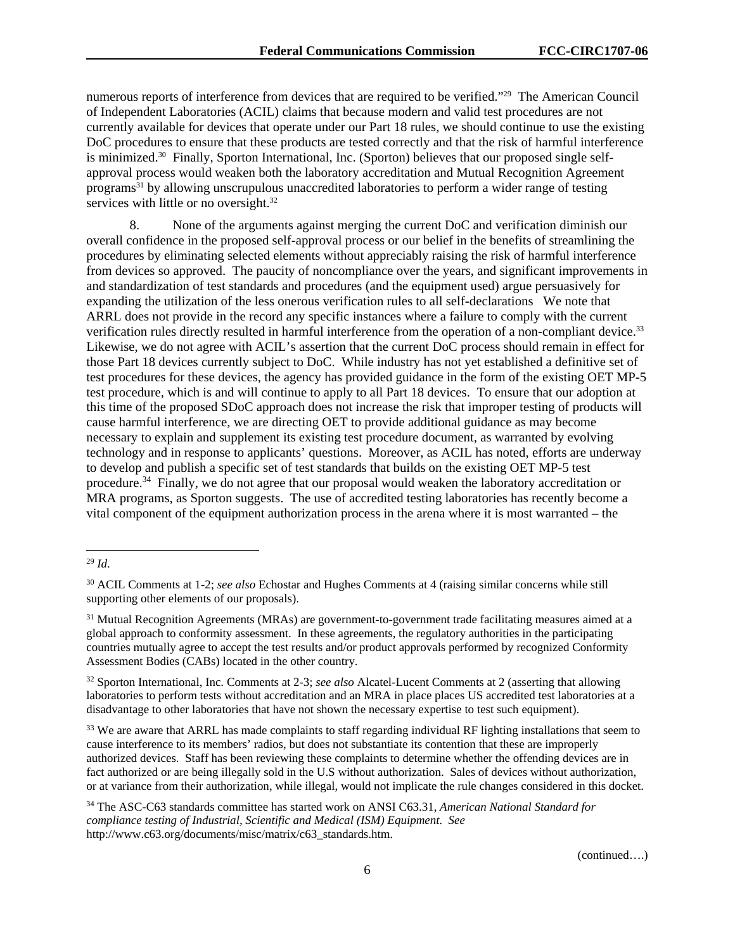numerous reports of interference from devices that are required to be verified."29 The American Council of Independent Laboratories (ACIL) claims that because modern and valid test procedures are not currently available for devices that operate under our Part 18 rules, we should continue to use the existing DoC procedures to ensure that these products are tested correctly and that the risk of harmful interference is minimized.30 Finally, Sporton International, Inc. (Sporton) believes that our proposed single selfapproval process would weaken both the laboratory accreditation and Mutual Recognition Agreement programs31 by allowing unscrupulous unaccredited laboratories to perform a wider range of testing services with little or no oversight.<sup>32</sup>

8. None of the arguments against merging the current DoC and verification diminish our overall confidence in the proposed self-approval process or our belief in the benefits of streamlining the procedures by eliminating selected elements without appreciably raising the risk of harmful interference from devices so approved. The paucity of noncompliance over the years, and significant improvements in and standardization of test standards and procedures (and the equipment used) argue persuasively for expanding the utilization of the less onerous verification rules to all self-declarations We note that ARRL does not provide in the record any specific instances where a failure to comply with the current verification rules directly resulted in harmful interference from the operation of a non-compliant device.33 Likewise, we do not agree with ACIL's assertion that the current DoC process should remain in effect for those Part 18 devices currently subject to DoC. While industry has not yet established a definitive set of test procedures for these devices, the agency has provided guidance in the form of the existing OET MP-5 test procedure, which is and will continue to apply to all Part 18 devices. To ensure that our adoption at this time of the proposed SDoC approach does not increase the risk that improper testing of products will cause harmful interference, we are directing OET to provide additional guidance as may become necessary to explain and supplement its existing test procedure document, as warranted by evolving technology and in response to applicants' questions. Moreover, as ACIL has noted, efforts are underway to develop and publish a specific set of test standards that builds on the existing OET MP-5 test procedure.34 Finally, we do not agree that our proposal would weaken the laboratory accreditation or MRA programs, as Sporton suggests. The use of accredited testing laboratories has recently become a vital component of the equipment authorization process in the arena where it is most warranted – the

l

<sup>29</sup> *Id*.

<sup>30</sup> ACIL Comments at 1-2; *see also* Echostar and Hughes Comments at 4 (raising similar concerns while still supporting other elements of our proposals).

 $31$  Mutual Recognition Agreements (MRAs) are government-to-government trade facilitating measures aimed at a global approach to conformity assessment. In these agreements, the regulatory authorities in the participating countries mutually agree to accept the test results and/or product approvals performed by recognized Conformity Assessment Bodies (CABs) located in the other country.

<sup>32</sup> Sporton International, Inc. Comments at 2-3; *see also* Alcatel-Lucent Comments at 2 (asserting that allowing laboratories to perform tests without accreditation and an MRA in place places US accredited test laboratories at a disadvantage to other laboratories that have not shown the necessary expertise to test such equipment).

<sup>&</sup>lt;sup>33</sup> We are aware that ARRL has made complaints to staff regarding individual RF lighting installations that seem to cause interference to its members' radios, but does not substantiate its contention that these are improperly authorized devices. Staff has been reviewing these complaints to determine whether the offending devices are in fact authorized or are being illegally sold in the U.S without authorization. Sales of devices without authorization, or at variance from their authorization, while illegal, would not implicate the rule changes considered in this docket.

<sup>34</sup> The ASC-C63 standards committee has started work on ANSI C63.31, *American National Standard for compliance testing of Industrial, Scientific and Medical (ISM) Equipment*. *See* http://www.c63.org/documents/misc/matrix/c63\_standards.htm.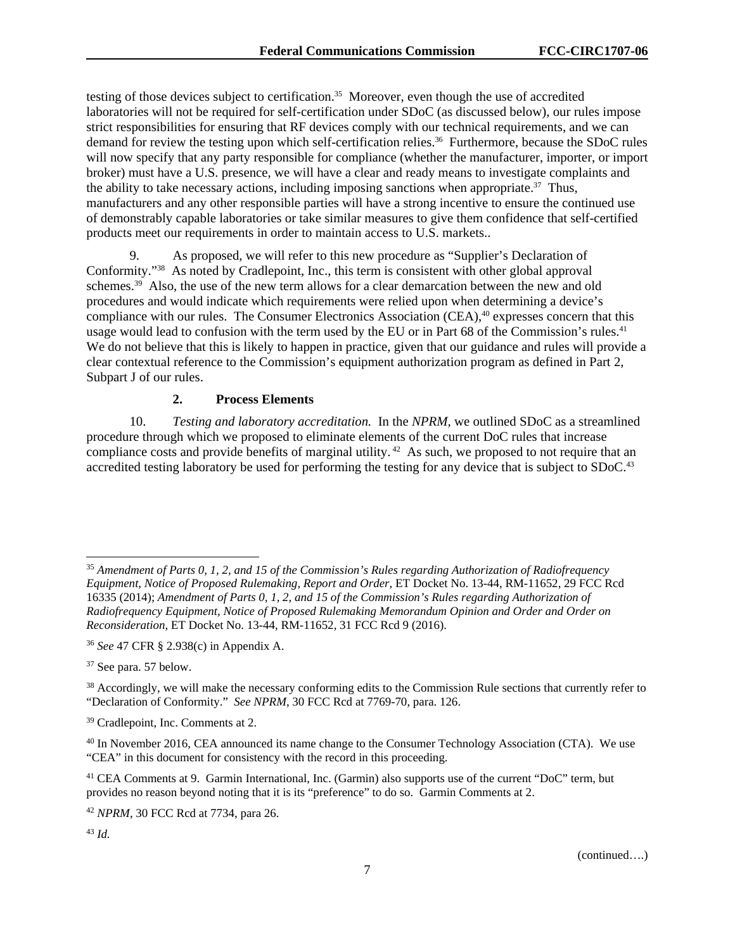testing of those devices subject to certification.<sup>35</sup> Moreover, even though the use of accredited laboratories will not be required for self-certification under SDoC (as discussed below), our rules impose strict responsibilities for ensuring that RF devices comply with our technical requirements, and we can demand for review the testing upon which self-certification relies.<sup>36</sup> Furthermore, because the SDoC rules will now specify that any party responsible for compliance (whether the manufacturer, importer, or import broker) must have a U.S. presence, we will have a clear and ready means to investigate complaints and the ability to take necessary actions, including imposing sanctions when appropriate.<sup>37</sup> Thus, manufacturers and any other responsible parties will have a strong incentive to ensure the continued use of demonstrably capable laboratories or take similar measures to give them confidence that self-certified products meet our requirements in order to maintain access to U.S. markets..

9. As proposed, we will refer to this new procedure as "Supplier's Declaration of Conformity."38 As noted by Cradlepoint, Inc., this term is consistent with other global approval schemes.<sup>39</sup> Also, the use of the new term allows for a clear demarcation between the new and old procedures and would indicate which requirements were relied upon when determining a device's compliance with our rules. The Consumer Electronics Association (CEA),<sup>40</sup> expresses concern that this usage would lead to confusion with the term used by the EU or in Part 68 of the Commission's rules.<sup>41</sup> We do not believe that this is likely to happen in practice, given that our guidance and rules will provide a clear contextual reference to the Commission's equipment authorization program as defined in Part 2, Subpart J of our rules.

## **2. Process Elements**

10. *Testing and laboratory accreditation.* In the *NPRM,* we outlined SDoC as a streamlined procedure through which we proposed to eliminate elements of the current DoC rules that increase compliance costs and provide benefits of marginal utility.<sup>42</sup> As such, we proposed to not require that an accredited testing laboratory be used for performing the testing for any device that is subject to SDoC.<sup>43</sup>

1

<sup>35</sup> *Amendment of Parts 0, 1, 2, and 15 of the Commission's Rules regarding Authorization of Radiofrequency Equipment, Notice of Proposed Rulemaking, Report and Order*, ET Docket No. 13-44, RM-11652, 29 FCC Rcd 16335 (2014); *Amendment of Parts 0, 1, 2, and 15 of the Commission's Rules regarding Authorization of Radiofrequency Equipment, Notice of Proposed Rulemaking Memorandum Opinion and Order and Order on Reconsideration*, ET Docket No. 13-44, RM-11652, 31 FCC Rcd 9 (2016).

<sup>36</sup> *See* 47 CFR § 2.938(c) in Appendix A.

<sup>37</sup> See para. 57 below.

<sup>&</sup>lt;sup>38</sup> Accordingly, we will make the necessary conforming edits to the Commission Rule sections that currently refer to "Declaration of Conformity." *See NPRM*, 30 FCC Rcd at 7769-70, para. 126.

<sup>39</sup> Cradlepoint, Inc. Comments at 2.

<sup>40</sup> In November 2016, CEA announced its name change to the Consumer Technology Association (CTA). We use "CEA" in this document for consistency with the record in this proceeding.

<sup>41</sup> CEA Comments at 9. Garmin International, Inc. (Garmin) also supports use of the current "DoC" term, but provides no reason beyond noting that it is its "preference" to do so. Garmin Comments at 2.

<sup>42</sup> *NPRM*, 30 FCC Rcd at 7734, para 26.

<sup>43</sup> *Id.*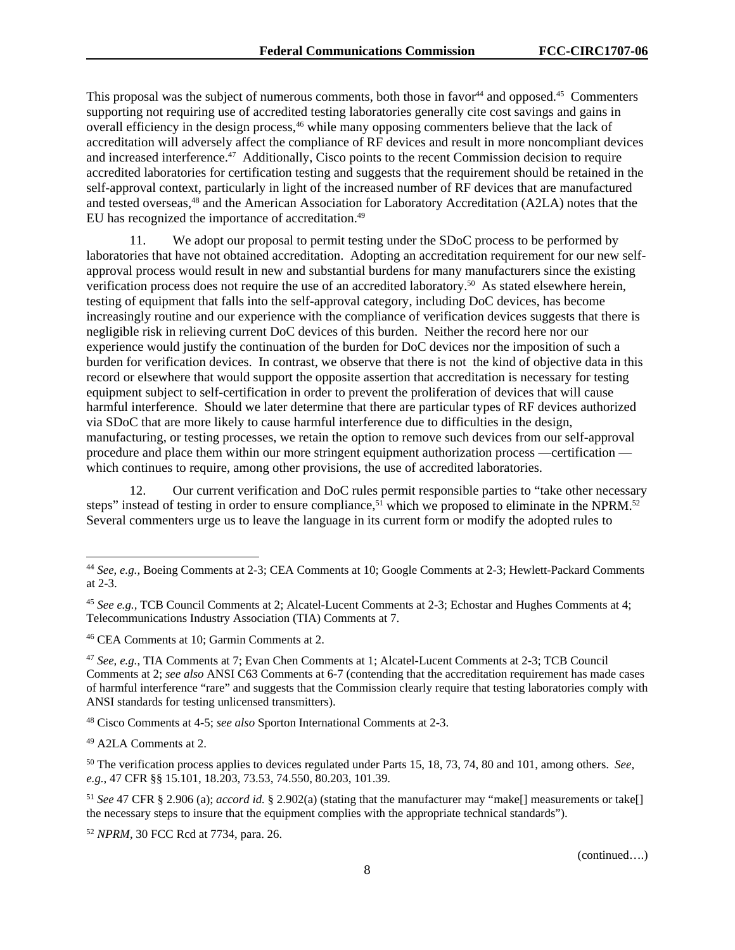This proposal was the subject of numerous comments, both those in favor<sup>44</sup> and opposed.<sup>45</sup> Commenters supporting not requiring use of accredited testing laboratories generally cite cost savings and gains in overall efficiency in the design process,<sup>46</sup> while many opposing commenters believe that the lack of accreditation will adversely affect the compliance of RF devices and result in more noncompliant devices and increased interference.<sup>47</sup> Additionally, Cisco points to the recent Commission decision to require accredited laboratories for certification testing and suggests that the requirement should be retained in the self-approval context, particularly in light of the increased number of RF devices that are manufactured and tested overseas,48 and the American Association for Laboratory Accreditation (A2LA) notes that the EU has recognized the importance of accreditation.<sup>49</sup>

11. We adopt our proposal to permit testing under the SDoC process to be performed by laboratories that have not obtained accreditation. Adopting an accreditation requirement for our new selfapproval process would result in new and substantial burdens for many manufacturers since the existing verification process does not require the use of an accredited laboratory.<sup>50</sup> As stated elsewhere herein, testing of equipment that falls into the self-approval category, including DoC devices, has become increasingly routine and our experience with the compliance of verification devices suggests that there is negligible risk in relieving current DoC devices of this burden. Neither the record here nor our experience would justify the continuation of the burden for DoC devices nor the imposition of such a burden for verification devices. In contrast, we observe that there is not the kind of objective data in this record or elsewhere that would support the opposite assertion that accreditation is necessary for testing equipment subject to self-certification in order to prevent the proliferation of devices that will cause harmful interference. Should we later determine that there are particular types of RF devices authorized via SDoC that are more likely to cause harmful interference due to difficulties in the design, manufacturing, or testing processes, we retain the option to remove such devices from our self-approval procedure and place them within our more stringent equipment authorization process —certification which continues to require, among other provisions, the use of accredited laboratories.

12. Our current verification and DoC rules permit responsible parties to "take other necessary steps" instead of testing in order to ensure compliance,<sup>51</sup> which we proposed to eliminate in the NPRM.<sup>52</sup> Several commenters urge us to leave the language in its current form or modify the adopted rules to

48 Cisco Comments at 4-5; *see also* Sporton International Comments at 2-3.

49 A2LA Comments at 2.

1

<sup>52</sup> *NPRM*, 30 FCC Rcd at 7734, para. 26.

<sup>44</sup> *See, e.g.,* Boeing Comments at 2-3; CEA Comments at 10; Google Comments at 2-3; Hewlett-Packard Comments at 2-3.

<sup>45</sup> *See e.g.,* TCB Council Comments at 2; Alcatel-Lucent Comments at 2-3; Echostar and Hughes Comments at 4; Telecommunications Industry Association (TIA) Comments at 7.

<sup>46</sup> CEA Comments at 10; Garmin Comments at 2.

<sup>47</sup> *See, e.g.*, TIA Comments at 7; Evan Chen Comments at 1; Alcatel-Lucent Comments at 2-3; TCB Council Comments at 2; *see also* ANSI C63 Comments at 6-7 (contending that the accreditation requirement has made cases of harmful interference "rare" and suggests that the Commission clearly require that testing laboratories comply with ANSI standards for testing unlicensed transmitters).

<sup>50</sup> The verification process applies to devices regulated under Parts 15, 18, 73, 74, 80 and 101, among others. *See, e.g.*, 47 CFR §§ 15.101, 18.203, 73.53, 74.550, 80.203, 101.39.

<sup>51</sup> *See* 47 CFR § 2.906 (a); *accord id.* § 2.902(a) (stating that the manufacturer may "make[] measurements or take[] the necessary steps to insure that the equipment complies with the appropriate technical standards").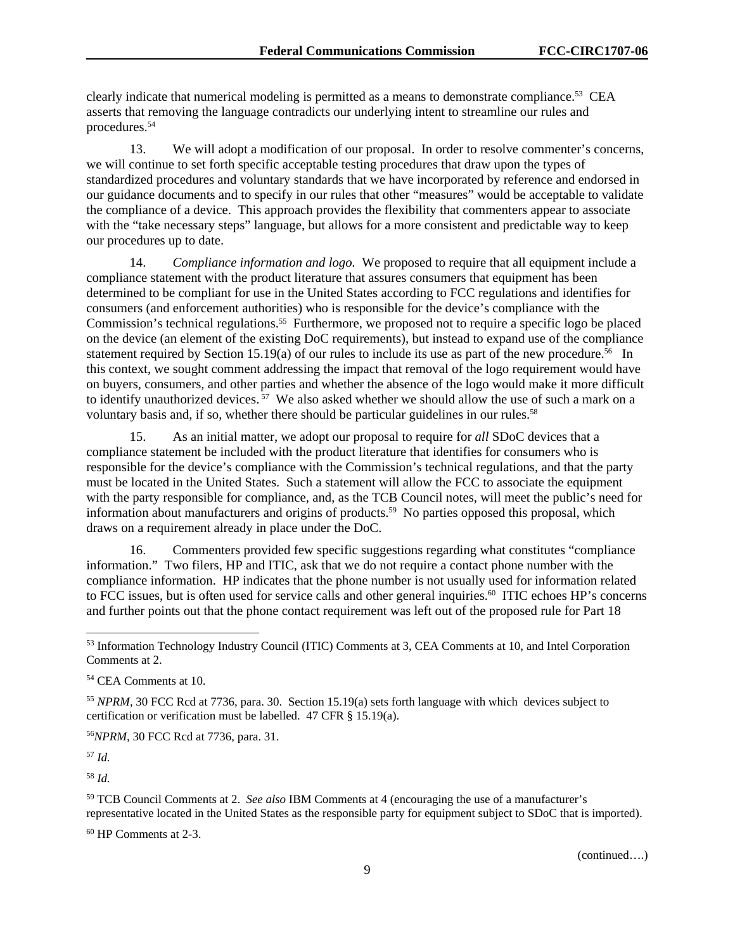clearly indicate that numerical modeling is permitted as a means to demonstrate compliance.53 CEA asserts that removing the language contradicts our underlying intent to streamline our rules and procedures.54

13. We will adopt a modification of our proposal. In order to resolve commenter's concerns, we will continue to set forth specific acceptable testing procedures that draw upon the types of standardized procedures and voluntary standards that we have incorporated by reference and endorsed in our guidance documents and to specify in our rules that other "measures" would be acceptable to validate the compliance of a device. This approach provides the flexibility that commenters appear to associate with the "take necessary steps" language, but allows for a more consistent and predictable way to keep our procedures up to date.

14. *Compliance information and logo.* We proposed to require that all equipment include a compliance statement with the product literature that assures consumers that equipment has been determined to be compliant for use in the United States according to FCC regulations and identifies for consumers (and enforcement authorities) who is responsible for the device's compliance with the Commission's technical regulations.<sup>55</sup> Furthermore, we proposed not to require a specific logo be placed on the device (an element of the existing DoC requirements), but instead to expand use of the compliance statement required by Section 15.19(a) of our rules to include its use as part of the new procedure.<sup>56</sup> In this context, we sought comment addressing the impact that removal of the logo requirement would have on buyers, consumers, and other parties and whether the absence of the logo would make it more difficult to identify unauthorized devices.<sup>57</sup> We also asked whether we should allow the use of such a mark on a voluntary basis and, if so, whether there should be particular guidelines in our rules.<sup>58</sup>

15. As an initial matter, we adopt our proposal to require for *all* SDoC devices that a compliance statement be included with the product literature that identifies for consumers who is responsible for the device's compliance with the Commission's technical regulations, and that the party must be located in the United States. Such a statement will allow the FCC to associate the equipment with the party responsible for compliance, and, as the TCB Council notes, will meet the public's need for information about manufacturers and origins of products.59 No parties opposed this proposal, which draws on a requirement already in place under the DoC.

16. Commenters provided few specific suggestions regarding what constitutes "compliance information." Two filers, HP and ITIC, ask that we do not require a contact phone number with the compliance information. HP indicates that the phone number is not usually used for information related to FCC issues, but is often used for service calls and other general inquiries.<sup>60</sup> ITIC echoes HP's concerns and further points out that the phone contact requirement was left out of the proposed rule for Part 18

<sup>55</sup> *NPRM*, 30 FCC Rcd at 7736, para. 30. Section 15.19(a) sets forth language with which devices subject to certification or verification must be labelled. 47 CFR § 15.19(a).

<sup>56</sup>*NPRM*, 30 FCC Rcd at 7736, para. 31.

<sup>57</sup> *Id.*

l

<sup>58</sup> *Id.* 

59 TCB Council Comments at 2. *See also* IBM Comments at 4 (encouraging the use of a manufacturer's representative located in the United States as the responsible party for equipment subject to SDoC that is imported).

60 HP Comments at 2-3.

<sup>53</sup> Information Technology Industry Council (ITIC) Comments at 3, CEA Comments at 10, and Intel Corporation Comments at 2.

<sup>54</sup> CEA Comments at 10.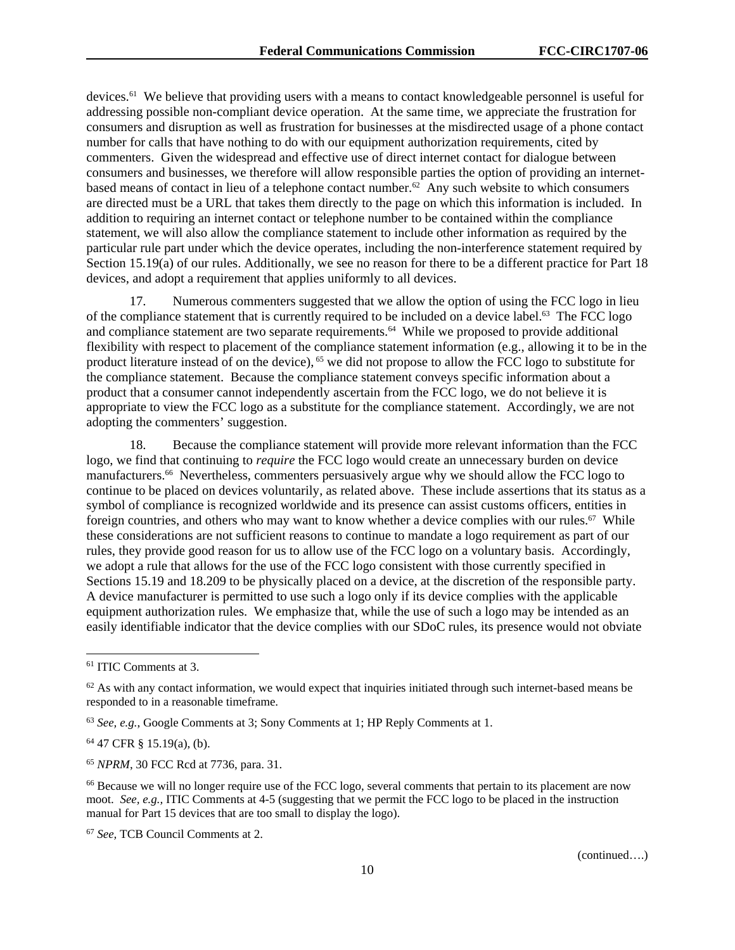devices.61 We believe that providing users with a means to contact knowledgeable personnel is useful for addressing possible non-compliant device operation. At the same time, we appreciate the frustration for consumers and disruption as well as frustration for businesses at the misdirected usage of a phone contact number for calls that have nothing to do with our equipment authorization requirements, cited by commenters. Given the widespread and effective use of direct internet contact for dialogue between consumers and businesses, we therefore will allow responsible parties the option of providing an internetbased means of contact in lieu of a telephone contact number.<sup>62</sup> Any such website to which consumers are directed must be a URL that takes them directly to the page on which this information is included. In addition to requiring an internet contact or telephone number to be contained within the compliance statement, we will also allow the compliance statement to include other information as required by the particular rule part under which the device operates, including the non-interference statement required by Section 15.19(a) of our rules. Additionally, we see no reason for there to be a different practice for Part 18 devices, and adopt a requirement that applies uniformly to all devices.

Numerous commenters suggested that we allow the option of using the FCC logo in lieu of the compliance statement that is currently required to be included on a device label.63 The FCC logo and compliance statement are two separate requirements.<sup>64</sup> While we proposed to provide additional flexibility with respect to placement of the compliance statement information (e.g., allowing it to be in the product literature instead of on the device), 65 we did not propose to allow the FCC logo to substitute for the compliance statement. Because the compliance statement conveys specific information about a product that a consumer cannot independently ascertain from the FCC logo, we do not believe it is appropriate to view the FCC logo as a substitute for the compliance statement. Accordingly, we are not adopting the commenters' suggestion.

18. Because the compliance statement will provide more relevant information than the FCC logo, we find that continuing to *require* the FCC logo would create an unnecessary burden on device manufacturers.66 Nevertheless, commenters persuasively argue why we should allow the FCC logo to continue to be placed on devices voluntarily, as related above. These include assertions that its status as a symbol of compliance is recognized worldwide and its presence can assist customs officers, entities in foreign countries, and others who may want to know whether a device complies with our rules.<sup>67</sup> While these considerations are not sufficient reasons to continue to mandate a logo requirement as part of our rules, they provide good reason for us to allow use of the FCC logo on a voluntary basis. Accordingly, we adopt a rule that allows for the use of the FCC logo consistent with those currently specified in Sections 15.19 and 18.209 to be physically placed on a device, at the discretion of the responsible party. A device manufacturer is permitted to use such a logo only if its device complies with the applicable equipment authorization rules. We emphasize that, while the use of such a logo may be intended as an easily identifiable indicator that the device complies with our SDoC rules, its presence would not obviate

1

<sup>61</sup> ITIC Comments at 3.

 $62$  As with any contact information, we would expect that inquiries initiated through such internet-based means be responded to in a reasonable timeframe.

<sup>63</sup> *See, e.g.*, Google Comments at 3; Sony Comments at 1; HP Reply Comments at 1.

<sup>64 47</sup> CFR § 15.19(a), (b).

<sup>65</sup> *NPRM*, 30 FCC Rcd at 7736, para. 31.

<sup>&</sup>lt;sup>66</sup> Because we will no longer require use of the FCC logo, several comments that pertain to its placement are now moot. *See, e.g.,* ITIC Comments at 4-5 (suggesting that we permit the FCC logo to be placed in the instruction manual for Part 15 devices that are too small to display the logo).

<sup>67</sup> *See,* TCB Council Comments at 2.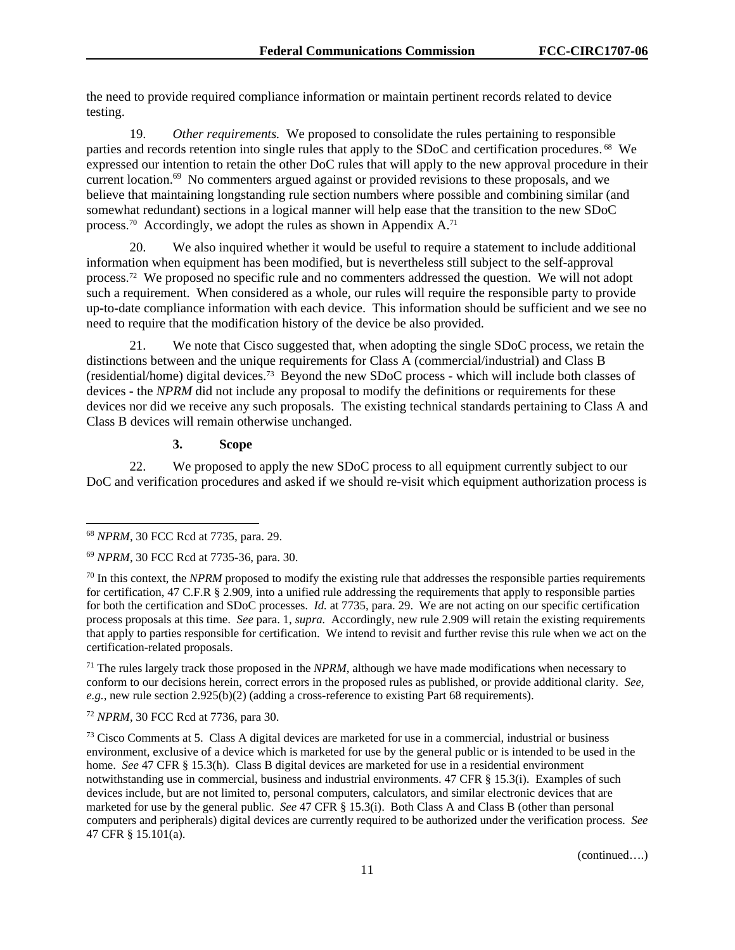the need to provide required compliance information or maintain pertinent records related to device testing.

19. *Other requirements.* We proposed to consolidate the rules pertaining to responsible parties and records retention into single rules that apply to the SDoC and certification procedures. 68 We expressed our intention to retain the other DoC rules that will apply to the new approval procedure in their current location.<sup>69</sup> No commenters argued against or provided revisions to these proposals, and we believe that maintaining longstanding rule section numbers where possible and combining similar (and somewhat redundant) sections in a logical manner will help ease that the transition to the new SDoC process.<sup>70</sup> Accordingly, we adopt the rules as shown in Appendix  $A$ .<sup>71</sup>

20. We also inquired whether it would be useful to require a statement to include additional information when equipment has been modified, but is nevertheless still subject to the self-approval process.72 We proposed no specific rule and no commenters addressed the question. We will not adopt such a requirement. When considered as a whole, our rules will require the responsible party to provide up-to-date compliance information with each device. This information should be sufficient and we see no need to require that the modification history of the device be also provided.

21. We note that Cisco suggested that, when adopting the single SDoC process, we retain the distinctions between and the unique requirements for Class A (commercial/industrial) and Class B (residential/home) digital devices.73 Beyond the new SDoC process - which will include both classes of devices - the *NPRM* did not include any proposal to modify the definitions or requirements for these devices nor did we receive any such proposals. The existing technical standards pertaining to Class A and Class B devices will remain otherwise unchanged.

## **3. Scope**

22. We proposed to apply the new SDoC process to all equipment currently subject to our DoC and verification procedures and asked if we should re-visit which equipment authorization process is

l

71 The rules largely track those proposed in the *NPRM*, although we have made modifications when necessary to conform to our decisions herein, correct errors in the proposed rules as published, or provide additional clarity. *See, e.g.,* new rule section 2.925(b)(2) (adding a cross-reference to existing Part 68 requirements).

<sup>72</sup> *NPRM*, 30 FCC Rcd at 7736, para 30.

73 Cisco Comments at 5. Class A digital devices are marketed for use in a commercial, industrial or business environment, exclusive of a device which is marketed for use by the general public or is intended to be used in the home. *See* 47 CFR § 15.3(h). Class B digital devices are marketed for use in a residential environment notwithstanding use in commercial, business and industrial environments. 47 CFR § 15.3(i). Examples of such devices include, but are not limited to, personal computers, calculators, and similar electronic devices that are marketed for use by the general public. *See* 47 CFR § 15.3(i). Both Class A and Class B (other than personal computers and peripherals) digital devices are currently required to be authorized under the verification process. *See* 47 CFR § 15.101(a).

<sup>68</sup> *NPRM*, 30 FCC Rcd at 7735, para. 29.

<sup>69</sup> *NPRM*, 30 FCC Rcd at 7735-36, para. 30.

<sup>&</sup>lt;sup>70</sup> In this context, the *NPRM* proposed to modify the existing rule that addresses the responsible parties requirements for certification, 47 C.F.R § 2.909, into a unified rule addressing the requirements that apply to responsible parties for both the certification and SDoC processes. *Id.* at 7735, para. 29.We are not acting on our specific certification process proposals at this time. *See* para. 1, *supra.* Accordingly, new rule 2.909 will retain the existing requirements that apply to parties responsible for certification. We intend to revisit and further revise this rule when we act on the certification-related proposals.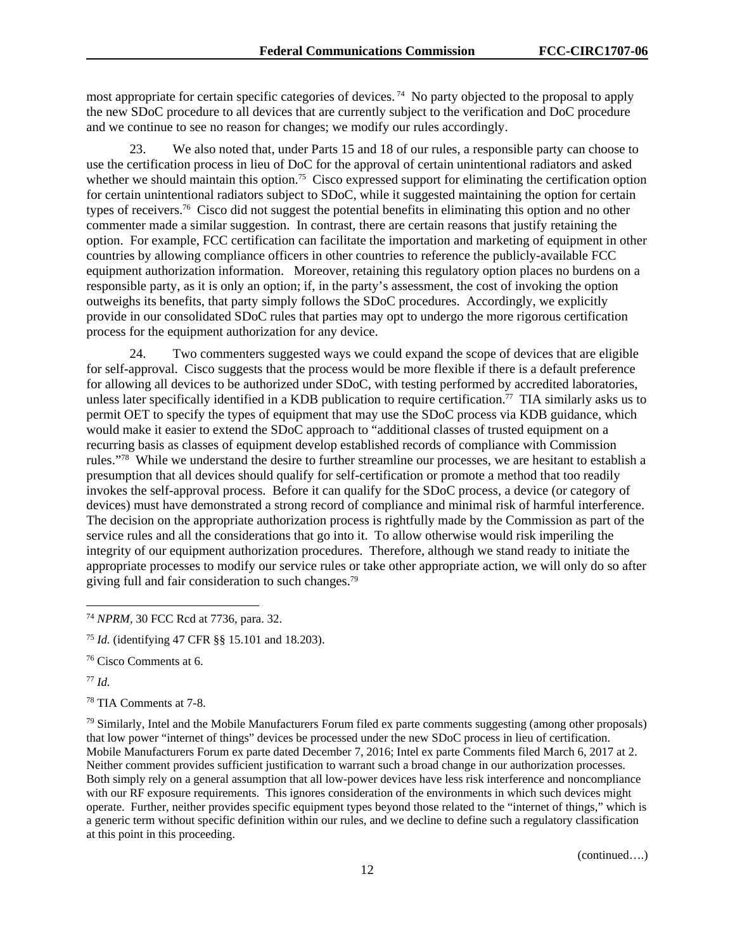most appropriate for certain specific categories of devices. 74 No party objected to the proposal to apply the new SDoC procedure to all devices that are currently subject to the verification and DoC procedure and we continue to see no reason for changes; we modify our rules accordingly.

We also noted that, under Parts 15 and 18 of our rules, a responsible party can choose to use the certification process in lieu of DoC for the approval of certain unintentional radiators and asked whether we should maintain this option.<sup>75</sup> Cisco expressed support for eliminating the certification option for certain unintentional radiators subject to SDoC, while it suggested maintaining the option for certain types of receivers.<sup>76</sup> Cisco did not suggest the potential benefits in eliminating this option and no other commenter made a similar suggestion. In contrast, there are certain reasons that justify retaining the option. For example, FCC certification can facilitate the importation and marketing of equipment in other countries by allowing compliance officers in other countries to reference the publicly-available FCC equipment authorization information. Moreover, retaining this regulatory option places no burdens on a responsible party, as it is only an option; if, in the party's assessment, the cost of invoking the option outweighs its benefits, that party simply follows the SDoC procedures. Accordingly, we explicitly provide in our consolidated SDoC rules that parties may opt to undergo the more rigorous certification process for the equipment authorization for any device.

24. Two commenters suggested ways we could expand the scope of devices that are eligible for self-approval. Cisco suggests that the process would be more flexible if there is a default preference for allowing all devices to be authorized under SDoC, with testing performed by accredited laboratories, unless later specifically identified in a KDB publication to require certification.<sup>77</sup> TIA similarly asks us to permit OET to specify the types of equipment that may use the SDoC process via KDB guidance, which would make it easier to extend the SDoC approach to "additional classes of trusted equipment on a recurring basis as classes of equipment develop established records of compliance with Commission rules."78 While we understand the desire to further streamline our processes, we are hesitant to establish a presumption that all devices should qualify for self-certification or promote a method that too readily invokes the self-approval process. Before it can qualify for the SDoC process, a device (or category of devices) must have demonstrated a strong record of compliance and minimal risk of harmful interference. The decision on the appropriate authorization process is rightfully made by the Commission as part of the service rules and all the considerations that go into it. To allow otherwise would risk imperiling the integrity of our equipment authorization procedures. Therefore, although we stand ready to initiate the appropriate processes to modify our service rules or take other appropriate action, we will only do so after giving full and fair consideration to such changes.79

<sup>77</sup> *Id.* 

1

78 TIA Comments at 7-8.

79 Similarly, Intel and the Mobile Manufacturers Forum filed ex parte comments suggesting (among other proposals) that low power "internet of things" devices be processed under the new SDoC process in lieu of certification. Mobile Manufacturers Forum ex parte dated December 7, 2016; Intel ex parte Comments filed March 6, 2017 at 2. Neither comment provides sufficient justification to warrant such a broad change in our authorization processes. Both simply rely on a general assumption that all low-power devices have less risk interference and noncompliance with our RF exposure requirements. This ignores consideration of the environments in which such devices might operate. Further, neither provides specific equipment types beyond those related to the "internet of things," which is a generic term without specific definition within our rules, and we decline to define such a regulatory classification at this point in this proceeding.

<sup>74</sup> *NPRM*, 30 FCC Rcd at 7736, para. 32.

<sup>75</sup> *Id.* (identifying 47 CFR §§ 15.101 and 18.203).

<sup>76</sup> Cisco Comments at 6.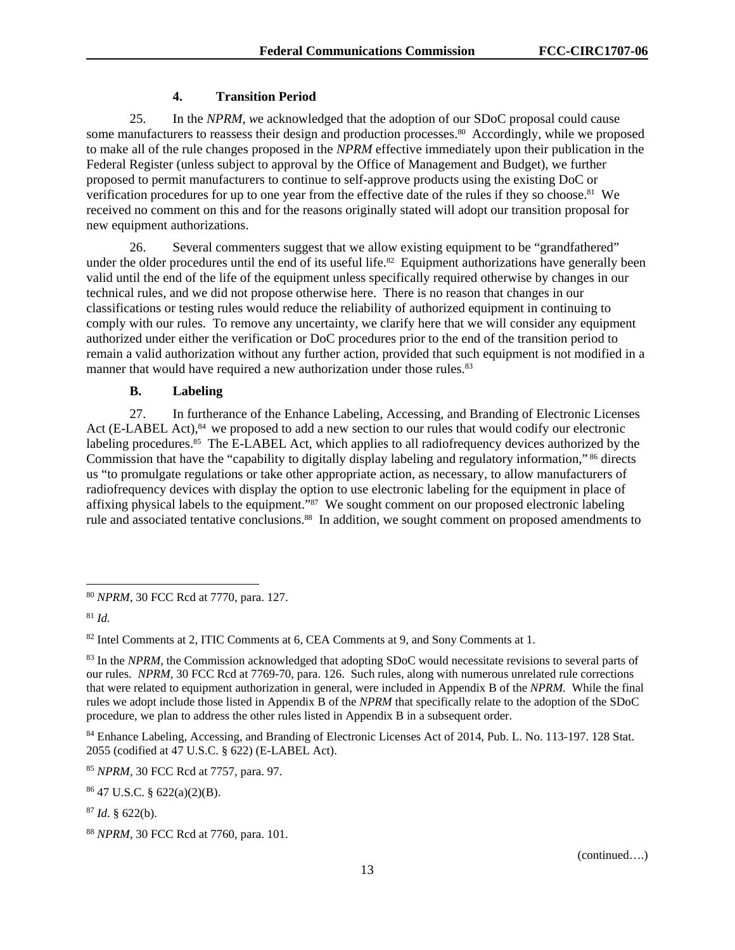# **4. Transition Period**

25. In the *NPRM, w*e acknowledged that the adoption of our SDoC proposal could cause some manufacturers to reassess their design and production processes.<sup>80</sup> Accordingly, while we proposed to make all of the rule changes proposed in the *NPRM* effective immediately upon their publication in the Federal Register (unless subject to approval by the Office of Management and Budget), we further proposed to permit manufacturers to continue to self-approve products using the existing DoC or verification procedures for up to one year from the effective date of the rules if they so choose.<sup>81</sup> We received no comment on this and for the reasons originally stated will adopt our transition proposal for new equipment authorizations.

26. Several commenters suggest that we allow existing equipment to be "grandfathered" under the older procedures until the end of its useful life.<sup>82</sup> Equipment authorizations have generally been valid until the end of the life of the equipment unless specifically required otherwise by changes in our technical rules, and we did not propose otherwise here. There is no reason that changes in our classifications or testing rules would reduce the reliability of authorized equipment in continuing to comply with our rules. To remove any uncertainty, we clarify here that we will consider any equipment authorized under either the verification or DoC procedures prior to the end of the transition period to remain a valid authorization without any further action, provided that such equipment is not modified in a manner that would have required a new authorization under those rules.<sup>83</sup>

## **B. Labeling**

27. In furtherance of the Enhance Labeling, Accessing, and Branding of Electronic Licenses Act (E-LABEL Act),<sup>84</sup> we proposed to add a new section to our rules that would codify our electronic labeling procedures.<sup>85</sup> The E-LABEL Act, which applies to all radiofrequency devices authorized by the Commission that have the "capability to digitally display labeling and regulatory information," <sup>86</sup> directs us "to promulgate regulations or take other appropriate action, as necessary, to allow manufacturers of radiofrequency devices with display the option to use electronic labeling for the equipment in place of affixing physical labels to the equipment."<sup>87</sup> We sought comment on our proposed electronic labeling rule and associated tentative conclusions.<sup>88</sup> In addition, we sought comment on proposed amendments to

1

82 Intel Comments at 2, ITIC Comments at 6, CEA Comments at 9, and Sony Comments at 1.

<sup>84</sup> Enhance Labeling, Accessing, and Branding of Electronic Licenses Act of 2014, Pub. L. No. 113-197. 128 Stat. 2055 (codified at 47 U.S.C. § 622) (E-LABEL Act).

<sup>85</sup> *NPRM*, 30 FCC Rcd at 7757, para. 97.

<sup>87</sup> *Id*. § 622(b).

<sup>80</sup> *NPRM*, 30 FCC Rcd at 7770, para. 127.

<sup>81</sup> *Id.*

<sup>&</sup>lt;sup>83</sup> In the *NPRM*, the Commission acknowledged that adopting SDoC would necessitate revisions to several parts of our rules. *NPRM*, 30 FCC Rcd at 7769-70, para. 126. Such rules, along with numerous unrelated rule corrections that were related to equipment authorization in general, were included in Appendix B of the *NPRM.* While the final rules we adopt include those listed in Appendix B of the *NPRM* that specifically relate to the adoption of the SDoC procedure, we plan to address the other rules listed in Appendix B in a subsequent order.

<sup>86 47</sup> U.S.C. § 622(a)(2)(B).

<sup>88</sup> *NPRM*, 30 FCC Rcd at 7760, para. 101.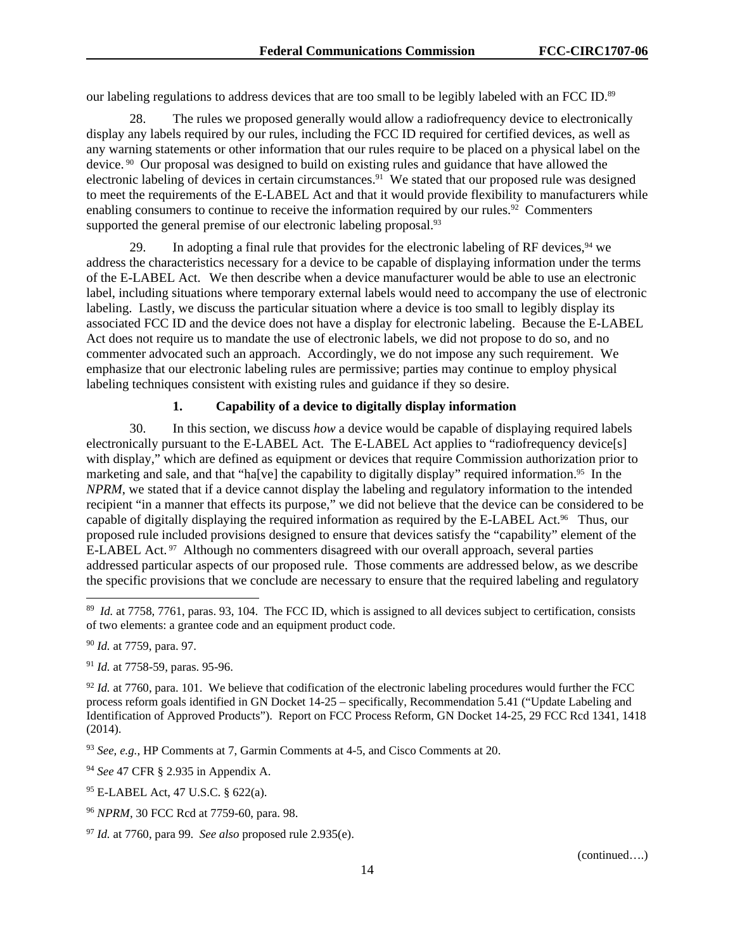our labeling regulations to address devices that are too small to be legibly labeled with an FCC ID.89

28. The rules we proposed generally would allow a radiofrequency device to electronically display any labels required by our rules, including the FCC ID required for certified devices, as well as any warning statements or other information that our rules require to be placed on a physical label on the device. 90 Our proposal was designed to build on existing rules and guidance that have allowed the electronic labeling of devices in certain circumstances.<sup>91</sup> We stated that our proposed rule was designed to meet the requirements of the E-LABEL Act and that it would provide flexibility to manufacturers while enabling consumers to continue to receive the information required by our rules.<sup>92</sup> Commenters supported the general premise of our electronic labeling proposal.<sup>93</sup>

29. In adopting a final rule that provides for the electronic labeling of RF devices,  $94$  we address the characteristics necessary for a device to be capable of displaying information under the terms of the E-LABEL Act. We then describe when a device manufacturer would be able to use an electronic label, including situations where temporary external labels would need to accompany the use of electronic labeling. Lastly, we discuss the particular situation where a device is too small to legibly display its associated FCC ID and the device does not have a display for electronic labeling. Because the E-LABEL Act does not require us to mandate the use of electronic labels, we did not propose to do so, and no commenter advocated such an approach. Accordingly, we do not impose any such requirement. We emphasize that our electronic labeling rules are permissive; parties may continue to employ physical labeling techniques consistent with existing rules and guidance if they so desire.

# **1. Capability of a device to digitally display information**

30. In this section, we discuss *how* a device would be capable of displaying required labels electronically pursuant to the E-LABEL Act. The E-LABEL Act applies to "radiofrequency device[s] with display," which are defined as equipment or devices that require Commission authorization prior to marketing and sale, and that "ha[ve] the capability to digitally display" required information.95 In the *NPRM*, we stated that if a device cannot display the labeling and regulatory information to the intended recipient "in a manner that effects its purpose," we did not believe that the device can be considered to be capable of digitally displaying the required information as required by the E-LABEL Act.<sup>96</sup> Thus, our proposed rule included provisions designed to ensure that devices satisfy the "capability" element of the E-LABEL Act.  $97$  Although no commenters disagreed with our overall approach, several parties addressed particular aspects of our proposed rule. Those comments are addressed below, as we describe the specific provisions that we conclude are necessary to ensure that the required labeling and regulatory

<sup>90</sup> *Id.* at 7759, para. 97.

l

<sup>91</sup> *Id.* at 7758-59, paras. 95-96.

<sup>92</sup> *Id.* at 7760, para. 101. We believe that codification of the electronic labeling procedures would further the FCC process reform goals identified in GN Docket 14-25 – specifically, Recommendation 5.41 ("Update Labeling and Identification of Approved Products"). Report on FCC Process Reform, GN Docket 14-25, 29 FCC Rcd 1341, 1418 (2014).

<sup>93</sup> *See, e.g.*, HP Comments at 7, Garmin Comments at 4-5, and Cisco Comments at 20.

<sup>94</sup> *See* 47 CFR § 2.935 in Appendix A.

95 E-LABEL Act, 47 U.S.C. § 622(a).

<sup>&</sup>lt;sup>89</sup> *Id.* at 7758, 7761, paras. 93, 104. The FCC ID, which is assigned to all devices subject to certification, consists of two elements: a grantee code and an equipment product code.

<sup>96</sup> *NPRM*, 30 FCC Rcd at 7759-60, para. 98.

<sup>97</sup> *Id.* at 7760, para 99. *See also* proposed rule 2.935(e).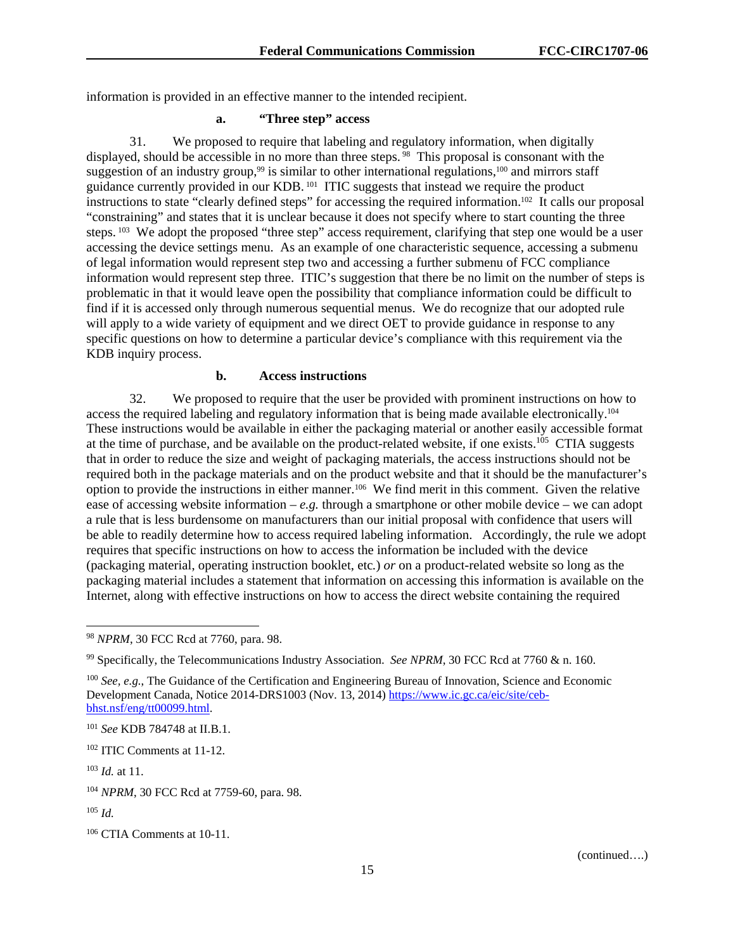information is provided in an effective manner to the intended recipient.

# **a. "Three step" access**

31. We proposed to require that labeling and regulatory information, when digitally displayed, should be accessible in no more than three steps. <sup>98</sup> This proposal is consonant with the suggestion of an industry group,<sup>99</sup> is similar to other international regulations,<sup>100</sup> and mirrors staff guidance currently provided in our KDB. <sup>101</sup> ITIC suggests that instead we require the product instructions to state "clearly defined steps" for accessing the required information.102 It calls our proposal "constraining" and states that it is unclear because it does not specify where to start counting the three steps. <sup>103</sup> We adopt the proposed "three step" access requirement, clarifying that step one would be a user accessing the device settings menu. As an example of one characteristic sequence, accessing a submenu of legal information would represent step two and accessing a further submenu of FCC compliance information would represent step three. ITIC's suggestion that there be no limit on the number of steps is problematic in that it would leave open the possibility that compliance information could be difficult to find if it is accessed only through numerous sequential menus. We do recognize that our adopted rule will apply to a wide variety of equipment and we direct OET to provide guidance in response to any specific questions on how to determine a particular device's compliance with this requirement via the KDB inquiry process.

## **b. Access instructions**

32. We proposed to require that the user be provided with prominent instructions on how to access the required labeling and regulatory information that is being made available electronically.104 These instructions would be available in either the packaging material or another easily accessible format at the time of purchase, and be available on the product-related website, if one exists.<sup>105</sup> CTIA suggests that in order to reduce the size and weight of packaging materials, the access instructions should not be required both in the package materials and on the product website and that it should be the manufacturer's option to provide the instructions in either manner.106 We find merit in this comment. Given the relative ease of accessing website information – *e.g.* through a smartphone or other mobile device – we can adopt a rule that is less burdensome on manufacturers than our initial proposal with confidence that users will be able to readily determine how to access required labeling information. Accordingly, the rule we adopt requires that specific instructions on how to access the information be included with the device (packaging material, operating instruction booklet, etc*.*) *or* on a product-related website so long as the packaging material includes a statement that information on accessing this information is available on the Internet, along with effective instructions on how to access the direct website containing the required

l

<sup>98</sup> *NPRM*, 30 FCC Rcd at 7760, para. 98.

<sup>99</sup> Specifically, the Telecommunications Industry Association. *See NPRM*, 30 FCC Rcd at 7760 & n. 160.

<sup>100</sup> *See, e.g.*, The Guidance of the Certification and Engineering Bureau of Innovation, Science and Economic Development Canada, Notice 2014-DRS1003 (Nov. 13, 2014) https://www.ic.gc.ca/eic/site/cebbhst.nsf/eng/tt00099.html.

<sup>101</sup> *See* KDB 784748 at II.B.1.

<sup>102</sup> ITIC Comments at 11-12.

<sup>103</sup> *Id.* at 11.

<sup>104</sup> *NPRM*, 30 FCC Rcd at 7759-60, para. 98.

<sup>105</sup> *Id.*

<sup>106</sup> CTIA Comments at 10-11.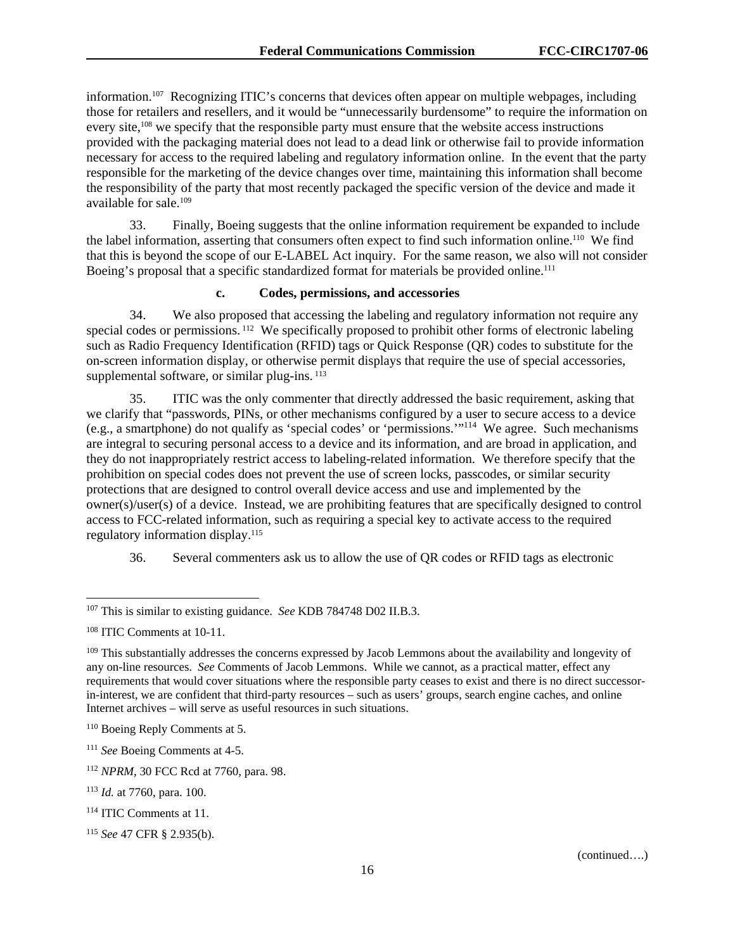information.107 Recognizing ITIC's concerns that devices often appear on multiple webpages, including those for retailers and resellers, and it would be "unnecessarily burdensome" to require the information on every site,<sup>108</sup> we specify that the responsible party must ensure that the website access instructions provided with the packaging material does not lead to a dead link or otherwise fail to provide information necessary for access to the required labeling and regulatory information online. In the event that the party responsible for the marketing of the device changes over time, maintaining this information shall become the responsibility of the party that most recently packaged the specific version of the device and made it available for sale.109

33. Finally, Boeing suggests that the online information requirement be expanded to include the label information, asserting that consumers often expect to find such information online.110 We find that this is beyond the scope of our E-LABEL Act inquiry. For the same reason, we also will not consider Boeing's proposal that a specific standardized format for materials be provided online.<sup>111</sup>

#### **c. Codes, permissions, and accessories**

34. We also proposed that accessing the labeling and regulatory information not require any special codes or permissions. <sup>112</sup> We specifically proposed to prohibit other forms of electronic labeling such as Radio Frequency Identification (RFID) tags or Quick Response (QR) codes to substitute for the on-screen information display, or otherwise permit displays that require the use of special accessories, supplemental software, or similar plug-ins.  $^{113}$ 

35. ITIC was the only commenter that directly addressed the basic requirement, asking that we clarify that "passwords, PINs, or other mechanisms configured by a user to secure access to a device (e.g., a smartphone) do not qualify as 'special codes' or 'permissions.'"114 We agree. Such mechanisms are integral to securing personal access to a device and its information, and are broad in application, and they do not inappropriately restrict access to labeling-related information. We therefore specify that the prohibition on special codes does not prevent the use of screen locks, passcodes, or similar security protections that are designed to control overall device access and use and implemented by the owner(s)/user(s) of a device. Instead, we are prohibiting features that are specifically designed to control access to FCC-related information, such as requiring a special key to activate access to the required regulatory information display.115

36. Several commenters ask us to allow the use of QR codes or RFID tags as electronic

1

<sup>107</sup> This is similar to existing guidance. *See* KDB 784748 D02 II.B.3.

<sup>108</sup> ITIC Comments at 10-11.

<sup>&</sup>lt;sup>109</sup> This substantially addresses the concerns expressed by Jacob Lemmons about the availability and longevity of any on-line resources. *See* Comments of Jacob Lemmons. While we cannot, as a practical matter, effect any requirements that would cover situations where the responsible party ceases to exist and there is no direct successorin-interest, we are confident that third-party resources – such as users' groups, search engine caches, and online Internet archives – will serve as useful resources in such situations.

<sup>110</sup> Boeing Reply Comments at 5.

<sup>111</sup> *See* Boeing Comments at 4-5.

<sup>112</sup> *NPRM*, 30 FCC Rcd at 7760, para. 98.

<sup>113</sup> *Id.* at 7760, para. 100.

<sup>114</sup> ITIC Comments at 11.

<sup>115</sup> *See* 47 CFR § 2.935(b).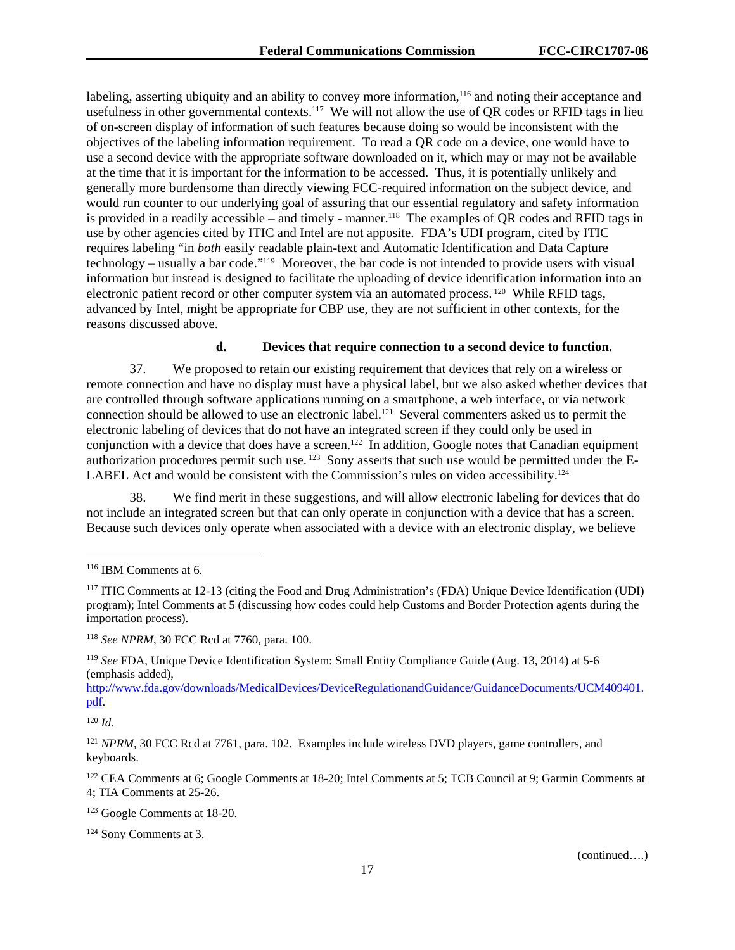labeling, asserting ubiquity and an ability to convey more information,<sup>116</sup> and noting their acceptance and usefulness in other governmental contexts.<sup>117</sup> We will not allow the use of QR codes or RFID tags in lieu of on-screen display of information of such features because doing so would be inconsistent with the objectives of the labeling information requirement. To read a QR code on a device, one would have to use a second device with the appropriate software downloaded on it, which may or may not be available at the time that it is important for the information to be accessed. Thus, it is potentially unlikely and generally more burdensome than directly viewing FCC-required information on the subject device, and would run counter to our underlying goal of assuring that our essential regulatory and safety information is provided in a readily accessible – and timely - manner.<sup>118</sup> The examples of QR codes and RFID tags in use by other agencies cited by ITIC and Intel are not apposite. FDA's UDI program, cited by ITIC requires labeling "in *both* easily readable plain-text and Automatic Identification and Data Capture technology – usually a bar code."119 Moreover, the bar code is not intended to provide users with visual information but instead is designed to facilitate the uploading of device identification information into an electronic patient record or other computer system via an automated process. <sup>120</sup> While RFID tags, advanced by Intel, might be appropriate for CBP use, they are not sufficient in other contexts, for the reasons discussed above.

#### **d. Devices that require connection to a second device to function.**

37. We proposed to retain our existing requirement that devices that rely on a wireless or remote connection and have no display must have a physical label, but we also asked whether devices that are controlled through software applications running on a smartphone, a web interface, or via network connection should be allowed to use an electronic label.121 Several commenters asked us to permit the electronic labeling of devices that do not have an integrated screen if they could only be used in conjunction with a device that does have a screen.<sup>122</sup> In addition, Google notes that Canadian equipment authorization procedures permit such use. 123 Sony asserts that such use would be permitted under the E-LABEL Act and would be consistent with the Commission's rules on video accessibility.<sup>124</sup>

38. We find merit in these suggestions, and will allow electronic labeling for devices that do not include an integrated screen but that can only operate in conjunction with a device that has a screen. Because such devices only operate when associated with a device with an electronic display, we believe

http://www.fda.gov/downloads/MedicalDevices/DeviceRegulationandGuidance/GuidanceDocuments/UCM409401. pdf.

 $120$  *Id.* 

1

<sup>121</sup> *NPRM*, 30 FCC Rcd at 7761, para. 102. Examples include wireless DVD players, game controllers, and keyboards.

<sup>122</sup> CEA Comments at 6; Google Comments at 18-20; Intel Comments at 5; TCB Council at 9; Garmin Comments at 4; TIA Comments at 25-26.

123 Google Comments at 18-20.

<sup>116</sup> IBM Comments at 6.

<sup>117</sup> ITIC Comments at 12-13 (citing the Food and Drug Administration's (FDA) Unique Device Identification (UDI) program); Intel Comments at 5 (discussing how codes could help Customs and Border Protection agents during the importation process).

<sup>118</sup> *See NPRM*, 30 FCC Rcd at 7760, para. 100.

<sup>119</sup> *See* FDA, Unique Device Identification System: Small Entity Compliance Guide (Aug. 13, 2014) at 5-6 (emphasis added),

<sup>124</sup> Sony Comments at 3.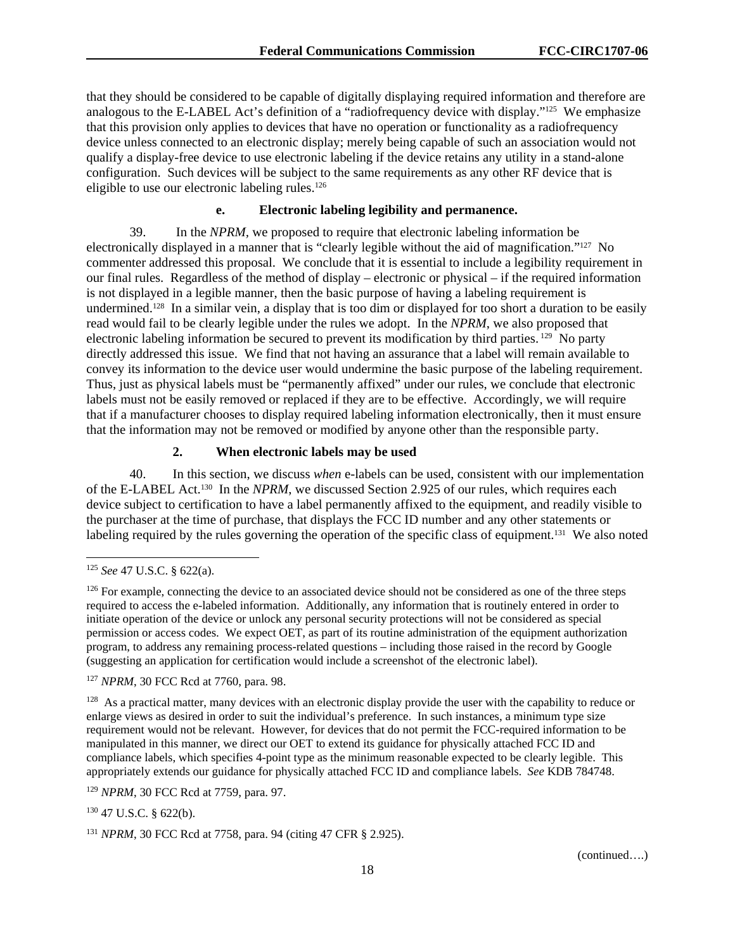that they should be considered to be capable of digitally displaying required information and therefore are analogous to the E-LABEL Act's definition of a "radiofrequency device with display."125 We emphasize that this provision only applies to devices that have no operation or functionality as a radiofrequency device unless connected to an electronic display; merely being capable of such an association would not qualify a display-free device to use electronic labeling if the device retains any utility in a stand-alone configuration. Such devices will be subject to the same requirements as any other RF device that is eligible to use our electronic labeling rules.<sup>126</sup>

#### **e. Electronic labeling legibility and permanence.**

39. In the *NPRM,* we proposed to require that electronic labeling information be electronically displayed in a manner that is "clearly legible without the aid of magnification."127 No commenter addressed this proposal. We conclude that it is essential to include a legibility requirement in our final rules. Regardless of the method of display – electronic or physical – if the required information is not displayed in a legible manner, then the basic purpose of having a labeling requirement is undermined.128 In a similar vein, a display that is too dim or displayed for too short a duration to be easily read would fail to be clearly legible under the rules we adopt. In the *NPRM*, we also proposed that electronic labeling information be secured to prevent its modification by third parties. <sup>129</sup> No party directly addressed this issue. We find that not having an assurance that a label will remain available to convey its information to the device user would undermine the basic purpose of the labeling requirement. Thus, just as physical labels must be "permanently affixed" under our rules, we conclude that electronic labels must not be easily removed or replaced if they are to be effective. Accordingly, we will require that if a manufacturer chooses to display required labeling information electronically, then it must ensure that the information may not be removed or modified by anyone other than the responsible party.

#### **2. When electronic labels may be used**

40. In this section, we discuss *when* e-labels can be used, consistent with our implementation of the E-LABEL Act.130 In the *NPRM*, we discussed Section 2.925 of our rules, which requires each device subject to certification to have a label permanently affixed to the equipment, and readily visible to the purchaser at the time of purchase, that displays the FCC ID number and any other statements or labeling required by the rules governing the operation of the specific class of equipment.<sup>131</sup> We also noted

1

130 47 U.S.C. § 622(b).

<sup>125</sup> *See* 47 U.S.C. § 622(a).

<sup>&</sup>lt;sup>126</sup> For example, connecting the device to an associated device should not be considered as one of the three steps required to access the e-labeled information. Additionally, any information that is routinely entered in order to initiate operation of the device or unlock any personal security protections will not be considered as special permission or access codes. We expect OET, as part of its routine administration of the equipment authorization program, to address any remaining process-related questions – including those raised in the record by Google (suggesting an application for certification would include a screenshot of the electronic label).

<sup>127</sup> *NPRM*, 30 FCC Rcd at 7760, para. 98.

 $128$  As a practical matter, many devices with an electronic display provide the user with the capability to reduce or enlarge views as desired in order to suit the individual's preference. In such instances, a minimum type size requirement would not be relevant. However, for devices that do not permit the FCC-required information to be manipulated in this manner, we direct our OET to extend its guidance for physically attached FCC ID and compliance labels, which specifies 4-point type as the minimum reasonable expected to be clearly legible. This appropriately extends our guidance for physically attached FCC ID and compliance labels. *See* KDB 784748.

<sup>129</sup> *NPRM*, 30 FCC Rcd at 7759, para. 97.

<sup>131</sup> *NPRM*, 30 FCC Rcd at 7758, para. 94 (citing 47 CFR § 2.925).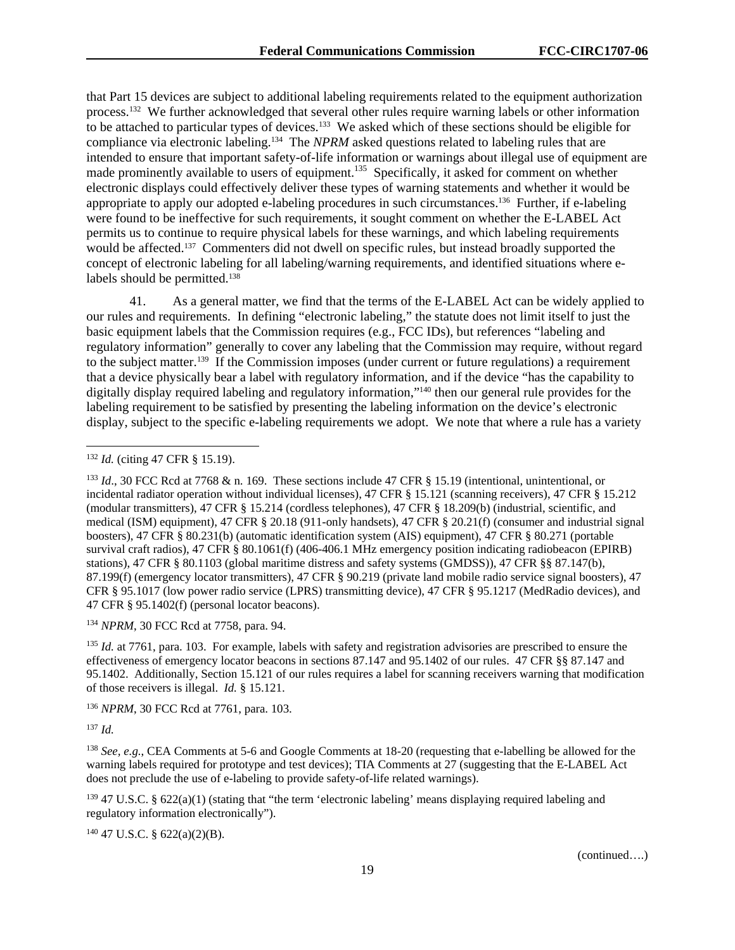that Part 15 devices are subject to additional labeling requirements related to the equipment authorization process.132 We further acknowledged that several other rules require warning labels or other information to be attached to particular types of devices.133 We asked which of these sections should be eligible for compliance via electronic labeling.134 The *NPRM* asked questions related to labeling rules that are intended to ensure that important safety-of-life information or warnings about illegal use of equipment are made prominently available to users of equipment.<sup>135</sup> Specifically, it asked for comment on whether electronic displays could effectively deliver these types of warning statements and whether it would be appropriate to apply our adopted e-labeling procedures in such circumstances.136 Further, if e-labeling were found to be ineffective for such requirements, it sought comment on whether the E-LABEL Act permits us to continue to require physical labels for these warnings, and which labeling requirements would be affected.<sup>137</sup> Commenters did not dwell on specific rules, but instead broadly supported the concept of electronic labeling for all labeling/warning requirements, and identified situations where elabels should be permitted.<sup>138</sup>

41. As a general matter, we find that the terms of the E-LABEL Act can be widely applied to our rules and requirements. In defining "electronic labeling," the statute does not limit itself to just the basic equipment labels that the Commission requires (e.g., FCC IDs), but references "labeling and regulatory information" generally to cover any labeling that the Commission may require, without regard to the subject matter.<sup>139</sup> If the Commission imposes (under current or future regulations) a requirement that a device physically bear a label with regulatory information, and if the device "has the capability to digitally display required labeling and regulatory information,"<sup>140</sup> then our general rule provides for the labeling requirement to be satisfied by presenting the labeling information on the device's electronic display, subject to the specific e-labeling requirements we adopt. We note that where a rule has a variety

<sup>134</sup> *NPRM*, 30 FCC Rcd at 7758, para. 94.

<sup>135</sup> *Id.* at 7761, para. 103. For example, labels with safety and registration advisories are prescribed to ensure the effectiveness of emergency locator beacons in sections 87.147 and 95.1402 of our rules. 47 CFR §§ 87.147 and 95.1402. Additionally, Section 15.121 of our rules requires a label for scanning receivers warning that modification of those receivers is illegal. *Id.* § 15.121.

<sup>136</sup> *NPRM*, 30 FCC Rcd at 7761, para. 103.

<sup>137</sup> *Id.* 

-

<sup>138</sup> *See, e.g.*, CEA Comments at 5-6 and Google Comments at 18-20 (requesting that e-labelling be allowed for the warning labels required for prototype and test devices); TIA Comments at 27 (suggesting that the E-LABEL Act does not preclude the use of e-labeling to provide safety-of-life related warnings).

 $139\,47$  U.S.C. § 622(a)(1) (stating that "the term 'electronic labeling' means displaying required labeling and regulatory information electronically").

 $140$  47 U.S.C. § 622(a)(2)(B).

<sup>132</sup> *Id.* (citing 47 CFR § 15.19).

<sup>133</sup> *Id*., 30 FCC Rcd at 7768 & n. 169. These sections include 47 CFR § 15.19 (intentional, unintentional, or incidental radiator operation without individual licenses), 47 CFR § 15.121 (scanning receivers), 47 CFR § 15.212 (modular transmitters), 47 CFR § 15.214 (cordless telephones), 47 CFR § 18.209(b) (industrial, scientific, and medical (ISM) equipment), 47 CFR § 20.18 (911-only handsets), 47 CFR § 20.21(f) (consumer and industrial signal boosters), 47 CFR § 80.231(b) (automatic identification system (AIS) equipment), 47 CFR § 80.271 (portable survival craft radios), 47 CFR § 80.1061(f) (406-406.1 MHz emergency position indicating radiobeacon (EPIRB) stations), 47 CFR § 80.1103 (global maritime distress and safety systems (GMDSS)), 47 CFR §§ 87.147(b), 87.199(f) (emergency locator transmitters), 47 CFR § 90.219 (private land mobile radio service signal boosters), 47 CFR § 95.1017 (low power radio service (LPRS) transmitting device), 47 CFR § 95.1217 (MedRadio devices), and 47 CFR § 95.1402(f) (personal locator beacons).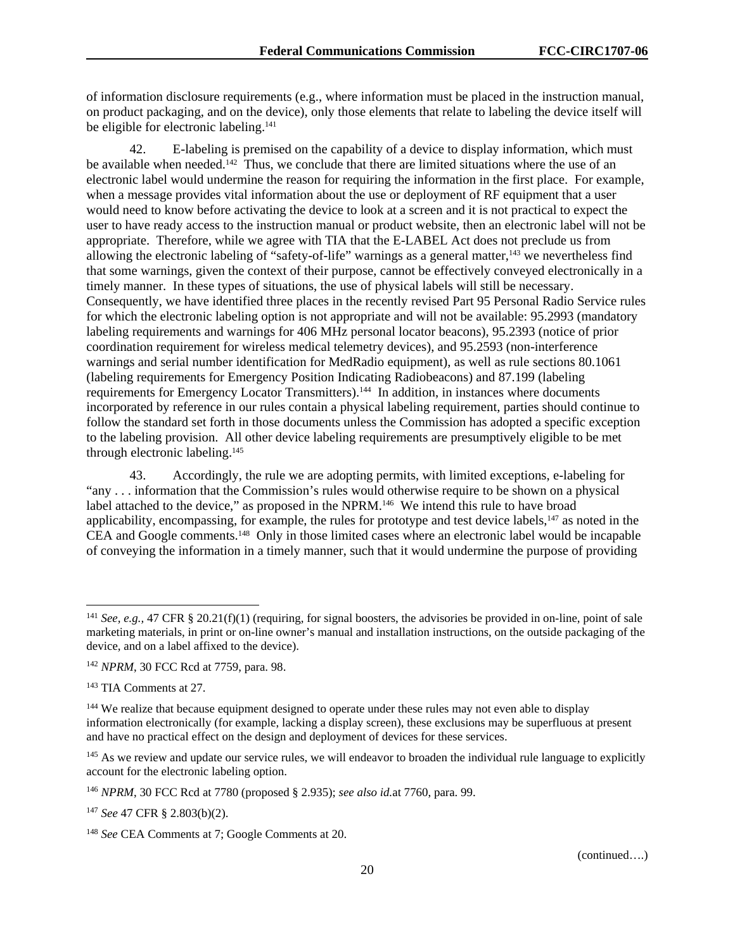of information disclosure requirements (e.g., where information must be placed in the instruction manual, on product packaging, and on the device), only those elements that relate to labeling the device itself will be eligible for electronic labeling.<sup>141</sup>

42. E-labeling is premised on the capability of a device to display information, which must be available when needed.<sup>142</sup> Thus, we conclude that there are limited situations where the use of an electronic label would undermine the reason for requiring the information in the first place. For example, when a message provides vital information about the use or deployment of RF equipment that a user would need to know before activating the device to look at a screen and it is not practical to expect the user to have ready access to the instruction manual or product website, then an electronic label will not be appropriate. Therefore, while we agree with TIA that the E-LABEL Act does not preclude us from allowing the electronic labeling of "safety-of-life" warnings as a general matter, $143$  we nevertheless find that some warnings, given the context of their purpose, cannot be effectively conveyed electronically in a timely manner. In these types of situations, the use of physical labels will still be necessary. Consequently, we have identified three places in the recently revised Part 95 Personal Radio Service rules for which the electronic labeling option is not appropriate and will not be available: 95.2993 (mandatory labeling requirements and warnings for 406 MHz personal locator beacons), 95.2393 (notice of prior coordination requirement for wireless medical telemetry devices), and 95.2593 (non-interference warnings and serial number identification for MedRadio equipment), as well as rule sections 80.1061 (labeling requirements for Emergency Position Indicating Radiobeacons) and 87.199 (labeling requirements for Emergency Locator Transmitters).144 In addition, in instances where documents incorporated by reference in our rules contain a physical labeling requirement, parties should continue to follow the standard set forth in those documents unless the Commission has adopted a specific exception to the labeling provision. All other device labeling requirements are presumptively eligible to be met through electronic labeling.145

43. Accordingly, the rule we are adopting permits, with limited exceptions, e-labeling for "any . . . information that the Commission's rules would otherwise require to be shown on a physical label attached to the device," as proposed in the NPRM.<sup>146</sup> We intend this rule to have broad applicability, encompassing, for example, the rules for prototype and test device labels,<sup>147</sup> as noted in the CEA and Google comments.148 Only in those limited cases where an electronic label would be incapable of conveying the information in a timely manner, such that it would undermine the purpose of providing

1

<sup>&</sup>lt;sup>141</sup> *See, e.g., 47* CFR § 20.21(f)(1) (requiring, for signal boosters, the advisories be provided in on-line, point of sale marketing materials, in print or on-line owner's manual and installation instructions, on the outside packaging of the device, and on a label affixed to the device).

<sup>142</sup> *NPRM*, 30 FCC Rcd at 7759, para. 98.

<sup>143</sup> TIA Comments at 27.

<sup>&</sup>lt;sup>144</sup> We realize that because equipment designed to operate under these rules may not even able to display information electronically (for example, lacking a display screen), these exclusions may be superfluous at present and have no practical effect on the design and deployment of devices for these services.

<sup>&</sup>lt;sup>145</sup> As we review and update our service rules, we will endeavor to broaden the individual rule language to explicitly account for the electronic labeling option.

<sup>146</sup> *NPRM*, 30 FCC Rcd at 7780 (proposed § 2.935); *see also id.*at 7760, para. 99.

<sup>147</sup> *See* 47 CFR § 2.803(b)(2).

<sup>148</sup> *See* CEA Comments at 7; Google Comments at 20.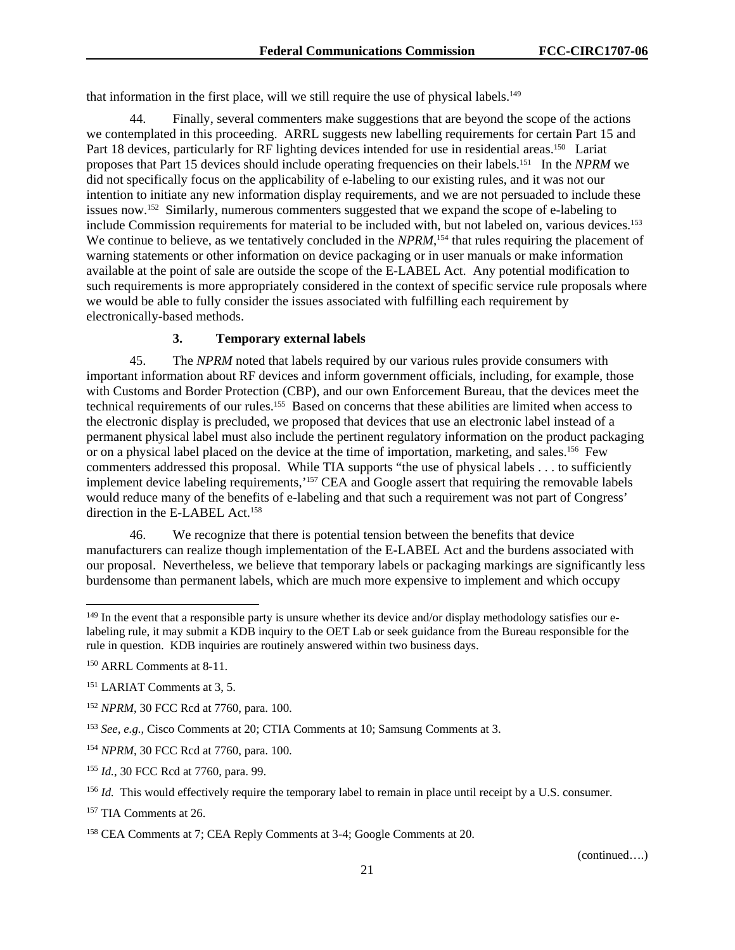that information in the first place, will we still require the use of physical labels.<sup>149</sup>

44. Finally, several commenters make suggestions that are beyond the scope of the actions we contemplated in this proceeding. ARRL suggests new labelling requirements for certain Part 15 and Part 18 devices, particularly for RF lighting devices intended for use in residential areas.<sup>150</sup> Lariat proposes that Part 15 devices should include operating frequencies on their labels.151 In the *NPRM* we did not specifically focus on the applicability of e-labeling to our existing rules, and it was not our intention to initiate any new information display requirements, and we are not persuaded to include these issues now.152 Similarly, numerous commenters suggested that we expand the scope of e-labeling to include Commission requirements for material to be included with, but not labeled on, various devices.<sup>153</sup> We continue to believe, as we tentatively concluded in the *NPRM*,<sup>154</sup> that rules requiring the placement of warning statements or other information on device packaging or in user manuals or make information available at the point of sale are outside the scope of the E-LABEL Act. Any potential modification to such requirements is more appropriately considered in the context of specific service rule proposals where we would be able to fully consider the issues associated with fulfilling each requirement by electronically-based methods.

#### **3. Temporary external labels**

45. The *NPRM* noted that labels required by our various rules provide consumers with important information about RF devices and inform government officials, including, for example, those with Customs and Border Protection (CBP), and our own Enforcement Bureau, that the devices meet the technical requirements of our rules.155 Based on concerns that these abilities are limited when access to the electronic display is precluded, we proposed that devices that use an electronic label instead of a permanent physical label must also include the pertinent regulatory information on the product packaging or on a physical label placed on the device at the time of importation, marketing, and sales.<sup>156</sup> Few commenters addressed this proposal. While TIA supports "the use of physical labels . . . to sufficiently implement device labeling requirements,'157 CEA and Google assert that requiring the removable labels would reduce many of the benefits of e-labeling and that such a requirement was not part of Congress' direction in the E-LABEL Act.<sup>158</sup>

46. We recognize that there is potential tension between the benefits that device manufacturers can realize though implementation of the E-LABEL Act and the burdens associated with our proposal. Nevertheless, we believe that temporary labels or packaging markings are significantly less burdensome than permanent labels, which are much more expensive to implement and which occupy

l

 $149$  In the event that a responsible party is unsure whether its device and/or display methodology satisfies our elabeling rule, it may submit a KDB inquiry to the OET Lab or seek guidance from the Bureau responsible for the rule in question. KDB inquiries are routinely answered within two business days.

<sup>150</sup> ARRL Comments at 8-11.

<sup>151</sup> LARIAT Comments at 3, 5.

<sup>152</sup> *NPRM*, 30 FCC Rcd at 7760, para. 100.

<sup>153</sup> *See, e.g.*, Cisco Comments at 20; CTIA Comments at 10; Samsung Comments at 3.

<sup>154</sup> *NPRM*, 30 FCC Rcd at 7760, para. 100.

<sup>155</sup> *Id.*, 30 FCC Rcd at 7760, para. 99.

<sup>&</sup>lt;sup>156</sup> *Id.* This would effectively require the temporary label to remain in place until receipt by a U.S. consumer.

<sup>157</sup> TIA Comments at 26.

<sup>158</sup> CEA Comments at 7; CEA Reply Comments at 3-4; Google Comments at 20.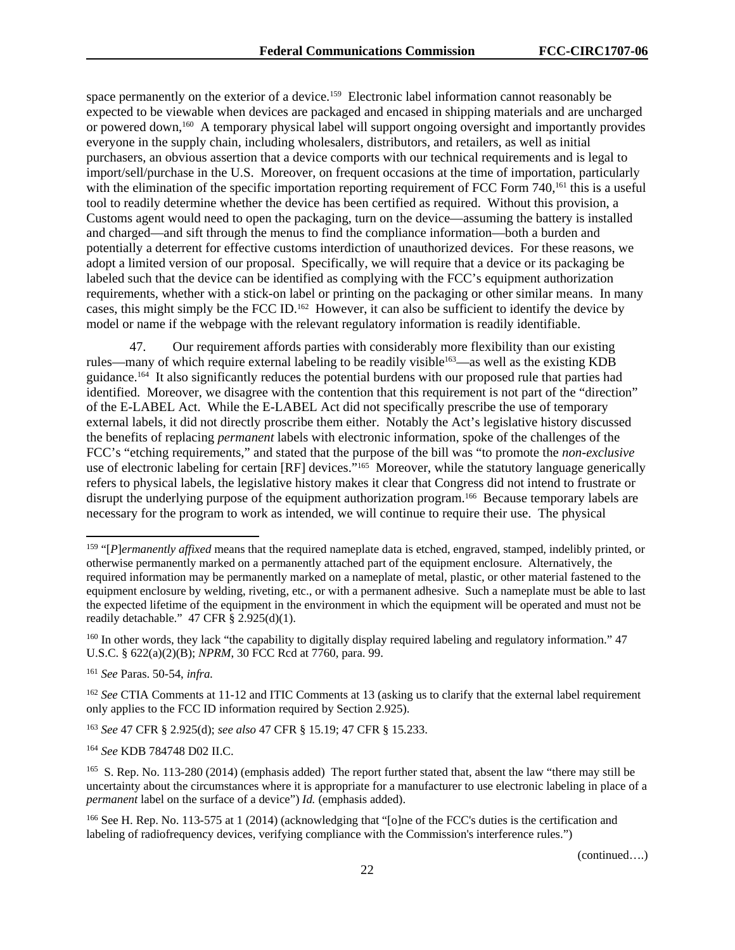space permanently on the exterior of a device.<sup>159</sup> Electronic label information cannot reasonably be expected to be viewable when devices are packaged and encased in shipping materials and are uncharged or powered down,<sup>160</sup> A temporary physical label will support ongoing oversight and importantly provides everyone in the supply chain, including wholesalers, distributors, and retailers, as well as initial purchasers, an obvious assertion that a device comports with our technical requirements and is legal to import/sell/purchase in the U.S. Moreover, on frequent occasions at the time of importation, particularly with the elimination of the specific importation reporting requirement of FCC Form 740,<sup>161</sup> this is a useful tool to readily determine whether the device has been certified as required. Without this provision, a Customs agent would need to open the packaging, turn on the device—assuming the battery is installed and charged—and sift through the menus to find the compliance information—both a burden and potentially a deterrent for effective customs interdiction of unauthorized devices. For these reasons, we adopt a limited version of our proposal. Specifically, we will require that a device or its packaging be labeled such that the device can be identified as complying with the FCC's equipment authorization requirements, whether with a stick-on label or printing on the packaging or other similar means. In many cases, this might simply be the FCC ID.162 However, it can also be sufficient to identify the device by model or name if the webpage with the relevant regulatory information is readily identifiable.

47. Our requirement affords parties with considerably more flexibility than our existing rules—many of which require external labeling to be readily visible<sup>163</sup>—as well as the existing KDB guidance.164 It also significantly reduces the potential burdens with our proposed rule that parties had identified. Moreover, we disagree with the contention that this requirement is not part of the "direction" of the E-LABEL Act. While the E-LABEL Act did not specifically prescribe the use of temporary external labels, it did not directly proscribe them either. Notably the Act's legislative history discussed the benefits of replacing *permanent* labels with electronic information, spoke of the challenges of the FCC's "etching requirements," and stated that the purpose of the bill was "to promote the *non-exclusive* use of electronic labeling for certain [RF] devices.<sup>5165</sup> Moreover, while the statutory language generically refers to physical labels, the legislative history makes it clear that Congress did not intend to frustrate or disrupt the underlying purpose of the equipment authorization program.<sup>166</sup> Because temporary labels are necessary for the program to work as intended, we will continue to require their use. The physical

-

<sup>164</sup> *See* KDB 784748 D02 II.C.

<sup>159 &</sup>quot;[*P*]*ermanently affixed* means that the required nameplate data is etched, engraved, stamped, indelibly printed, or otherwise permanently marked on a permanently attached part of the equipment enclosure. Alternatively, the required information may be permanently marked on a nameplate of metal, plastic, or other material fastened to the equipment enclosure by welding, riveting, etc., or with a permanent adhesive. Such a nameplate must be able to last the expected lifetime of the equipment in the environment in which the equipment will be operated and must not be readily detachable."  $47$  CFR  $\S$  2.925(d)(1).

<sup>&</sup>lt;sup>160</sup> In other words, they lack "the capability to digitally display required labeling and regulatory information." 47 U.S.C. § 622(a)(2)(B); *NPRM*, 30 FCC Rcd at 7760, para. 99.

<sup>161</sup> *See* Paras. 50-54, *infra.* 

<sup>&</sup>lt;sup>162</sup> *See* CTIA Comments at 11-12 and ITIC Comments at 13 (asking us to clarify that the external label requirement only applies to the FCC ID information required by Section 2.925).

<sup>163</sup> *See* 47 CFR § 2.925(d); *see also* 47 CFR § 15.19; 47 CFR § 15.233.

<sup>&</sup>lt;sup>165</sup> S. Rep. No. 113-280 (2014) (emphasis added) The report further stated that, absent the law "there may still be uncertainty about the circumstances where it is appropriate for a manufacturer to use electronic labeling in place of a *permanent* label on the surface of a device") *Id.* (emphasis added).

<sup>166</sup> See H. Rep. No. 113-575 at 1 (2014) (acknowledging that "[o]ne of the FCC's duties is the certification and labeling of radiofrequency devices, verifying compliance with the Commission's interference rules.")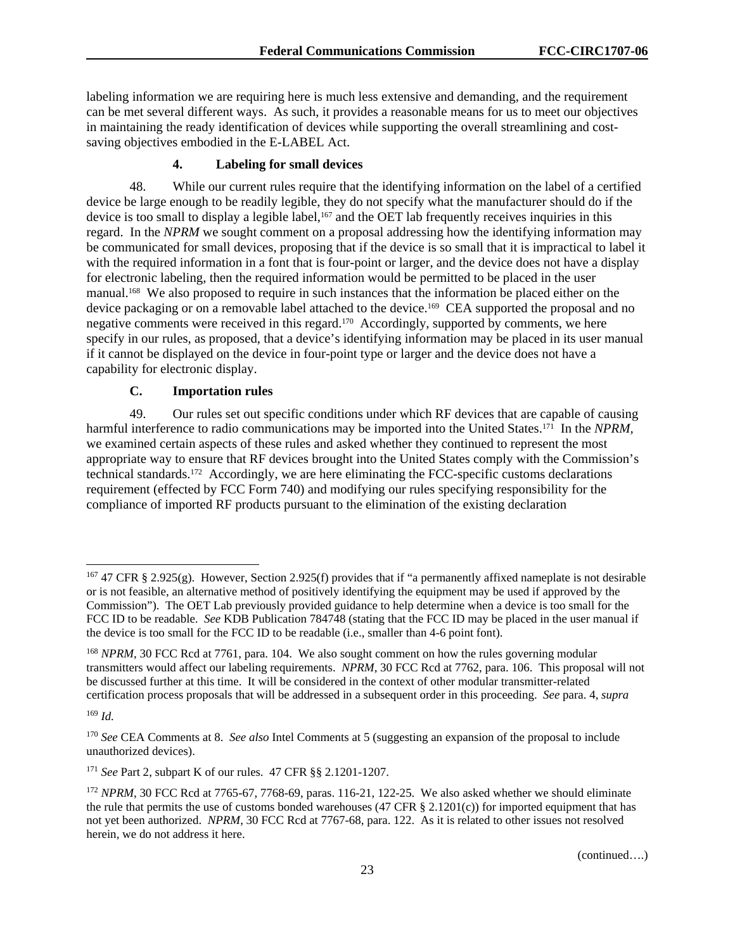labeling information we are requiring here is much less extensive and demanding, and the requirement can be met several different ways. As such, it provides a reasonable means for us to meet our objectives in maintaining the ready identification of devices while supporting the overall streamlining and costsaving objectives embodied in the E-LABEL Act.

## **4. Labeling for small devices**

48. While our current rules require that the identifying information on the label of a certified device be large enough to be readily legible, they do not specify what the manufacturer should do if the device is too small to display a legible label, $167$  and the OET lab frequently receives inquiries in this regard. In the *NPRM* we sought comment on a proposal addressing how the identifying information may be communicated for small devices, proposing that if the device is so small that it is impractical to label it with the required information in a font that is four-point or larger, and the device does not have a display for electronic labeling, then the required information would be permitted to be placed in the user manual.168 We also proposed to require in such instances that the information be placed either on the device packaging or on a removable label attached to the device.<sup>169</sup> CEA supported the proposal and no negative comments were received in this regard.170 Accordingly, supported by comments, we here specify in our rules, as proposed, that a device's identifying information may be placed in its user manual if it cannot be displayed on the device in four-point type or larger and the device does not have a capability for electronic display.

## **C. Importation rules**

49. Our rules set out specific conditions under which RF devices that are capable of causing harmful interference to radio communications may be imported into the United States.<sup>171</sup> In the *NPRM*, we examined certain aspects of these rules and asked whether they continued to represent the most appropriate way to ensure that RF devices brought into the United States comply with the Commission's technical standards.172 Accordingly, we are here eliminating the FCC-specific customs declarations requirement (effected by FCC Form 740) and modifying our rules specifying responsibility for the compliance of imported RF products pursuant to the elimination of the existing declaration

1

 $167$  47 CFR § 2.925(g). However, Section 2.925(f) provides that if "a permanently affixed nameplate is not desirable or is not feasible, an alternative method of positively identifying the equipment may be used if approved by the Commission"). The OET Lab previously provided guidance to help determine when a device is too small for the FCC ID to be readable. *See* KDB Publication 784748 (stating that the FCC ID may be placed in the user manual if the device is too small for the FCC ID to be readable (i.e., smaller than 4-6 point font).

<sup>&</sup>lt;sup>168</sup> *NPRM*, 30 FCC Rcd at 7761, para. 104. We also sought comment on how the rules governing modular transmitters would affect our labeling requirements. *NPRM*, 30 FCC Rcd at 7762, para. 106. This proposal will not be discussed further at this time. It will be considered in the context of other modular transmitter-related certification process proposals that will be addressed in a subsequent order in this proceeding. *See* para. 4, *supra*

<sup>169</sup> *Id.* 

<sup>170</sup> *See* CEA Comments at 8. *See also* Intel Comments at 5 (suggesting an expansion of the proposal to include unauthorized devices).

<sup>171</sup> *See* Part 2, subpart K of our rules. 47 CFR §§ 2.1201-1207.

<sup>&</sup>lt;sup>172</sup> *NPRM*, 30 FCC Rcd at 7765-67, 7768-69, paras. 116-21, 122-25. We also asked whether we should eliminate the rule that permits the use of customs bonded warehouses (47 CFR  $\S$  2.1201(c)) for imported equipment that has not yet been authorized. *NPRM*, 30 FCC Rcd at 7767-68, para. 122. As it is related to other issues not resolved herein, we do not address it here.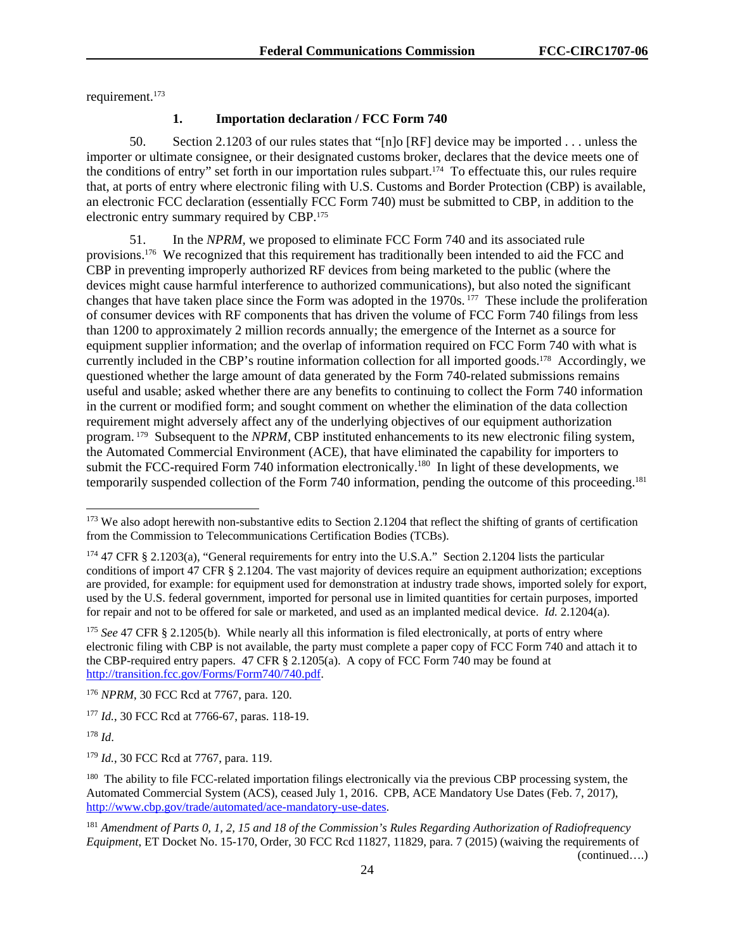requirement.173

# **1. Importation declaration / FCC Form 740**

50. Section 2.1203 of our rules states that "[n]o [RF] device may be imported . . . unless the importer or ultimate consignee, or their designated customs broker, declares that the device meets one of the conditions of entry" set forth in our importation rules subpart.174 To effectuate this, our rules require that, at ports of entry where electronic filing with U.S. Customs and Border Protection (CBP) is available, an electronic FCC declaration (essentially FCC Form 740) must be submitted to CBP, in addition to the electronic entry summary required by CBP.175

51. In the *NPRM,* we proposed to eliminate FCC Form 740 and its associated rule provisions.176 We recognized that this requirement has traditionally been intended to aid the FCC and CBP in preventing improperly authorized RF devices from being marketed to the public (where the devices might cause harmful interference to authorized communications), but also noted the significant changes that have taken place since the Form was adopted in the 1970s. 177 These include the proliferation of consumer devices with RF components that has driven the volume of FCC Form 740 filings from less than 1200 to approximately 2 million records annually; the emergence of the Internet as a source for equipment supplier information; and the overlap of information required on FCC Form 740 with what is currently included in the CBP's routine information collection for all imported goods.178 Accordingly, we questioned whether the large amount of data generated by the Form 740-related submissions remains useful and usable; asked whether there are any benefits to continuing to collect the Form 740 information in the current or modified form; and sought comment on whether the elimination of the data collection requirement might adversely affect any of the underlying objectives of our equipment authorization program. 179 Subsequent to the *NPRM,* CBP instituted enhancements to its new electronic filing system, the Automated Commercial Environment (ACE), that have eliminated the capability for importers to submit the FCC-required Form 740 information electronically.<sup>180</sup> In light of these developments, we temporarily suspended collection of the Form 740 information, pending the outcome of this proceeding.181

<sup>178</sup> *Id*.

1

<sup>179</sup> *Id.*, 30 FCC Rcd at 7767, para. 119.

<sup>180</sup> The ability to file FCC-related importation filings electronically via the previous CBP processing system, the Automated Commercial System (ACS), ceased July 1, 2016. CPB, ACE Mandatory Use Dates (Feb. 7, 2017), http://www.cbp.gov/trade/automated/ace-mandatory-use-dates.

<sup>&</sup>lt;sup>173</sup> We also adopt herewith non-substantive edits to Section 2.1204 that reflect the shifting of grants of certification from the Commission to Telecommunications Certification Bodies (TCBs).

<sup>174 47</sup> CFR § 2.1203(a), "General requirements for entry into the U.S.A." Section 2.1204 lists the particular conditions of import 47 CFR § 2.1204. The vast majority of devices require an equipment authorization; exceptions are provided, for example: for equipment used for demonstration at industry trade shows, imported solely for export, used by the U.S. federal government, imported for personal use in limited quantities for certain purposes, imported for repair and not to be offered for sale or marketed, and used as an implanted medical device. *Id.* 2.1204(a).

<sup>&</sup>lt;sup>175</sup> *See* 47 CFR § 2.1205(b). While nearly all this information is filed electronically, at ports of entry where electronic filing with CBP is not available, the party must complete a paper copy of FCC Form 740 and attach it to the CBP-required entry papers. 47 CFR § 2.1205(a). A copy of FCC Form 740 may be found at http://transition.fcc.gov/Forms/Form740/740.pdf.

<sup>176</sup> *NPRM*, 30 FCC Rcd at 7767, para. 120.

<sup>177</sup> *Id.*, 30 FCC Rcd at 7766-67, paras. 118-19.

<sup>181</sup> *Amendment of Parts 0, 1, 2, 15 and 18 of the Commission's Rules Regarding Authorization of Radiofrequency Equipment*, ET Docket No. 15-170, Order*,* 30 FCC Rcd 11827, 11829, para. 7 (2015) (waiving the requirements of (continued….)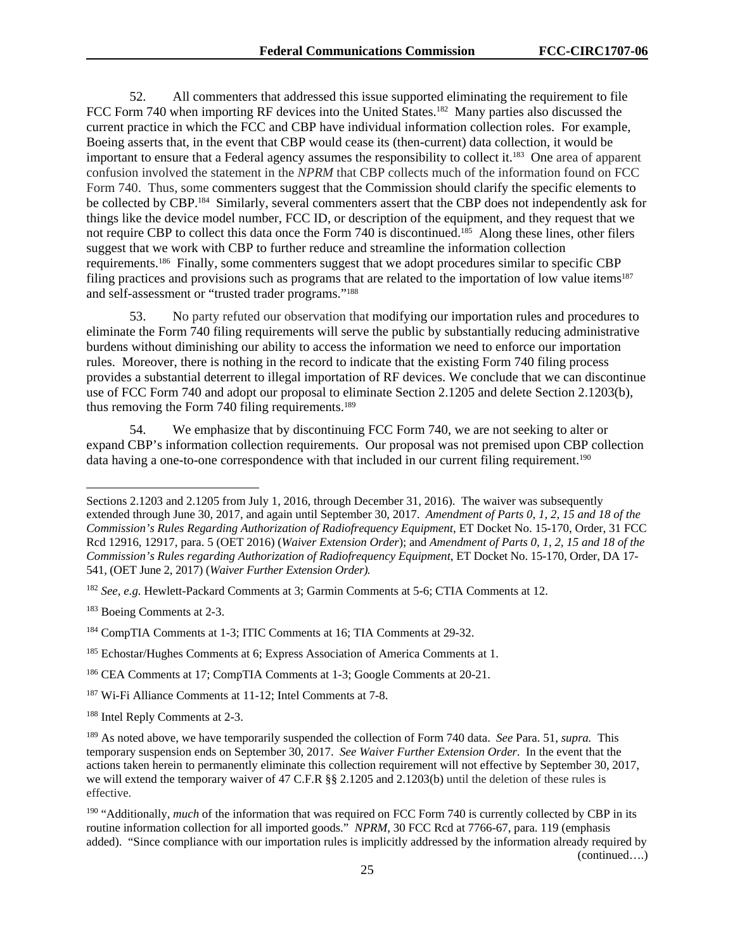52. All commenters that addressed this issue supported eliminating the requirement to file FCC Form 740 when importing RF devices into the United States.<sup>182</sup> Many parties also discussed the current practice in which the FCC and CBP have individual information collection roles. For example, Boeing asserts that, in the event that CBP would cease its (then-current) data collection, it would be important to ensure that a Federal agency assumes the responsibility to collect it.183 One area of apparent confusion involved the statement in the *NPRM* that CBP collects much of the information found on FCC Form 740. Thus, some commenters suggest that the Commission should clarify the specific elements to be collected by CBP.<sup>184</sup> Similarly, several commenters assert that the CBP does not independently ask for things like the device model number, FCC ID, or description of the equipment, and they request that we not require CBP to collect this data once the Form 740 is discontinued.<sup>185</sup> Along these lines, other filers suggest that we work with CBP to further reduce and streamline the information collection requirements.186 Finally, some commenters suggest that we adopt procedures similar to specific CBP filing practices and provisions such as programs that are related to the importation of low value items<sup>187</sup> and self-assessment or "trusted trader programs."188

53. No party refuted our observation that modifying our importation rules and procedures to eliminate the Form 740 filing requirements will serve the public by substantially reducing administrative burdens without diminishing our ability to access the information we need to enforce our importation rules. Moreover, there is nothing in the record to indicate that the existing Form 740 filing process provides a substantial deterrent to illegal importation of RF devices. We conclude that we can discontinue use of FCC Form 740 and adopt our proposal to eliminate Section 2.1205 and delete Section 2.1203(b), thus removing the Form 740 filing requirements.<sup>189</sup>

54. We emphasize that by discontinuing FCC Form 740, we are not seeking to alter or expand CBP's information collection requirements. Our proposal was not premised upon CBP collection data having a one-to-one correspondence with that included in our current filing requirement.<sup>190</sup>

183 Boeing Comments at 2-3.

-

Sections 2.1203 and 2.1205 from July 1, 2016, through December 31, 2016). The waiver was subsequently extended through June 30, 2017, and again until September 30, 2017. *Amendment of Parts 0, 1, 2, 15 and 18 of the Commission's Rules Regarding Authorization of Radiofrequency Equipment*, ET Docket No. 15-170, Order, 31 FCC Rcd 12916, 12917, para. 5 (OET 2016) (*Waiver Extension Order*); and *Amendment of Parts 0, 1, 2, 15 and 18 of the Commission's Rules regarding Authorization of Radiofrequency Equipment*, ET Docket No. 15-170, Order, DA 17- 541, (OET June 2, 2017) (*Waiver Further Extension Order).* 

<sup>&</sup>lt;sup>182</sup> *See, e.g.* Hewlett-Packard Comments at 3; Garmin Comments at 5-6; CTIA Comments at 12.

<sup>184</sup> CompTIA Comments at 1-3; ITIC Comments at 16; TIA Comments at 29-32.

<sup>&</sup>lt;sup>185</sup> Echostar/Hughes Comments at 6; Express Association of America Comments at 1.

<sup>186</sup> CEA Comments at 17; CompTIA Comments at 1-3; Google Comments at 20-21.

<sup>187</sup> Wi-Fi Alliance Comments at 11-12; Intel Comments at 7-8.

<sup>188</sup> Intel Reply Comments at 2-3.

<sup>189</sup> As noted above, we have temporarily suspended the collection of Form 740 data. *See* Para. 51, *supra.* This temporary suspension ends on September 30, 2017. *See Waiver Further Extension Order*. In the event that the actions taken herein to permanently eliminate this collection requirement will not effective by September 30, 2017, we will extend the temporary waiver of 47 C.F.R §§ 2.1205 and 2.1203(b) until the deletion of these rules is effective.

<sup>&</sup>lt;sup>190</sup> "Additionally, *much* of the information that was required on FCC Form 740 is currently collected by CBP in its routine information collection for all imported goods." *NPRM*, 30 FCC Rcd at 7766-67, para. 119 (emphasis added). "Since compliance with our importation rules is implicitly addressed by the information already required by (continued….)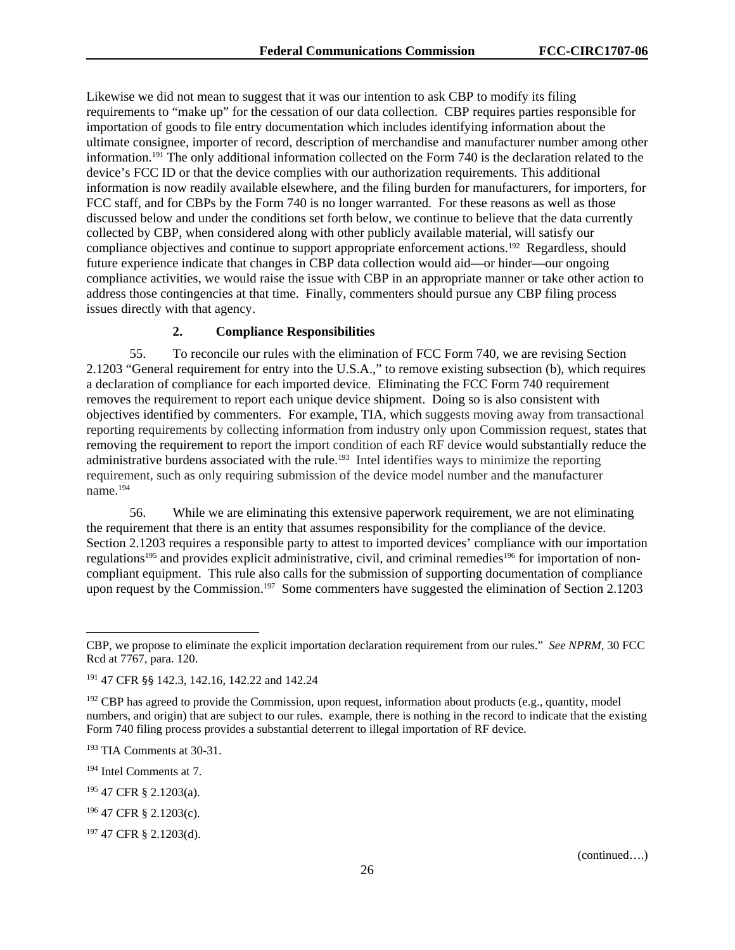Likewise we did not mean to suggest that it was our intention to ask CBP to modify its filing requirements to "make up" for the cessation of our data collection. CBP requires parties responsible for importation of goods to file entry documentation which includes identifying information about the ultimate consignee, importer of record, description of merchandise and manufacturer number among other information.191 The only additional information collected on the Form 740 is the declaration related to the device's FCC ID or that the device complies with our authorization requirements. This additional information is now readily available elsewhere, and the filing burden for manufacturers, for importers, for FCC staff, and for CBPs by the Form 740 is no longer warranted. For these reasons as well as those discussed below and under the conditions set forth below, we continue to believe that the data currently collected by CBP, when considered along with other publicly available material, will satisfy our compliance objectives and continue to support appropriate enforcement actions.<sup>192</sup> Regardless, should future experience indicate that changes in CBP data collection would aid—or hinder—our ongoing compliance activities, we would raise the issue with CBP in an appropriate manner or take other action to address those contingencies at that time. Finally, commenters should pursue any CBP filing process issues directly with that agency.

# **2. Compliance Responsibilities**

55. To reconcile our rules with the elimination of FCC Form 740, we are revising Section 2.1203 "General requirement for entry into the U.S.A.," to remove existing subsection (b), which requires a declaration of compliance for each imported device. Eliminating the FCC Form 740 requirement removes the requirement to report each unique device shipment. Doing so is also consistent with objectives identified by commenters. For example, TIA, which suggests moving away from transactional reporting requirements by collecting information from industry only upon Commission request, states that removing the requirement to report the import condition of each RF device would substantially reduce the administrative burdens associated with the rule.<sup>193</sup> Intel identifies ways to minimize the reporting requirement, such as only requiring submission of the device model number and the manufacturer name.194

56. While we are eliminating this extensive paperwork requirement, we are not eliminating the requirement that there is an entity that assumes responsibility for the compliance of the device. Section 2.1203 requires a responsible party to attest to imported devices' compliance with our importation regulations<sup>195</sup> and provides explicit administrative, civil, and criminal remedies<sup>196</sup> for importation of noncompliant equipment. This rule also calls for the submission of supporting documentation of compliance upon request by the Commission.<sup>197</sup> Some commenters have suggested the elimination of Section 2.1203

1

CBP, we propose to eliminate the explicit importation declaration requirement from our rules." *See NPRM*, 30 FCC Rcd at 7767, para. 120.

<sup>191 47</sup> CFR §§ 142.3, 142.16, 142.22 and 142.24

 $192$  CBP has agreed to provide the Commission, upon request, information about products (e.g., quantity, model numbers, and origin) that are subject to our rules. example, there is nothing in the record to indicate that the existing Form 740 filing process provides a substantial deterrent to illegal importation of RF device.

<sup>193</sup> TIA Comments at 30-31.

<sup>194</sup> Intel Comments at 7.

<sup>195 47</sup> CFR § 2.1203(a).

<sup>196 47</sup> CFR § 2.1203(c).

<sup>197 47</sup> CFR § 2.1203(d).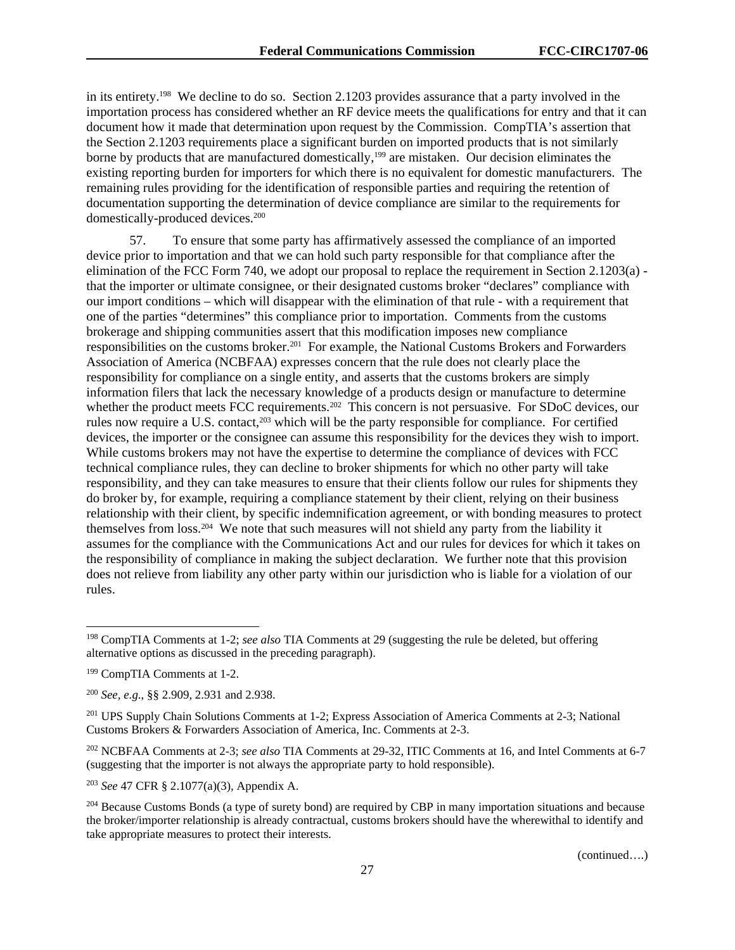in its entirety.198 We decline to do so. Section 2.1203 provides assurance that a party involved in the importation process has considered whether an RF device meets the qualifications for entry and that it can document how it made that determination upon request by the Commission. CompTIA's assertion that the Section 2.1203 requirements place a significant burden on imported products that is not similarly borne by products that are manufactured domestically,<sup>199</sup> are mistaken. Our decision eliminates the existing reporting burden for importers for which there is no equivalent for domestic manufacturers. The remaining rules providing for the identification of responsible parties and requiring the retention of documentation supporting the determination of device compliance are similar to the requirements for domestically-produced devices.<sup>200</sup>

57. To ensure that some party has affirmatively assessed the compliance of an imported device prior to importation and that we can hold such party responsible for that compliance after the elimination of the FCC Form 740, we adopt our proposal to replace the requirement in Section 2.1203(a) that the importer or ultimate consignee, or their designated customs broker "declares" compliance with our import conditions – which will disappear with the elimination of that rule - with a requirement that one of the parties "determines" this compliance prior to importation. Comments from the customs brokerage and shipping communities assert that this modification imposes new compliance responsibilities on the customs broker.201 For example, the National Customs Brokers and Forwarders Association of America (NCBFAA) expresses concern that the rule does not clearly place the responsibility for compliance on a single entity, and asserts that the customs brokers are simply information filers that lack the necessary knowledge of a products design or manufacture to determine whether the product meets FCC requirements.<sup>202</sup> This concern is not persuasive. For SDoC devices, our rules now require a U.S. contact,<sup>203</sup> which will be the party responsible for compliance. For certified devices, the importer or the consignee can assume this responsibility for the devices they wish to import. While customs brokers may not have the expertise to determine the compliance of devices with FCC technical compliance rules, they can decline to broker shipments for which no other party will take responsibility, and they can take measures to ensure that their clients follow our rules for shipments they do broker by, for example, requiring a compliance statement by their client, relying on their business relationship with their client, by specific indemnification agreement, or with bonding measures to protect themselves from loss.204 We note that such measures will not shield any party from the liability it assumes for the compliance with the Communications Act and our rules for devices for which it takes on the responsibility of compliance in making the subject declaration. We further note that this provision does not relieve from liability any other party within our jurisdiction who is liable for a violation of our rules.

l

<sup>203</sup> *See* 47 CFR § 2.1077(a)(3), Appendix A.

<sup>198</sup> CompTIA Comments at 1-2; *see also* TIA Comments at 29 (suggesting the rule be deleted, but offering alternative options as discussed in the preceding paragraph).

<sup>199</sup> CompTIA Comments at 1-2.

<sup>200</sup> *See, e.g.*, §§ 2.909, 2.931 and 2.938.

<sup>201</sup> UPS Supply Chain Solutions Comments at 1-2; Express Association of America Comments at 2-3; National Customs Brokers & Forwarders Association of America, Inc. Comments at 2-3.

<sup>202</sup> NCBFAA Comments at 2-3; *see also* TIA Comments at 29-32, ITIC Comments at 16, and Intel Comments at 6-7 (suggesting that the importer is not always the appropriate party to hold responsible).

<sup>&</sup>lt;sup>204</sup> Because Customs Bonds (a type of surety bond) are required by CBP in many importation situations and because the broker/importer relationship is already contractual, customs brokers should have the wherewithal to identify and take appropriate measures to protect their interests.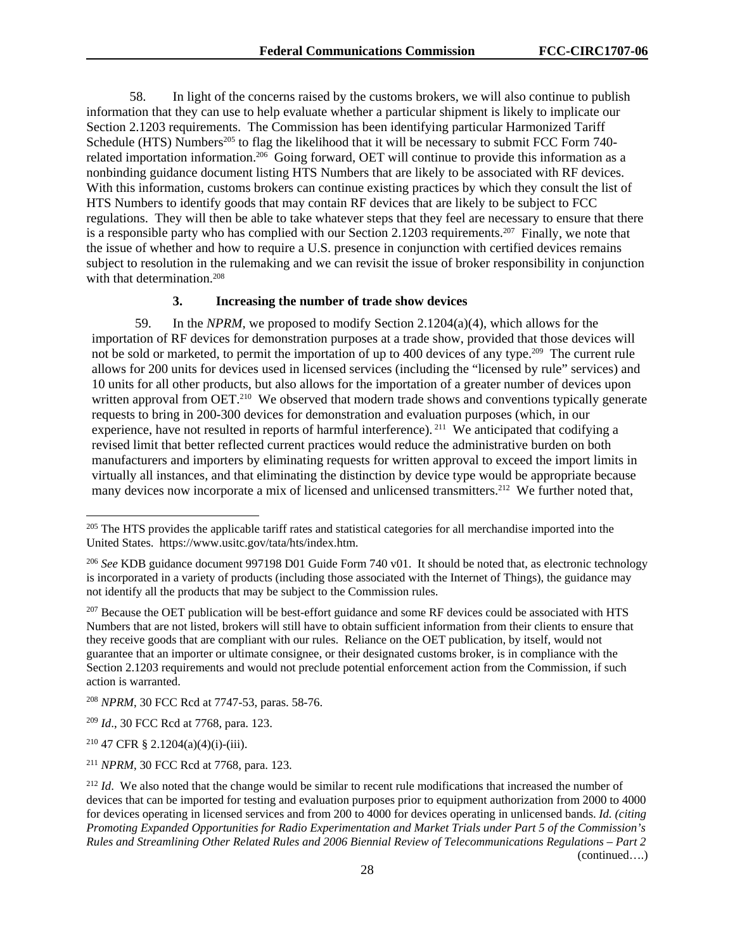58. In light of the concerns raised by the customs brokers, we will also continue to publish information that they can use to help evaluate whether a particular shipment is likely to implicate our Section 2.1203 requirements. The Commission has been identifying particular Harmonized Tariff Schedule (HTS) Numbers<sup>205</sup> to flag the likelihood that it will be necessary to submit FCC Form 740related importation information.206 Going forward, OET will continue to provide this information as a nonbinding guidance document listing HTS Numbers that are likely to be associated with RF devices. With this information, customs brokers can continue existing practices by which they consult the list of HTS Numbers to identify goods that may contain RF devices that are likely to be subject to FCC regulations. They will then be able to take whatever steps that they feel are necessary to ensure that there is a responsible party who has complied with our Section 2.1203 requirements.207 Finally, we note that the issue of whether and how to require a U.S. presence in conjunction with certified devices remains subject to resolution in the rulemaking and we can revisit the issue of broker responsibility in conjunction with that determination.<sup>208</sup>

#### **3. Increasing the number of trade show devices**

59. In the *NPRM,* we proposed to modify Section 2.1204(a)(4), which allows for the importation of RF devices for demonstration purposes at a trade show, provided that those devices will not be sold or marketed, to permit the importation of up to 400 devices of any type.209 The current rule allows for 200 units for devices used in licensed services (including the "licensed by rule" services) and 10 units for all other products, but also allows for the importation of a greater number of devices upon written approval from OET.<sup>210</sup> We observed that modern trade shows and conventions typically generate requests to bring in 200-300 devices for demonstration and evaluation purposes (which, in our experience, have not resulted in reports of harmful interference). 211 We anticipated that codifying a revised limit that better reflected current practices would reduce the administrative burden on both manufacturers and importers by eliminating requests for written approval to exceed the import limits in virtually all instances, and that eliminating the distinction by device type would be appropriate because many devices now incorporate a mix of licensed and unlicensed transmitters.<sup>212</sup> We further noted that,

<sup>208</sup> *NPRM*, 30 FCC Rcd at 7747-53, paras. 58-76.

<sup>209</sup> *Id*., 30 FCC Rcd at 7768, para. 123.

<sup>210</sup> 47 CFR § 2.1204(a)(4)(i)-(iii).

1

<sup>211</sup> *NPRM*, 30 FCC Rcd at 7768, para. 123.

<sup>&</sup>lt;sup>205</sup> The HTS provides the applicable tariff rates and statistical categories for all merchandise imported into the United States. https://www.usitc.gov/tata/hts/index.htm.

<sup>206</sup> *See* KDB guidance document 997198 D01 Guide Form 740 v01. It should be noted that, as electronic technology is incorporated in a variety of products (including those associated with the Internet of Things), the guidance may not identify all the products that may be subject to the Commission rules.

<sup>&</sup>lt;sup>207</sup> Because the OET publication will be best-effort guidance and some RF devices could be associated with HTS Numbers that are not listed, brokers will still have to obtain sufficient information from their clients to ensure that they receive goods that are compliant with our rules. Reliance on the OET publication, by itself, would not guarantee that an importer or ultimate consignee, or their designated customs broker, is in compliance with the Section 2.1203 requirements and would not preclude potential enforcement action from the Commission, if such action is warranted.

<sup>&</sup>lt;sup>212</sup> *Id*. We also noted that the change would be similar to recent rule modifications that increased the number of devices that can be imported for testing and evaluation purposes prior to equipment authorization from 2000 to 4000 for devices operating in licensed services and from 200 to 4000 for devices operating in unlicensed bands. *Id. (citing Promoting Expanded Opportunities for Radio Experimentation and Market Trials under Part 5 of the Commission's Rules and Streamlining Other Related Rules and 2006 Biennial Review of Telecommunications Regulations – Part 2*  (continued….)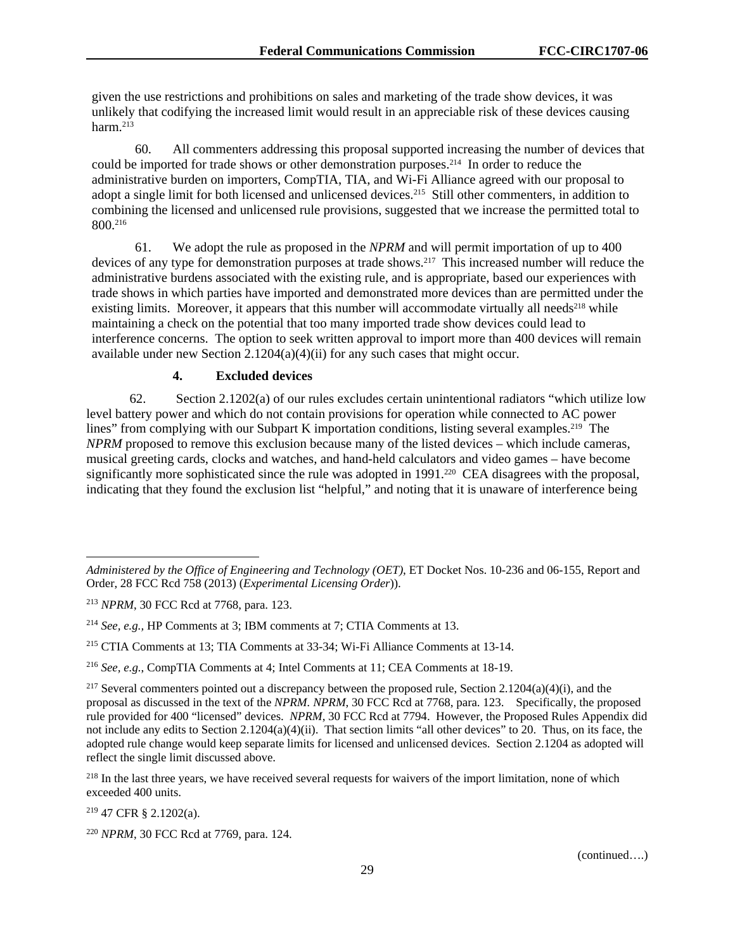given the use restrictions and prohibitions on sales and marketing of the trade show devices, it was unlikely that codifying the increased limit would result in an appreciable risk of these devices causing harm.213

60. All commenters addressing this proposal supported increasing the number of devices that could be imported for trade shows or other demonstration purposes.<sup>214</sup> In order to reduce the administrative burden on importers, CompTIA, TIA, and Wi-Fi Alliance agreed with our proposal to adopt a single limit for both licensed and unlicensed devices.<sup>215</sup> Still other commenters, in addition to combining the licensed and unlicensed rule provisions, suggested that we increase the permitted total to 800.216

61. We adopt the rule as proposed in the *NPRM* and will permit importation of up to 400 devices of any type for demonstration purposes at trade shows.<sup>217</sup> This increased number will reduce the administrative burdens associated with the existing rule, and is appropriate, based our experiences with trade shows in which parties have imported and demonstrated more devices than are permitted under the existing limits. Moreover, it appears that this number will accommodate virtually all needs<sup>218</sup> while maintaining a check on the potential that too many imported trade show devices could lead to interference concerns. The option to seek written approval to import more than 400 devices will remain available under new Section 2.1204(a)(4)(ii) for any such cases that might occur.

# **4. Excluded devices**

62. Section 2.1202(a) of our rules excludes certain unintentional radiators "which utilize low level battery power and which do not contain provisions for operation while connected to AC power lines" from complying with our Subpart K importation conditions, listing several examples.<sup>219</sup> The *NPRM* proposed to remove this exclusion because many of the listed devices – which include cameras, musical greeting cards, clocks and watches, and hand-held calculators and video games – have become significantly more sophisticated since the rule was adopted in 1991.<sup>220</sup> CEA disagrees with the proposal, indicating that they found the exclusion list "helpful," and noting that it is unaware of interference being

219 47 CFR § 2.1202(a).

l

*Administered by the Office of Engineering and Technology (OET)*, ET Docket Nos. 10-236 and 06-155, Report and Order, 28 FCC Rcd 758 (2013) (*Experimental Licensing Order*)).

<sup>213</sup> *NPRM*, 30 FCC Rcd at 7768, para. 123.

<sup>214</sup> *See, e.g.,* HP Comments at 3; IBM comments at 7; CTIA Comments at 13.

<sup>215</sup> CTIA Comments at 13; TIA Comments at 33-34; Wi-Fi Alliance Comments at 13-14.

<sup>216</sup> *See, e.g.*, CompTIA Comments at 4; Intel Comments at 11; CEA Comments at 18-19.

<sup>&</sup>lt;sup>217</sup> Several commenters pointed out a discrepancy between the proposed rule, Section 2.1204(a)(4)(i), and the proposal as discussed in the text of the *NPRM. NPRM*, 30 FCC Rcd at 7768, para. 123. Specifically, the proposed rule provided for 400 "licensed" devices. *NPRM*, 30 FCC Rcd at 7794. However, the Proposed Rules Appendix did not include any edits to Section  $2.1204(a)(4)(ii)$ . That section limits "all other devices" to 20. Thus, on its face, the adopted rule change would keep separate limits for licensed and unlicensed devices. Section 2.1204 as adopted will reflect the single limit discussed above.

<sup>&</sup>lt;sup>218</sup> In the last three years, we have received several requests for waivers of the import limitation, none of which exceeded 400 units.

<sup>220</sup> *NPRM*, 30 FCC Rcd at 7769, para. 124.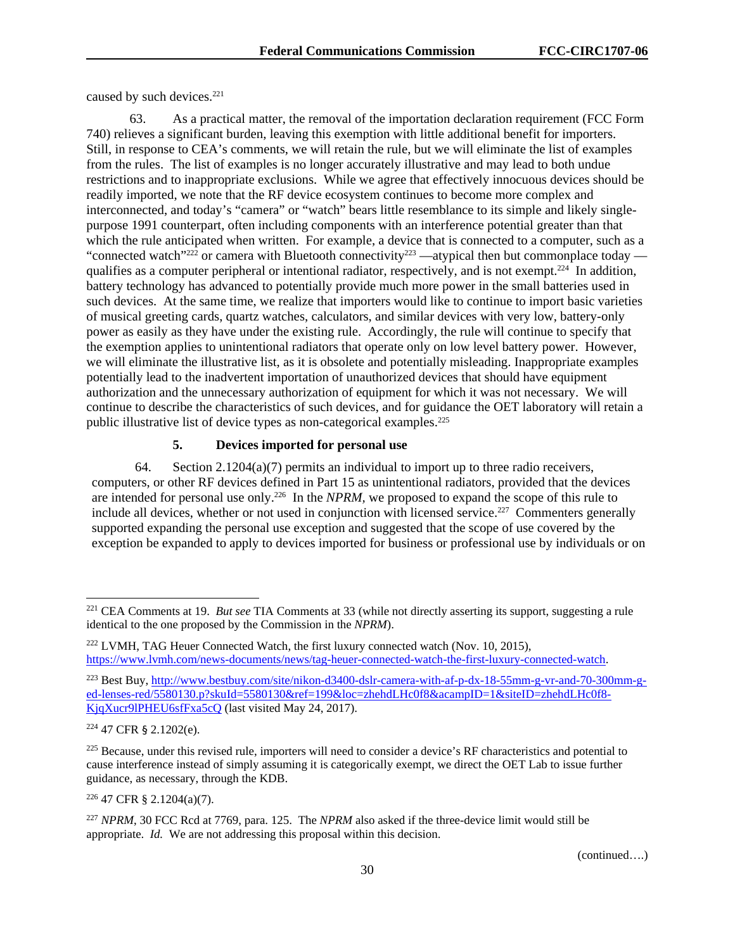caused by such devices.<sup>221</sup>

63. As a practical matter, the removal of the importation declaration requirement (FCC Form 740) relieves a significant burden, leaving this exemption with little additional benefit for importers. Still, in response to CEA's comments, we will retain the rule, but we will eliminate the list of examples from the rules. The list of examples is no longer accurately illustrative and may lead to both undue restrictions and to inappropriate exclusions. While we agree that effectively innocuous devices should be readily imported, we note that the RF device ecosystem continues to become more complex and interconnected, and today's "camera" or "watch" bears little resemblance to its simple and likely singlepurpose 1991 counterpart, often including components with an interference potential greater than that which the rule anticipated when written. For example, a device that is connected to a computer, such as a "connected watch"<sup>222</sup> or camera with Bluetooth connectivity<sup>223</sup> —atypical then but commonplace today qualifies as a computer peripheral or intentional radiator, respectively, and is not exempt.<sup>224</sup> In addition, battery technology has advanced to potentially provide much more power in the small batteries used in such devices. At the same time, we realize that importers would like to continue to import basic varieties of musical greeting cards, quartz watches, calculators, and similar devices with very low, battery-only power as easily as they have under the existing rule. Accordingly, the rule will continue to specify that the exemption applies to unintentional radiators that operate only on low level battery power. However, we will eliminate the illustrative list, as it is obsolete and potentially misleading. Inappropriate examples potentially lead to the inadvertent importation of unauthorized devices that should have equipment authorization and the unnecessary authorization of equipment for which it was not necessary. We will continue to describe the characteristics of such devices, and for guidance the OET laboratory will retain a public illustrative list of device types as non-categorical examples.225

# **5. Devices imported for personal use**

64. Section 2.1204(a)(7) permits an individual to import up to three radio receivers, computers, or other RF devices defined in Part 15 as unintentional radiators, provided that the devices are intended for personal use only.226 In the *NPRM,* we proposed to expand the scope of this rule to include all devices, whether or not used in conjunction with licensed service.<sup>227</sup> Commenters generally supported expanding the personal use exception and suggested that the scope of use covered by the exception be expanded to apply to devices imported for business or professional use by individuals or on

1

226 47 CFR § 2.1204(a)(7).

<sup>221</sup> CEA Comments at 19. *But see* TIA Comments at 33 (while not directly asserting its support, suggesting a rule identical to the one proposed by the Commission in the *NPRM*).

 $222$  LVMH, TAG Heuer Connected Watch, the first luxury connected watch (Nov. 10, 2015), https://www.lvmh.com/news-documents/news/tag-heuer-connected-watch-the-first-luxury-connected-watch.

<sup>223</sup> Best Buy, http://www.bestbuy.com/site/nikon-d3400-dslr-camera-with-af-p-dx-18-55mm-g-vr-and-70-300mm-ged-lenses-red/5580130.p?skuId=5580130&ref=199&loc=zhehdLHc0f8&acampID=1&siteID=zhehdLHc0f8- KjqXucr9lPHEU6sfFxa5cQ (last visited May 24, 2017).

<sup>224 47</sup> CFR § 2.1202(e).

 $225$  Because, under this revised rule, importers will need to consider a device's RF characteristics and potential to cause interference instead of simply assuming it is categorically exempt, we direct the OET Lab to issue further guidance, as necessary, through the KDB.

<sup>227</sup> *NPRM*, 30 FCC Rcd at 7769, para. 125. The *NPRM* also asked if the three-device limit would still be appropriate. *Id.* We are not addressing this proposal within this decision.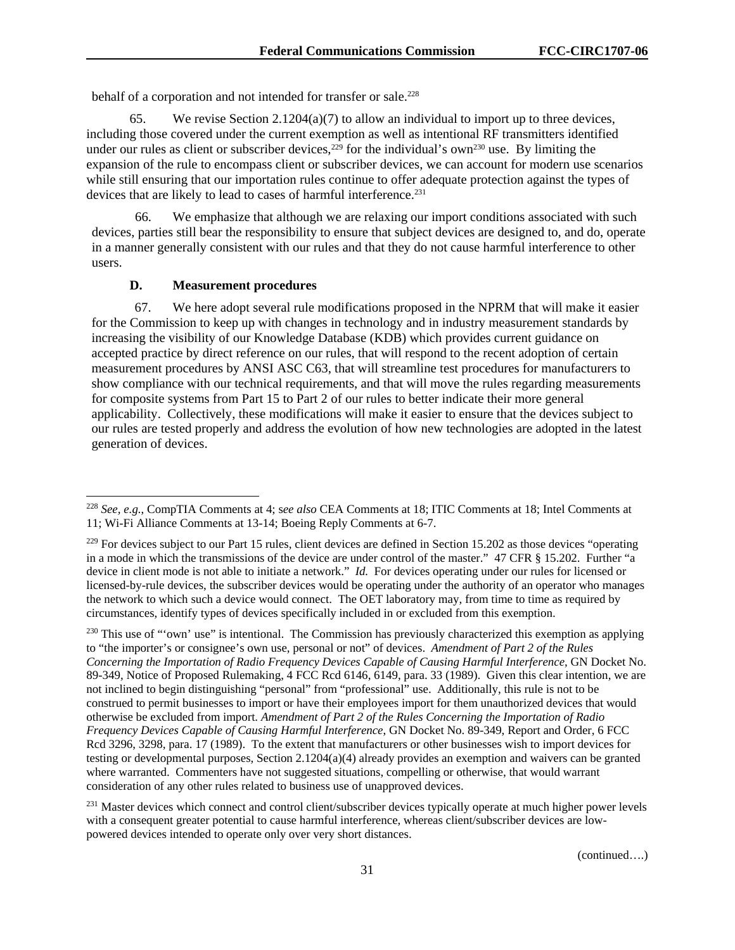behalf of a corporation and not intended for transfer or sale.<sup>228</sup>

65. We revise Section 2.1204(a)(7) to allow an individual to import up to three devices, including those covered under the current exemption as well as intentional RF transmitters identified under our rules as client or subscriber devices,<sup>229</sup> for the individual's own<sup>230</sup> use. By limiting the expansion of the rule to encompass client or subscriber devices, we can account for modern use scenarios while still ensuring that our importation rules continue to offer adequate protection against the types of devices that are likely to lead to cases of harmful interference.<sup>231</sup>

66. We emphasize that although we are relaxing our import conditions associated with such devices, parties still bear the responsibility to ensure that subject devices are designed to, and do, operate in a manner generally consistent with our rules and that they do not cause harmful interference to other users.

## **D. Measurement procedures**

l

67. We here adopt several rule modifications proposed in the NPRM that will make it easier for the Commission to keep up with changes in technology and in industry measurement standards by increasing the visibility of our Knowledge Database (KDB) which provides current guidance on accepted practice by direct reference on our rules, that will respond to the recent adoption of certain measurement procedures by ANSI ASC C63, that will streamline test procedures for manufacturers to show compliance with our technical requirements, and that will move the rules regarding measurements for composite systems from Part 15 to Part 2 of our rules to better indicate their more general applicability. Collectively, these modifications will make it easier to ensure that the devices subject to our rules are tested properly and address the evolution of how new technologies are adopted in the latest generation of devices.

<sup>228</sup> *See, e.g.*, CompTIA Comments at 4; s*ee also* CEA Comments at 18; ITIC Comments at 18; Intel Comments at 11; Wi-Fi Alliance Comments at 13-14; Boeing Reply Comments at 6-7.

 $^{229}$  For devices subject to our Part 15 rules, client devices are defined in Section 15.202 as those devices "operating in a mode in which the transmissions of the device are under control of the master." 47 CFR § 15.202. Further "a device in client mode is not able to initiate a network." *Id.* For devices operating under our rules for licensed or licensed-by-rule devices, the subscriber devices would be operating under the authority of an operator who manages the network to which such a device would connect. The OET laboratory may, from time to time as required by circumstances, identify types of devices specifically included in or excluded from this exemption.

<sup>&</sup>lt;sup>230</sup> This use of "'own' use" is intentional. The Commission has previously characterized this exemption as applying to "the importer's or consignee's own use, personal or not" of devices. *Amendment of Part 2 of the Rules Concerning the Importation of Radio Frequency Devices Capable of Causing Harmful Interference*, GN Docket No. 89-349, Notice of Proposed Rulemaking, 4 FCC Rcd 6146, 6149, para. 33 (1989). Given this clear intention, we are not inclined to begin distinguishing "personal" from "professional" use. Additionally, this rule is not to be construed to permit businesses to import or have their employees import for them unauthorized devices that would otherwise be excluded from import. *Amendment of Part 2 of the Rules Concerning the Importation of Radio Frequency Devices Capable of Causing Harmful Interference*, GN Docket No. 89-349, Report and Order, 6 FCC Rcd 3296, 3298, para. 17 (1989). To the extent that manufacturers or other businesses wish to import devices for testing or developmental purposes, Section 2.1204(a)(4) already provides an exemption and waivers can be granted where warranted. Commenters have not suggested situations, compelling or otherwise, that would warrant consideration of any other rules related to business use of unapproved devices.

<sup>&</sup>lt;sup>231</sup> Master devices which connect and control client/subscriber devices typically operate at much higher power levels with a consequent greater potential to cause harmful interference, whereas client/subscriber devices are lowpowered devices intended to operate only over very short distances.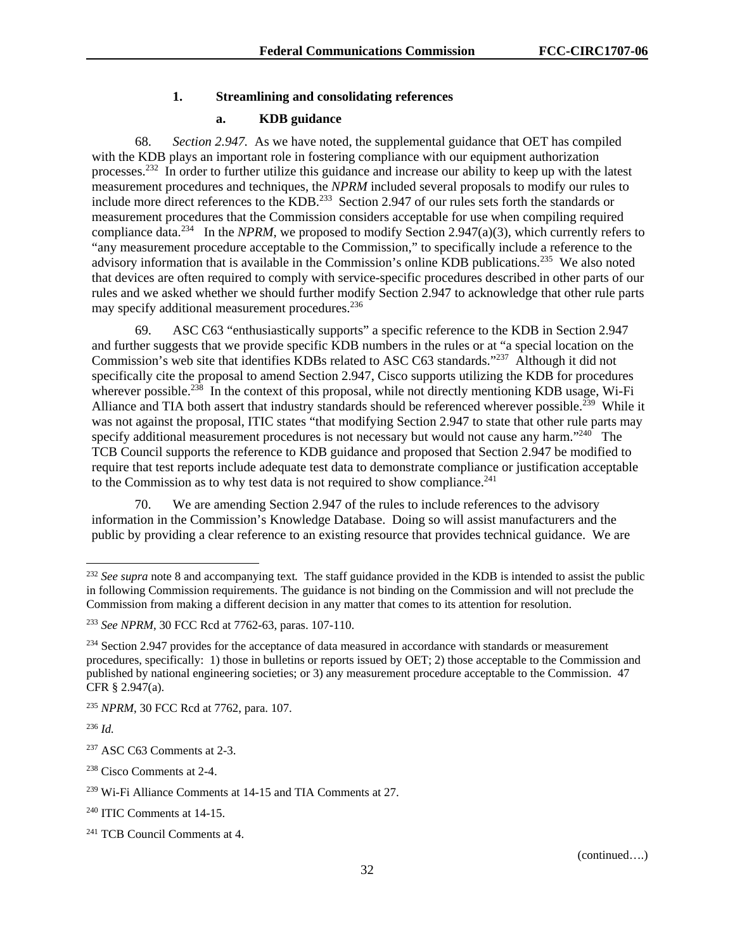## **1. Streamlining and consolidating references**

#### **a. KDB guidance**

68. *Section 2.947.* As we have noted, the supplemental guidance that OET has compiled with the KDB plays an important role in fostering compliance with our equipment authorization processes.232 In order to further utilize this guidance and increase our ability to keep up with the latest measurement procedures and techniques, the *NPRM* included several proposals to modify our rules to include more direct references to the KDB.<sup>233</sup> Section 2.947 of our rules sets forth the standards or measurement procedures that the Commission considers acceptable for use when compiling required compliance data.<sup>234</sup> In the *NPRM*, we proposed to modify Section 2.947(a)(3), which currently refers to "any measurement procedure acceptable to the Commission," to specifically include a reference to the advisory information that is available in the Commission's online KDB publications.<sup>235</sup> We also noted that devices are often required to comply with service-specific procedures described in other parts of our rules and we asked whether we should further modify Section 2.947 to acknowledge that other rule parts may specify additional measurement procedures.<sup>236</sup>

69. ASC C63 "enthusiastically supports" a specific reference to the KDB in Section 2.947 and further suggests that we provide specific KDB numbers in the rules or at "a special location on the Commission's web site that identifies KDBs related to ASC C63 standards."<sup>237</sup> Although it did not specifically cite the proposal to amend Section 2.947, Cisco supports utilizing the KDB for procedures wherever possible.<sup>238</sup> In the context of this proposal, while not directly mentioning KDB usage, Wi-Fi Alliance and TIA both assert that industry standards should be referenced wherever possible.<sup>239</sup> While it was not against the proposal, ITIC states "that modifying Section 2.947 to state that other rule parts may specify additional measurement procedures is not necessary but would not cause any harm."<sup>240</sup> The TCB Council supports the reference to KDB guidance and proposed that Section 2.947 be modified to require that test reports include adequate test data to demonstrate compliance or justification acceptable to the Commission as to why test data is not required to show compliance.<sup>241</sup>

70. We are amending Section 2.947 of the rules to include references to the advisory information in the Commission's Knowledge Database. Doing so will assist manufacturers and the public by providing a clear reference to an existing resource that provides technical guidance. We are

<sup>236</sup> *Id.* 

l

<sup>232</sup> *See supra* note 8 and accompanying text*.* The staff guidance provided in the KDB is intended to assist the public in following Commission requirements. The guidance is not binding on the Commission and will not preclude the Commission from making a different decision in any matter that comes to its attention for resolution.

<sup>233</sup> *See NPRM*, 30 FCC Rcd at 7762-63, paras. 107-110.

<sup>&</sup>lt;sup>234</sup> Section 2.947 provides for the acceptance of data measured in accordance with standards or measurement procedures, specifically: 1) those in bulletins or reports issued by OET; 2) those acceptable to the Commission and published by national engineering societies; or 3) any measurement procedure acceptable to the Commission. 47 CFR § 2.947(a).

<sup>235</sup> *NPRM*, 30 FCC Rcd at 7762, para. 107.

<sup>237</sup> ASC C63 Comments at 2-3.

<sup>238</sup> Cisco Comments at 2-4.

<sup>239</sup> Wi-Fi Alliance Comments at 14-15 and TIA Comments at 27.

<sup>240</sup> ITIC Comments at 14-15.

<sup>&</sup>lt;sup>241</sup> TCB Council Comments at 4.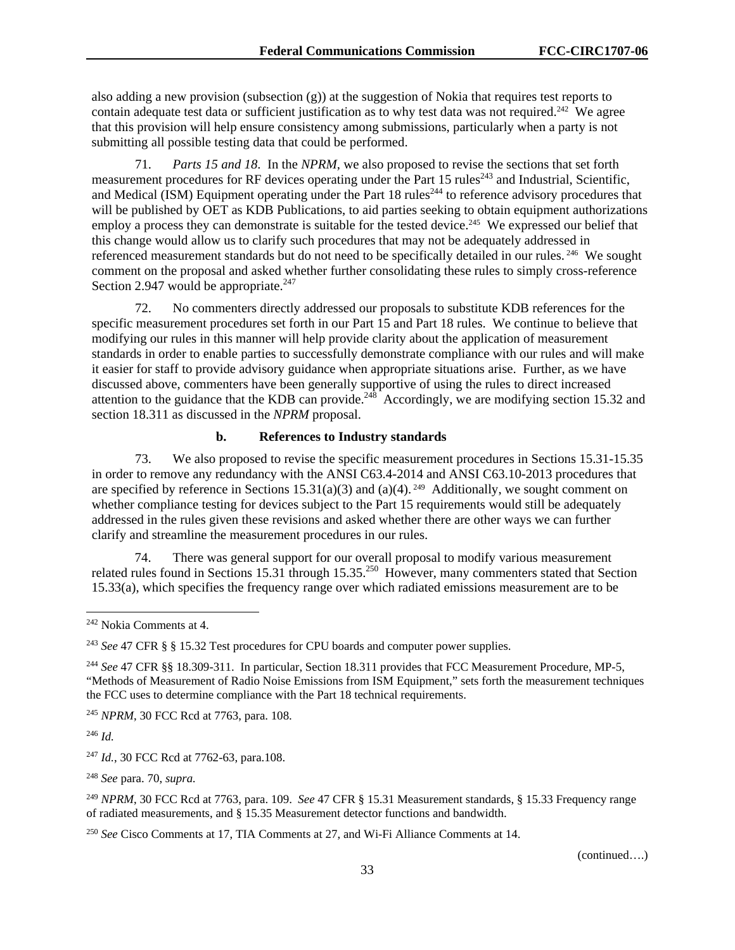also adding a new provision (subsection  $(g)$ ) at the suggestion of Nokia that requires test reports to contain adequate test data or sufficient justification as to why test data was not required.<sup>242</sup> We agree that this provision will help ensure consistency among submissions, particularly when a party is not submitting all possible testing data that could be performed.

71. *Parts 15 and 18*. In the *NPRM*, we also proposed to revise the sections that set forth measurement procedures for RF devices operating under the Part 15 rules<sup>243</sup> and Industrial, Scientific, and Medical (ISM) Equipment operating under the Part 18 rules<sup>244</sup> to reference advisory procedures that will be published by OET as KDB Publications, to aid parties seeking to obtain equipment authorizations employ a process they can demonstrate is suitable for the tested device.<sup>245</sup> We expressed our belief that this change would allow us to clarify such procedures that may not be adequately addressed in referenced measurement standards but do not need to be specifically detailed in our rules. 246 We sought comment on the proposal and asked whether further consolidating these rules to simply cross-reference Section 2.947 would be appropriate. $247$ 

72. No commenters directly addressed our proposals to substitute KDB references for the specific measurement procedures set forth in our Part 15 and Part 18 rules. We continue to believe that modifying our rules in this manner will help provide clarity about the application of measurement standards in order to enable parties to successfully demonstrate compliance with our rules and will make it easier for staff to provide advisory guidance when appropriate situations arise. Further, as we have discussed above, commenters have been generally supportive of using the rules to direct increased attention to the guidance that the KDB can provide.<sup>248</sup> Accordingly, we are modifying section 15.32 and section 18.311 as discussed in the *NPRM* proposal.

## **b. References to Industry standards**

73. We also proposed to revise the specific measurement procedures in Sections 15.31-15.35 in order to remove any redundancy with the ANSI C63.4-2014 and ANSI C63.10-2013 procedures that are specified by reference in Sections 15.31(a)(3) and (a)(4).<sup>249</sup> Additionally, we sought comment on whether compliance testing for devices subject to the Part 15 requirements would still be adequately addressed in the rules given these revisions and asked whether there are other ways we can further clarify and streamline the measurement procedures in our rules.

74. There was general support for our overall proposal to modify various measurement related rules found in Sections 15.31 through 15.35.<sup>250</sup> However, many commenters stated that Section 15.33(a), which specifies the frequency range over which radiated emissions measurement are to be

<sup>245</sup> *NPRM*, 30 FCC Rcd at 7763, para. 108.

<sup>246</sup> *Id.*

-

<sup>247</sup> *Id.*, 30 FCC Rcd at 7762-63, para.108.

<sup>248</sup> *See* para. 70, *supra.*

<sup>249</sup> *NPRM*, 30 FCC Rcd at 7763, para. 109. *See* 47 CFR § 15.31 Measurement standards, § 15.33 Frequency range of radiated measurements, and § 15.35 Measurement detector functions and bandwidth.

<sup>250</sup> *See* Cisco Comments at 17, TIA Comments at 27, and Wi-Fi Alliance Comments at 14.

<sup>242</sup> Nokia Comments at 4.

<sup>243</sup> *See* 47 CFR § § 15.32 Test procedures for CPU boards and computer power supplies.

<sup>244</sup> *See* 47 CFR §§ 18.309-311. In particular, Section 18.311 provides that FCC Measurement Procedure, MP-5, "Methods of Measurement of Radio Noise Emissions from ISM Equipment," sets forth the measurement techniques the FCC uses to determine compliance with the Part 18 technical requirements.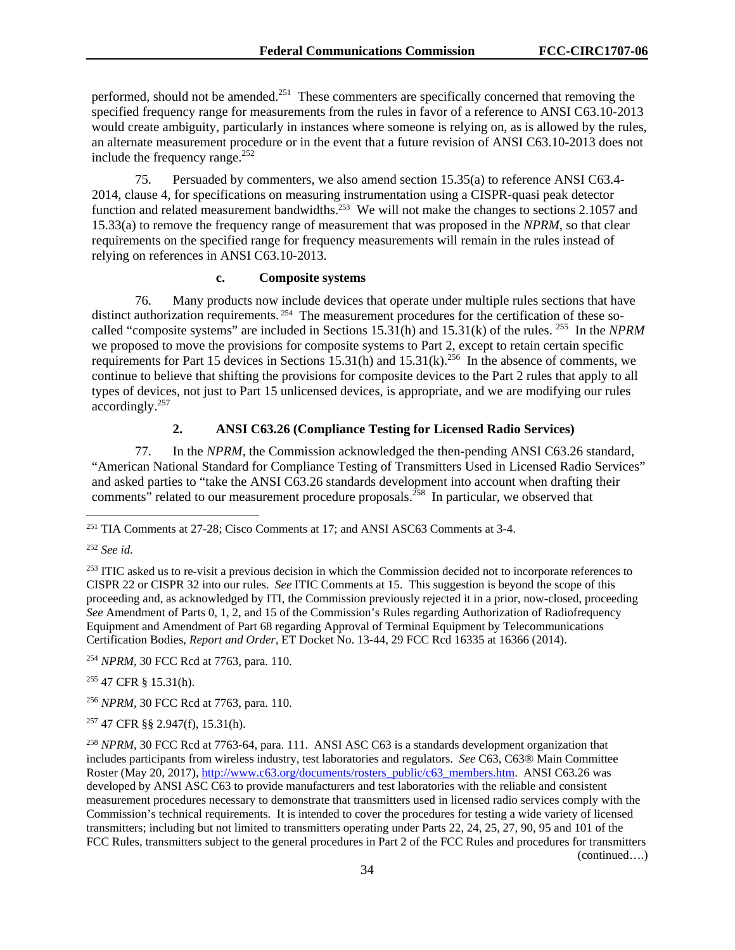performed, should not be amended.<sup>251</sup> These commenters are specifically concerned that removing the specified frequency range for measurements from the rules in favor of a reference to ANSI C63.10-2013 would create ambiguity, particularly in instances where someone is relying on, as is allowed by the rules, an alternate measurement procedure or in the event that a future revision of ANSI C63.10-2013 does not include the frequency range. $^{252}$ 

75. Persuaded by commenters, we also amend section 15.35(a) to reference ANSI C63.4- 2014, clause 4, for specifications on measuring instrumentation using a CISPR-quasi peak detector function and related measurement bandwidths.<sup>253</sup> We will not make the changes to sections 2.1057 and 15.33(a) to remove the frequency range of measurement that was proposed in the *NPRM*, so that clear requirements on the specified range for frequency measurements will remain in the rules instead of relying on references in ANSI C63.10-2013.

#### **c. Composite systems**

76. Many products now include devices that operate under multiple rules sections that have distinct authorization requirements.<sup>254</sup> The measurement procedures for the certification of these socalled "composite systems" are included in Sections 15.31(h) and 15.31(k) of the rules. 255 In the *NPRM*  we proposed to move the provisions for composite systems to Part 2, except to retain certain specific requirements for Part 15 devices in Sections 15.31(h) and 15.31(k).<sup>256</sup> In the absence of comments, we continue to believe that shifting the provisions for composite devices to the Part 2 rules that apply to all types of devices, not just to Part 15 unlicensed devices, is appropriate, and we are modifying our rules accordingly.257

# **2. ANSI C63.26 (Compliance Testing for Licensed Radio Services)**

77. In the *NPRM*, the Commission acknowledged the then-pending ANSI C63.26 standard, "American National Standard for Compliance Testing of Transmitters Used in Licensed Radio Services" and asked parties to "take the ANSI C63.26 standards development into account when drafting their comments" related to our measurement procedure proposals.<sup>258</sup> In particular, we observed that

<sup>252</sup> *See id.* 

1

<sup>253</sup> ITIC asked us to re-visit a previous decision in which the Commission decided not to incorporate references to CISPR 22 or CISPR 32 into our rules. *See* ITIC Comments at 15. This suggestion is beyond the scope of this proceeding and, as acknowledged by ITI, the Commission previously rejected it in a prior, now-closed, proceeding *See* Amendment of Parts 0, 1, 2, and 15 of the Commission's Rules regarding Authorization of Radiofrequency Equipment and Amendment of Part 68 regarding Approval of Terminal Equipment by Telecommunications Certification Bodies, *Report and Order,* ET Docket No. 13-44, 29 FCC Rcd 16335 at 16366 (2014).

<sup>254</sup> *NPRM*, 30 FCC Rcd at 7763, para. 110.

255 47 CFR § 15.31(h).

<sup>256</sup> *NPRM*, 30 FCC Rcd at 7763, para. 110.

257 47 CFR §§ 2.947(f), 15.31(h).

<sup>251</sup> TIA Comments at 27-28; Cisco Comments at 17; and ANSI ASC63 Comments at 3-4.

<sup>258</sup> *NPRM*, 30 FCC Rcd at 7763-64, para. 111. ANSI ASC C63 is a standards development organization that includes participants from wireless industry, test laboratories and regulators. *See* C63, C63® Main Committee Roster (May 20, 2017), http://www.c63.org/documents/rosters\_public/c63\_members.htm. ANSI C63.26 was developed by ANSI ASC C63 to provide manufacturers and test laboratories with the reliable and consistent measurement procedures necessary to demonstrate that transmitters used in licensed radio services comply with the Commission's technical requirements. It is intended to cover the procedures for testing a wide variety of licensed transmitters; including but not limited to transmitters operating under Parts 22, 24, 25, 27, 90, 95 and 101 of the FCC Rules, transmitters subject to the general procedures in Part 2 of the FCC Rules and procedures for transmitters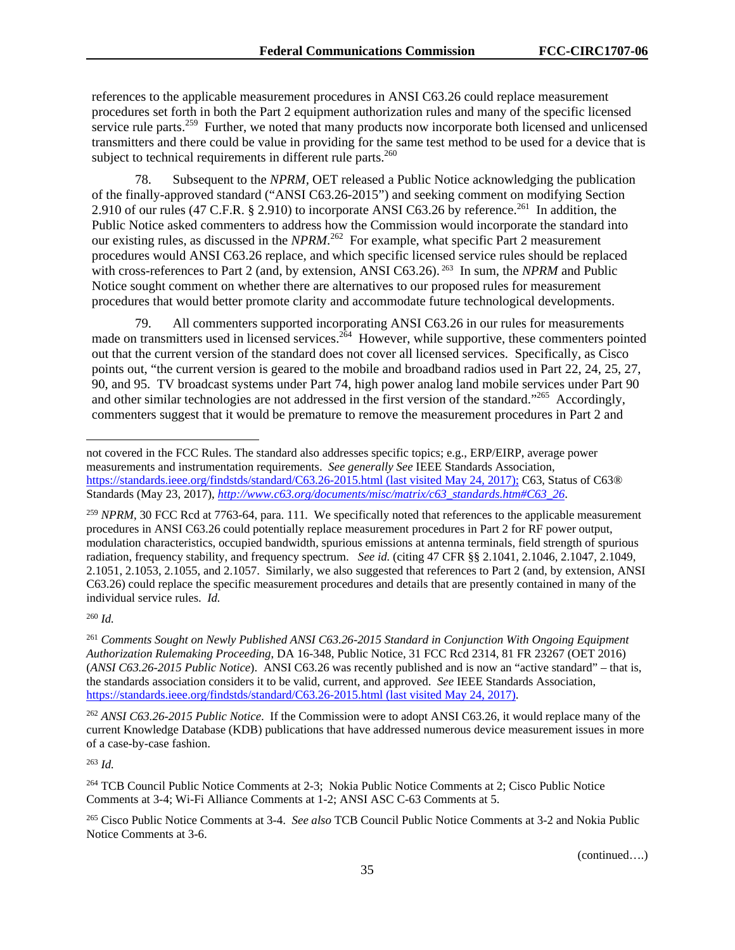references to the applicable measurement procedures in ANSI C63.26 could replace measurement procedures set forth in both the Part 2 equipment authorization rules and many of the specific licensed service rule parts.<sup>259</sup> Further, we noted that many products now incorporate both licensed and unlicensed transmitters and there could be value in providing for the same test method to be used for a device that is subject to technical requirements in different rule parts. $260$ 

78. Subsequent to the *NPRM,* OET released a Public Notice acknowledging the publication of the finally-approved standard ("ANSI C63.26-2015") and seeking comment on modifying Section 2.910 of our rules (47 C.F.R. § 2.910) to incorporate ANSI C63.26 by reference.<sup>261</sup> In addition, the Public Notice asked commenters to address how the Commission would incorporate the standard into our existing rules, as discussed in the *NPRM*. 262 For example, what specific Part 2 measurement procedures would ANSI C63.26 replace, and which specific licensed service rules should be replaced with cross-references to Part 2 (and, by extension, ANSI C63.26). <sup>263</sup> In sum, the *NPRM* and Public Notice sought comment on whether there are alternatives to our proposed rules for measurement procedures that would better promote clarity and accommodate future technological developments.

79. All commenters supported incorporating ANSI C63.26 in our rules for measurements made on transmitters used in licensed services.<sup>264</sup> However, while supportive, these commenters pointed out that the current version of the standard does not cover all licensed services. Specifically, as Cisco points out, "the current version is geared to the mobile and broadband radios used in Part 22, 24, 25, 27, 90, and 95. TV broadcast systems under Part 74, high power analog land mobile services under Part 90 and other similar technologies are not addressed in the first version of the standard."265 Accordingly, commenters suggest that it would be premature to remove the measurement procedures in Part 2 and

<sup>259</sup> *NPRM*, 30 FCC Rcd at 7763-64, para. 111*.* We specifically noted that references to the applicable measurement procedures in ANSI C63.26 could potentially replace measurement procedures in Part 2 for RF power output, modulation characteristics, occupied bandwidth, spurious emissions at antenna terminals, field strength of spurious radiation, frequency stability, and frequency spectrum. *See id.* (citing 47 CFR §§ 2.1041, 2.1046, 2.1047, 2.1049, 2.1051, 2.1053, 2.1055, and 2.1057. Similarly, we also suggested that references to Part 2 (and, by extension, ANSI C63.26) could replace the specific measurement procedures and details that are presently contained in many of the individual service rules. *Id.*

<sup>260</sup> *Id.* 

l

<sup>261</sup> *Comments Sought on Newly Published ANSI C63.26-2015 Standard in Conjunction With Ongoing Equipment Authorization Rulemaking Proceeding*, DA 16-348, Public Notice, 31 FCC Rcd 2314, 81 FR 23267 (OET 2016) (*ANSI C63.26-2015 Public Notice*). ANSI C63.26 was recently published and is now an "active standard" – that is, the standards association considers it to be valid, current, and approved. *See* IEEE Standards Association, https://standards.ieee.org/findstds/standard/C63.26-2015.html (last visited May 24, 2017).

<sup>262</sup> *ANSI C63.26-2015 Public Notice*. If the Commission were to adopt ANSI C63.26, it would replace many of the current Knowledge Database (KDB) publications that have addressed numerous device measurement issues in more of a case-by-case fashion.

<sup>263</sup> *Id.*

264 TCB Council Public Notice Comments at 2-3; Nokia Public Notice Comments at 2; Cisco Public Notice Comments at 3-4; Wi-Fi Alliance Comments at 1-2; ANSI ASC C-63 Comments at 5.

265 Cisco Public Notice Comments at 3-4. *See also* TCB Council Public Notice Comments at 3-2 and Nokia Public Notice Comments at 3-6.

not covered in the FCC Rules. The standard also addresses specific topics; e.g., ERP/EIRP, average power measurements and instrumentation requirements. *See generally See* IEEE Standards Association, https://standards.ieee.org/findstds/standard/C63.26-2015.html (last visited May 24, 2017); C63, Status of C63® Standards (May 23, 2017), *http://www.c63.org/documents/misc/matrix/c63\_standards.htm#C63\_26*.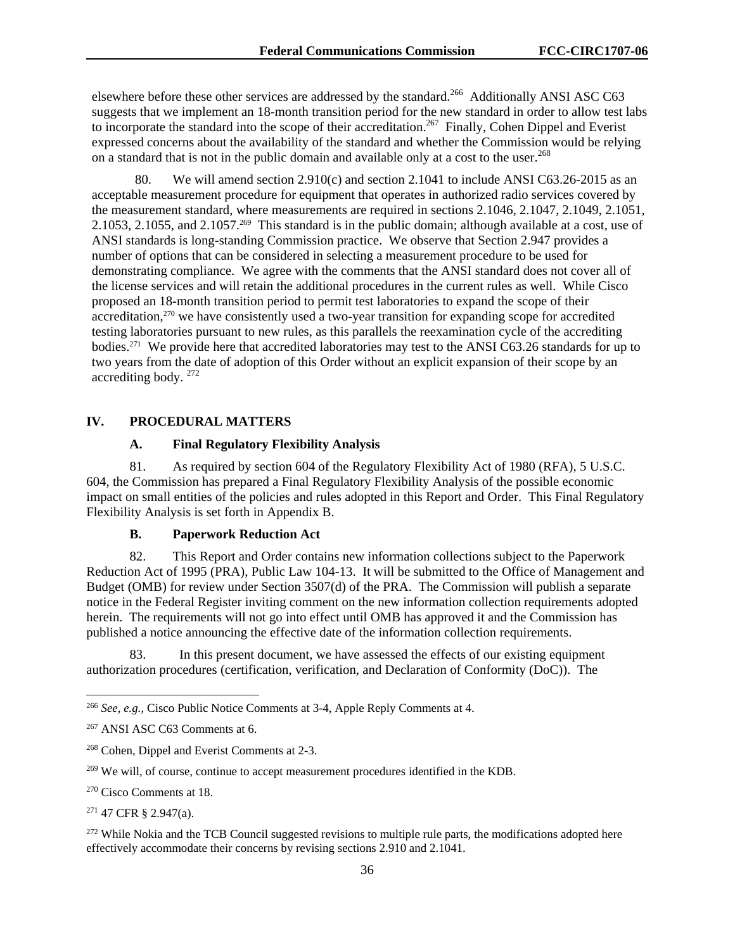elsewhere before these other services are addressed by the standard.<sup>266</sup> Additionally ANSI ASC C63 suggests that we implement an 18-month transition period for the new standard in order to allow test labs to incorporate the standard into the scope of their accreditation.<sup>267</sup> Finally, Cohen Dippel and Everist expressed concerns about the availability of the standard and whether the Commission would be relying on a standard that is not in the public domain and available only at a cost to the user.<sup>268</sup>

80. We will amend section 2.910(c) and section 2.1041 to include ANSI C63.26-2015 as an acceptable measurement procedure for equipment that operates in authorized radio services covered by the measurement standard, where measurements are required in sections 2.1046, 2.1047, 2.1049, 2.1051, 2.1053, 2.1055, and 2.1057.269 This standard is in the public domain; although available at a cost, use of ANSI standards is long-standing Commission practice. We observe that Section 2.947 provides a number of options that can be considered in selecting a measurement procedure to be used for demonstrating compliance. We agree with the comments that the ANSI standard does not cover all of the license services and will retain the additional procedures in the current rules as well. While Cisco proposed an 18-month transition period to permit test laboratories to expand the scope of their accreditation,270 we have consistently used a two-year transition for expanding scope for accredited testing laboratories pursuant to new rules, as this parallels the reexamination cycle of the accrediting bodies.271 We provide here that accredited laboratories may test to the ANSI C63.26 standards for up to two years from the date of adoption of this Order without an explicit expansion of their scope by an accrediting body. 272

### **IV. PROCEDURAL MATTERS**

### **A. Final Regulatory Flexibility Analysis**

81. As required by section 604 of the Regulatory Flexibility Act of 1980 (RFA), 5 U.S.C. 604, the Commission has prepared a Final Regulatory Flexibility Analysis of the possible economic impact on small entities of the policies and rules adopted in this Report and Order. This Final Regulatory Flexibility Analysis is set forth in Appendix B.

# **B. Paperwork Reduction Act**

82. This Report and Order contains new information collections subject to the Paperwork Reduction Act of 1995 (PRA), Public Law 104-13. It will be submitted to the Office of Management and Budget (OMB) for review under Section 3507(d) of the PRA. The Commission will publish a separate notice in the Federal Register inviting comment on the new information collection requirements adopted herein. The requirements will not go into effect until OMB has approved it and the Commission has published a notice announcing the effective date of the information collection requirements.

83. In this present document, we have assessed the effects of our existing equipment authorization procedures (certification, verification, and Declaration of Conformity (DoC)). The

271 47 CFR § 2.947(a).

l

<sup>266</sup> *See, e.g.,* Cisco Public Notice Comments at 3-4, Apple Reply Comments at 4.

<sup>267</sup> ANSI ASC C63 Comments at 6.

<sup>268</sup> Cohen, Dippel and Everist Comments at 2-3.

<sup>&</sup>lt;sup>269</sup> We will, of course, continue to accept measurement procedures identified in the KDB.

<sup>270</sup> Cisco Comments at 18.

<sup>&</sup>lt;sup>272</sup> While Nokia and the TCB Council suggested revisions to multiple rule parts, the modifications adopted here effectively accommodate their concerns by revising sections 2.910 and 2.1041.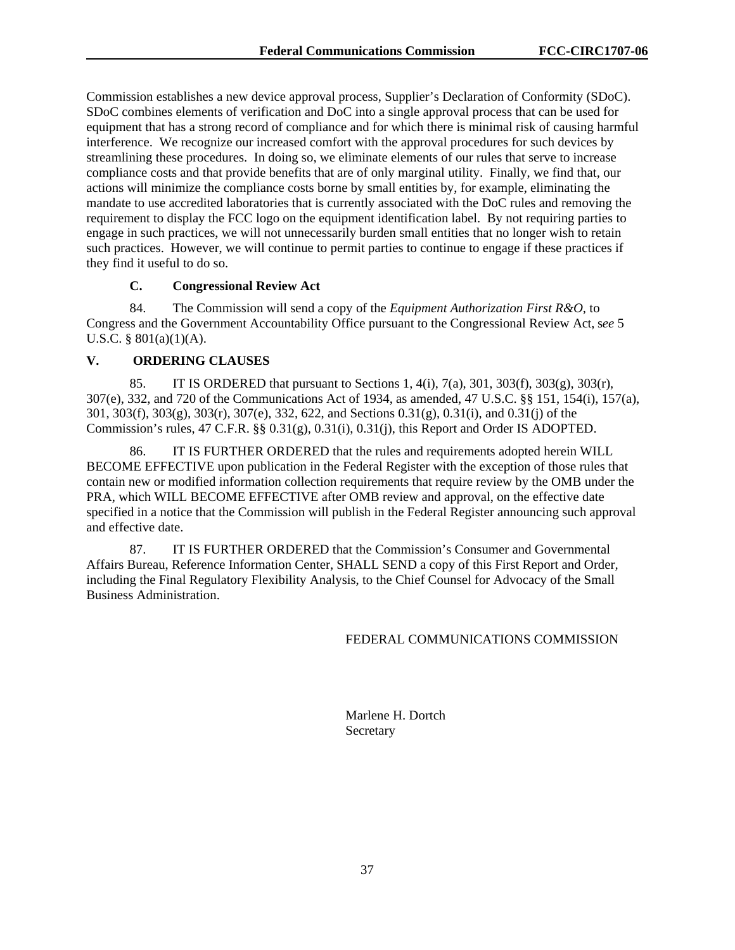Commission establishes a new device approval process, Supplier's Declaration of Conformity (SDoC). SDoC combines elements of verification and DoC into a single approval process that can be used for equipment that has a strong record of compliance and for which there is minimal risk of causing harmful interference. We recognize our increased comfort with the approval procedures for such devices by streamlining these procedures. In doing so, we eliminate elements of our rules that serve to increase compliance costs and that provide benefits that are of only marginal utility. Finally, we find that, our actions will minimize the compliance costs borne by small entities by, for example, eliminating the mandate to use accredited laboratories that is currently associated with the DoC rules and removing the requirement to display the FCC logo on the equipment identification label. By not requiring parties to engage in such practices, we will not unnecessarily burden small entities that no longer wish to retain such practices. However, we will continue to permit parties to continue to engage if these practices if they find it useful to do so.

# **C. Congressional Review Act**

84. The Commission will send a copy of the *Equipment Authorization First R&O*, to Congress and the Government Accountability Office pursuant to the Congressional Review Act, s*ee* 5 U.S.C. § 801(a)(1)(A).

### **V. ORDERING CLAUSES**

85. IT IS ORDERED that pursuant to Sections 1,  $4(i)$ ,  $7(a)$ ,  $301$ ,  $303(f)$ ,  $303(g)$ ,  $303(f)$ , 307(e), 332, and 720 of the Communications Act of 1934, as amended, 47 U.S.C. §§ 151, 154(i), 157(a), 301, 303(f), 303(g), 303(r), 307(e), 332, 622, and Sections 0.31(g), 0.31(i), and 0.31(j) of the Commission's rules, 47 C.F.R. §§ 0.31(g), 0.31(i), 0.31(j), this Report and Order IS ADOPTED.

86. IT IS FURTHER ORDERED that the rules and requirements adopted herein WILL BECOME EFFECTIVE upon publication in the Federal Register with the exception of those rules that contain new or modified information collection requirements that require review by the OMB under the PRA, which WILL BECOME EFFECTIVE after OMB review and approval, on the effective date specified in a notice that the Commission will publish in the Federal Register announcing such approval and effective date.

87. IT IS FURTHER ORDERED that the Commission's Consumer and Governmental Affairs Bureau, Reference Information Center, SHALL SEND a copy of this First Report and Order*,*  including the Final Regulatory Flexibility Analysis, to the Chief Counsel for Advocacy of the Small Business Administration.

### FEDERAL COMMUNICATIONS COMMISSION

 Marlene H. Dortch Secretary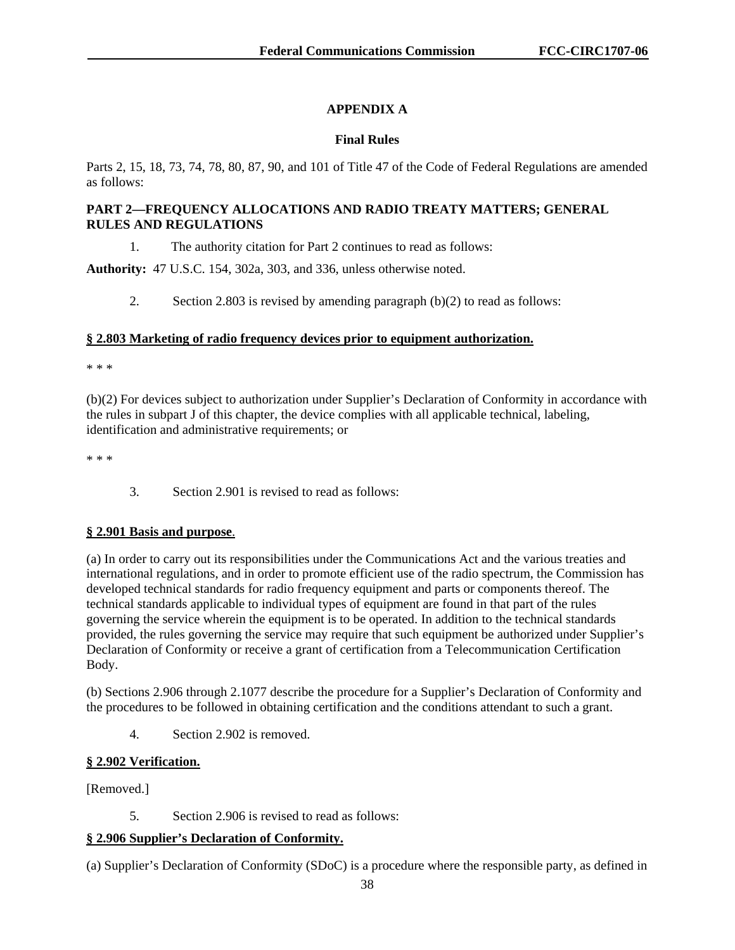# **APPENDIX A**

### **Final Rules**

Parts 2, 15, 18, 73, 74, 78, 80, 87, 90, and 101 of Title 47 of the Code of Federal Regulations are amended as follows:

# **PART 2—FREQUENCY ALLOCATIONS AND RADIO TREATY MATTERS; GENERAL RULES AND REGULATIONS**

1. The authority citation for Part 2 continues to read as follows:

**Authority:** 47 U.S.C. 154, 302a, 303, and 336, unless otherwise noted.

2. Section 2.803 is revised by amending paragraph (b)(2) to read as follows:

### **§ 2.803 Marketing of radio frequency devices prior to equipment authorization.**

\* \* \*

(b)(2) For devices subject to authorization under Supplier's Declaration of Conformity in accordance with the rules in subpart J of this chapter, the device complies with all applicable technical, labeling, identification and administrative requirements; or

\* \* \*

3. Section 2.901 is revised to read as follows:

# **§ 2.901 Basis and purpose**.

(a) In order to carry out its responsibilities under the Communications Act and the various treaties and international regulations, and in order to promote efficient use of the radio spectrum, the Commission has developed technical standards for radio frequency equipment and parts or components thereof. The technical standards applicable to individual types of equipment are found in that part of the rules governing the service wherein the equipment is to be operated. In addition to the technical standards provided, the rules governing the service may require that such equipment be authorized under Supplier's Declaration of Conformity or receive a grant of certification from a Telecommunication Certification Body.

(b) Sections 2.906 through 2.1077 describe the procedure for a Supplier's Declaration of Conformity and the procedures to be followed in obtaining certification and the conditions attendant to such a grant.

4. Section 2.902 is removed.

# **§ 2.902 Verification.**

[Removed.]

5. Section 2.906 is revised to read as follows:

### **§ 2.906 Supplier's Declaration of Conformity.**

(a) Supplier's Declaration of Conformity (SDoC) is a procedure where the responsible party, as defined in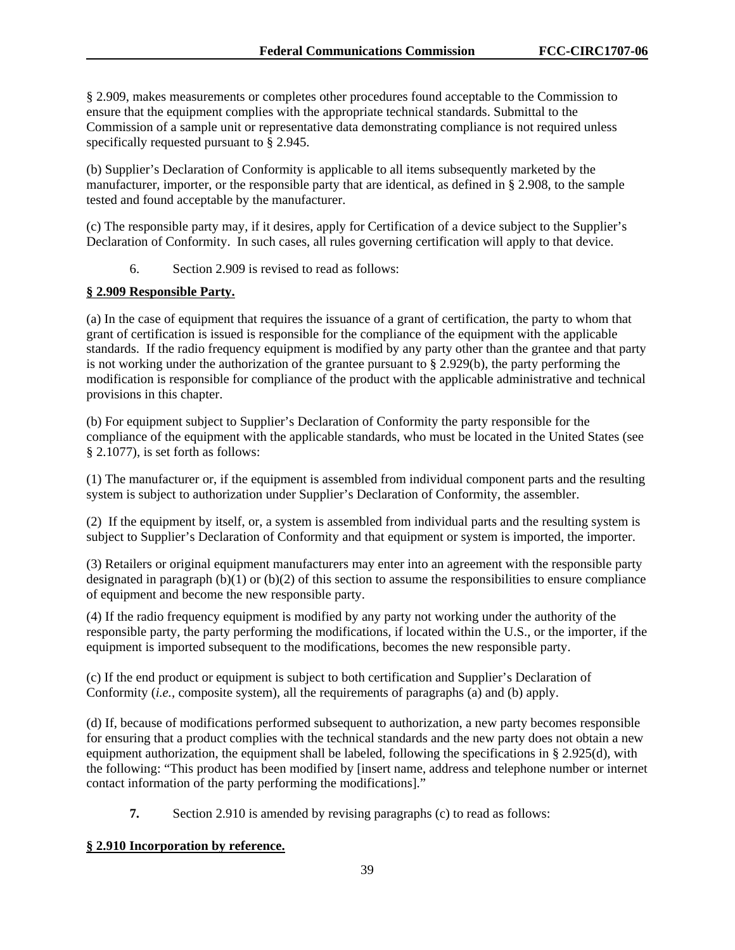§ 2.909, makes measurements or completes other procedures found acceptable to the Commission to ensure that the equipment complies with the appropriate technical standards. Submittal to the Commission of a sample unit or representative data demonstrating compliance is not required unless specifically requested pursuant to § 2.945.

(b) Supplier's Declaration of Conformity is applicable to all items subsequently marketed by the manufacturer, importer, or the responsible party that are identical, as defined in § 2.908, to the sample tested and found acceptable by the manufacturer.

(c) The responsible party may, if it desires, apply for Certification of a device subject to the Supplier's Declaration of Conformity. In such cases, all rules governing certification will apply to that device.

6. Section 2.909 is revised to read as follows:

### **§ 2.909 Responsible Party.**

(a) In the case of equipment that requires the issuance of a grant of certification, the party to whom that grant of certification is issued is responsible for the compliance of the equipment with the applicable standards. If the radio frequency equipment is modified by any party other than the grantee and that party is not working under the authorization of the grantee pursuant to  $\S 2.929(b)$ , the party performing the modification is responsible for compliance of the product with the applicable administrative and technical provisions in this chapter.

(b) For equipment subject to Supplier's Declaration of Conformity the party responsible for the compliance of the equipment with the applicable standards, who must be located in the United States (see § 2.1077), is set forth as follows:

(1) The manufacturer or, if the equipment is assembled from individual component parts and the resulting system is subject to authorization under Supplier's Declaration of Conformity, the assembler.

(2) If the equipment by itself, or, a system is assembled from individual parts and the resulting system is subject to Supplier's Declaration of Conformity and that equipment or system is imported, the importer.

(3) Retailers or original equipment manufacturers may enter into an agreement with the responsible party designated in paragraph  $(b)(1)$  or  $(b)(2)$  of this section to assume the responsibilities to ensure compliance of equipment and become the new responsible party.

(4) If the radio frequency equipment is modified by any party not working under the authority of the responsible party, the party performing the modifications, if located within the U.S., or the importer, if the equipment is imported subsequent to the modifications, becomes the new responsible party.

(c) If the end product or equipment is subject to both certification and Supplier's Declaration of Conformity (*i.e.,* composite system), all the requirements of paragraphs (a) and (b) apply.

(d) If, because of modifications performed subsequent to authorization, a new party becomes responsible for ensuring that a product complies with the technical standards and the new party does not obtain a new equipment authorization, the equipment shall be labeled, following the specifications in § 2.925(d), with the following: "This product has been modified by [insert name, address and telephone number or internet contact information of the party performing the modifications]."

**7.** Section 2.910 is amended by revising paragraphs (c) to read as follows:

### **§ 2.910 Incorporation by reference.**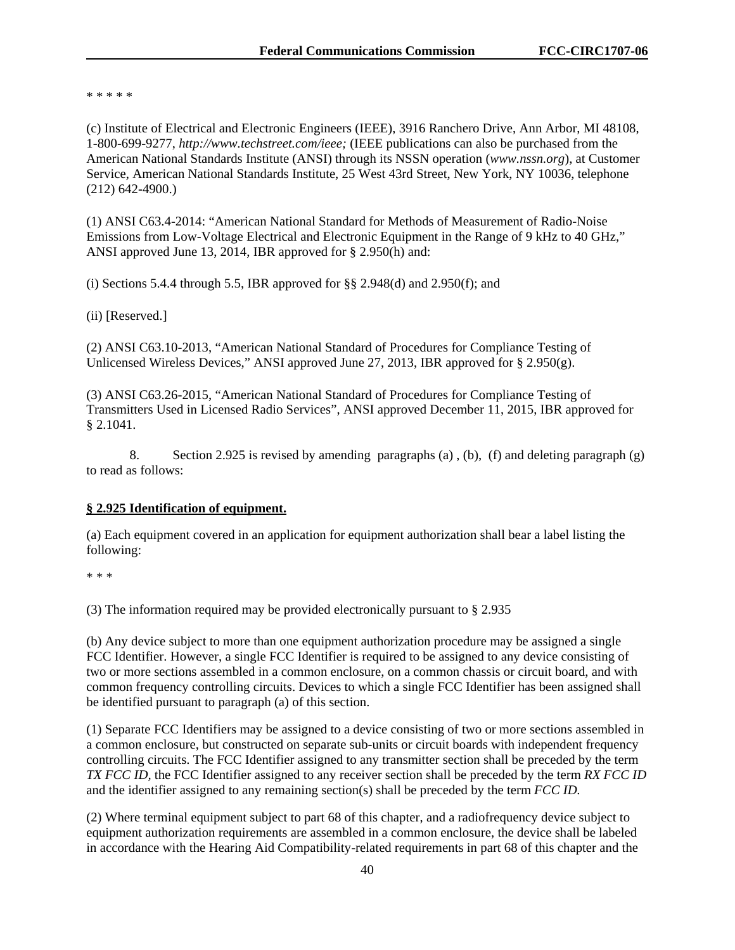\* \* \* \* \*

(c) Institute of Electrical and Electronic Engineers (IEEE), 3916 Ranchero Drive, Ann Arbor, MI 48108, 1-800-699-9277, *http://www.techstreet.com/ieee;* (IEEE publications can also be purchased from the American National Standards Institute (ANSI) through its NSSN operation (*www.nssn.org*), at Customer Service, American National Standards Institute, 25 West 43rd Street, New York, NY 10036, telephone (212) 642-4900.)

(1) ANSI C63.4-2014: "American National Standard for Methods of Measurement of Radio-Noise Emissions from Low-Voltage Electrical and Electronic Equipment in the Range of 9 kHz to 40 GHz," ANSI approved June 13, 2014, IBR approved for § 2.950(h) and:

(i) Sections 5.4.4 through 5.5, IBR approved for  $\S\S 2.948(d)$  and 2.950(f); and

(ii) [Reserved.]

(2) ANSI C63.10-2013, "American National Standard of Procedures for Compliance Testing of Unlicensed Wireless Devices," ANSI approved June 27, 2013, IBR approved for  $\S 2.950(g)$ .

(3) ANSI C63.26-2015, "American National Standard of Procedures for Compliance Testing of Transmitters Used in Licensed Radio Services", ANSI approved December 11, 2015, IBR approved for § 2.1041.

8. Section 2.925 is revised by amending paragraphs (a) , (b), (f) and deleting paragraph (g) to read as follows:

### **§ 2.925 Identification of equipment.**

(a) Each equipment covered in an application for equipment authorization shall bear a label listing the following:

\* \* \*

(3) The information required may be provided electronically pursuant to § 2.935

(b) Any device subject to more than one equipment authorization procedure may be assigned a single FCC Identifier. However, a single FCC Identifier is required to be assigned to any device consisting of two or more sections assembled in a common enclosure, on a common chassis or circuit board, and with common frequency controlling circuits. Devices to which a single FCC Identifier has been assigned shall be identified pursuant to paragraph (a) of this section.

(1) Separate FCC Identifiers may be assigned to a device consisting of two or more sections assembled in a common enclosure, but constructed on separate sub-units or circuit boards with independent frequency controlling circuits. The FCC Identifier assigned to any transmitter section shall be preceded by the term *TX FCC ID,* the FCC Identifier assigned to any receiver section shall be preceded by the term *RX FCC ID* and the identifier assigned to any remaining section(s) shall be preceded by the term *FCC ID.*

(2) Where terminal equipment subject to part 68 of this chapter, and a radiofrequency device subject to equipment authorization requirements are assembled in a common enclosure, the device shall be labeled in accordance with the Hearing Aid Compatibility-related requirements in part 68 of this chapter and the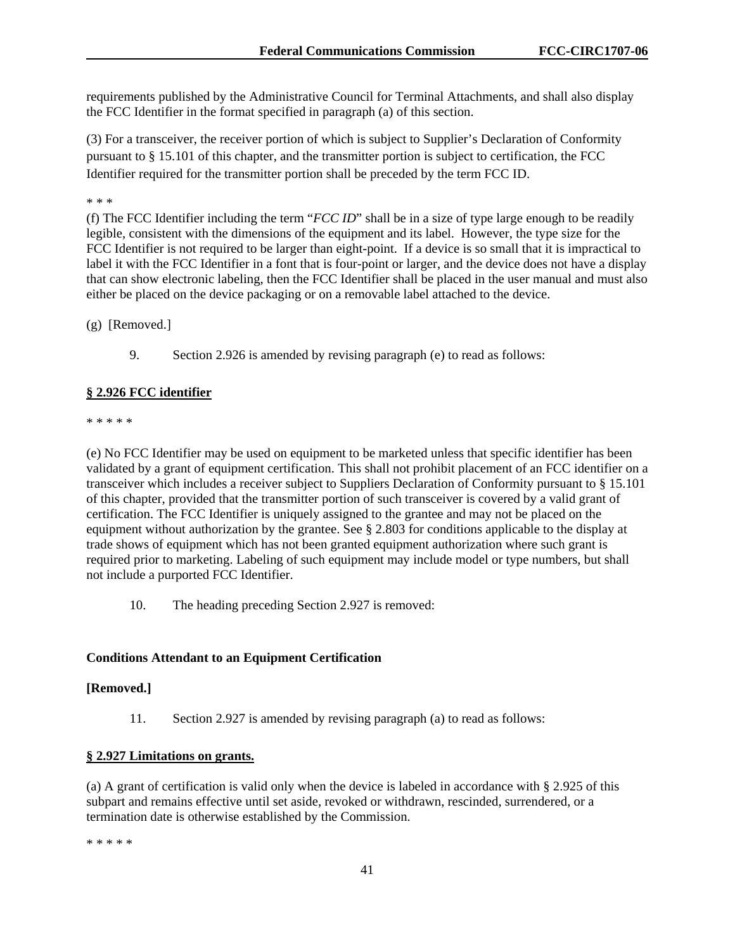requirements published by the Administrative Council for Terminal Attachments, and shall also display the FCC Identifier in the format specified in paragraph (a) of this section.

(3) For a transceiver, the receiver portion of which is subject to Supplier's Declaration of Conformity pursuant to § 15.101 of this chapter, and the transmitter portion is subject to certification, the FCC Identifier required for the transmitter portion shall be preceded by the term FCC ID.

\* \* \*

(f) The FCC Identifier including the term "*FCC ID*" shall be in a size of type large enough to be readily legible, consistent with the dimensions of the equipment and its label. However, the type size for the FCC Identifier is not required to be larger than eight-point. If a device is so small that it is impractical to label it with the FCC Identifier in a font that is four-point or larger, and the device does not have a display that can show electronic labeling, then the FCC Identifier shall be placed in the user manual and must also either be placed on the device packaging or on a removable label attached to the device.

(g) [Removed.]

9. Section 2.926 is amended by revising paragraph (e) to read as follows:

#### **§ 2.926 FCC identifier**

\* \* \* \* \*

(e) No FCC Identifier may be used on equipment to be marketed unless that specific identifier has been validated by a grant of equipment certification. This shall not prohibit placement of an FCC identifier on a transceiver which includes a receiver subject to Suppliers Declaration of Conformity pursuant to § 15.101 of this chapter, provided that the transmitter portion of such transceiver is covered by a valid grant of certification. The FCC Identifier is uniquely assigned to the grantee and may not be placed on the equipment without authorization by the grantee. See § 2.803 for conditions applicable to the display at trade shows of equipment which has not been granted equipment authorization where such grant is required prior to marketing. Labeling of such equipment may include model or type numbers, but shall not include a purported FCC Identifier.

10. The heading preceding Section 2.927 is removed:

### **Conditions Attendant to an Equipment Certification**

### **[Removed.]**

11. Section 2.927 is amended by revising paragraph (a) to read as follows:

#### **§ 2.927 Limitations on grants.**

(a) A grant of certification is valid only when the device is labeled in accordance with § 2.925 of this subpart and remains effective until set aside, revoked or withdrawn, rescinded, surrendered, or a termination date is otherwise established by the Commission.

\* \* \* \* \*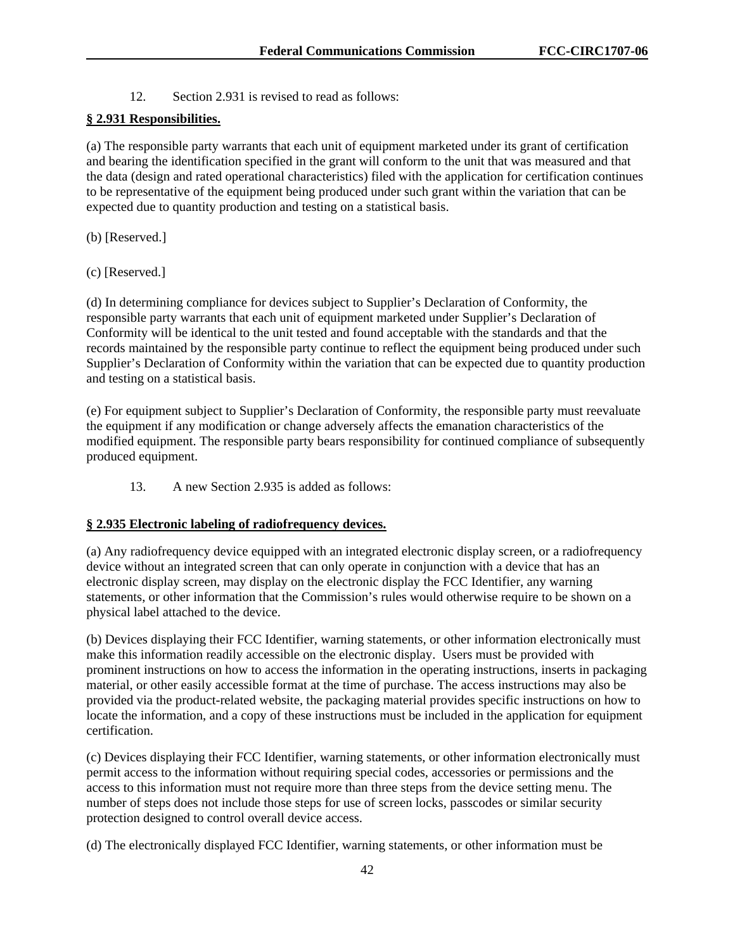12. Section 2.931 is revised to read as follows:

### **§ 2.931 Responsibilities.**

(a) The responsible party warrants that each unit of equipment marketed under its grant of certification and bearing the identification specified in the grant will conform to the unit that was measured and that the data (design and rated operational characteristics) filed with the application for certification continues to be representative of the equipment being produced under such grant within the variation that can be expected due to quantity production and testing on a statistical basis.

- (b) [Reserved.]
- (c) [Reserved.]

(d) In determining compliance for devices subject to Supplier's Declaration of Conformity, the responsible party warrants that each unit of equipment marketed under Supplier's Declaration of Conformity will be identical to the unit tested and found acceptable with the standards and that the records maintained by the responsible party continue to reflect the equipment being produced under such Supplier's Declaration of Conformity within the variation that can be expected due to quantity production and testing on a statistical basis.

(e) For equipment subject to Supplier's Declaration of Conformity, the responsible party must reevaluate the equipment if any modification or change adversely affects the emanation characteristics of the modified equipment. The responsible party bears responsibility for continued compliance of subsequently produced equipment.

13. A new Section 2.935 is added as follows:

### **§ 2.935 Electronic labeling of radiofrequency devices.**

(a) Any radiofrequency device equipped with an integrated electronic display screen, or a radiofrequency device without an integrated screen that can only operate in conjunction with a device that has an electronic display screen, may display on the electronic display the FCC Identifier, any warning statements, or other information that the Commission's rules would otherwise require to be shown on a physical label attached to the device.

(b) Devices displaying their FCC Identifier, warning statements, or other information electronically must make this information readily accessible on the electronic display. Users must be provided with prominent instructions on how to access the information in the operating instructions, inserts in packaging material, or other easily accessible format at the time of purchase. The access instructions may also be provided via the product-related website, the packaging material provides specific instructions on how to locate the information, and a copy of these instructions must be included in the application for equipment certification.

(c) Devices displaying their FCC Identifier, warning statements, or other information electronically must permit access to the information without requiring special codes, accessories or permissions and the access to this information must not require more than three steps from the device setting menu. The number of steps does not include those steps for use of screen locks, passcodes or similar security protection designed to control overall device access.

(d) The electronically displayed FCC Identifier, warning statements, or other information must be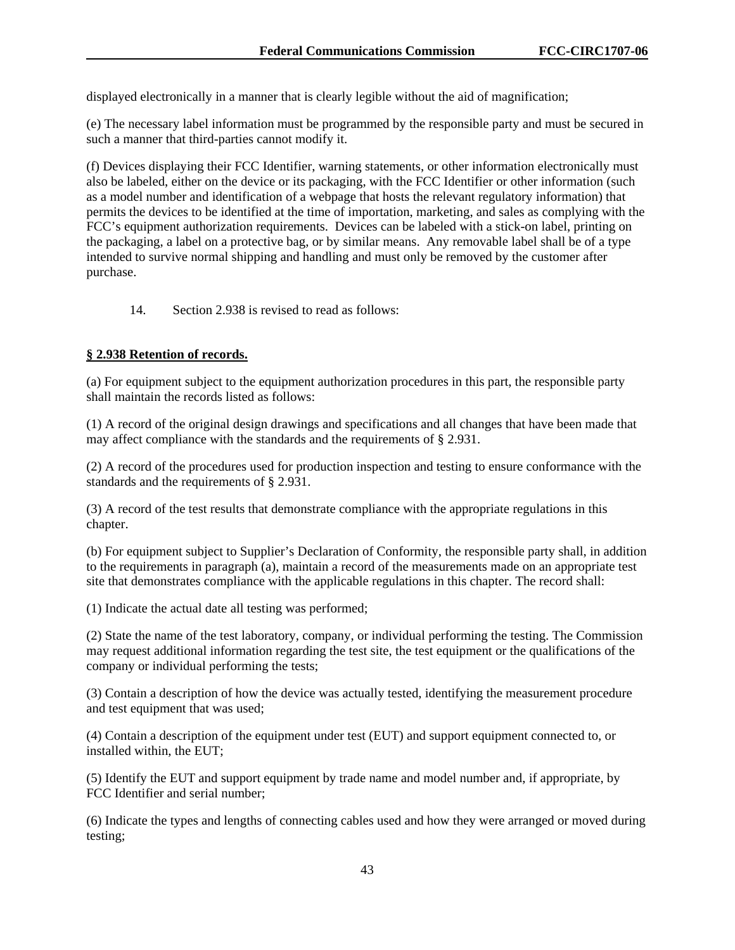displayed electronically in a manner that is clearly legible without the aid of magnification;

(e) The necessary label information must be programmed by the responsible party and must be secured in such a manner that third-parties cannot modify it.

(f) Devices displaying their FCC Identifier, warning statements, or other information electronically must also be labeled, either on the device or its packaging, with the FCC Identifier or other information (such as a model number and identification of a webpage that hosts the relevant regulatory information) that permits the devices to be identified at the time of importation, marketing, and sales as complying with the FCC's equipment authorization requirements. Devices can be labeled with a stick-on label, printing on the packaging, a label on a protective bag, or by similar means. Any removable label shall be of a type intended to survive normal shipping and handling and must only be removed by the customer after purchase.

14. Section 2.938 is revised to read as follows:

### **§ 2.938 Retention of records.**

(a) For equipment subject to the equipment authorization procedures in this part, the responsible party shall maintain the records listed as follows:

(1) A record of the original design drawings and specifications and all changes that have been made that may affect compliance with the standards and the requirements of § 2.931.

(2) A record of the procedures used for production inspection and testing to ensure conformance with the standards and the requirements of § 2.931.

(3) A record of the test results that demonstrate compliance with the appropriate regulations in this chapter.

(b) For equipment subject to Supplier's Declaration of Conformity, the responsible party shall, in addition to the requirements in paragraph (a), maintain a record of the measurements made on an appropriate test site that demonstrates compliance with the applicable regulations in this chapter. The record shall:

(1) Indicate the actual date all testing was performed;

(2) State the name of the test laboratory, company, or individual performing the testing. The Commission may request additional information regarding the test site, the test equipment or the qualifications of the company or individual performing the tests;

(3) Contain a description of how the device was actually tested, identifying the measurement procedure and test equipment that was used;

(4) Contain a description of the equipment under test (EUT) and support equipment connected to, or installed within, the EUT;

(5) Identify the EUT and support equipment by trade name and model number and, if appropriate, by FCC Identifier and serial number;

(6) Indicate the types and lengths of connecting cables used and how they were arranged or moved during testing;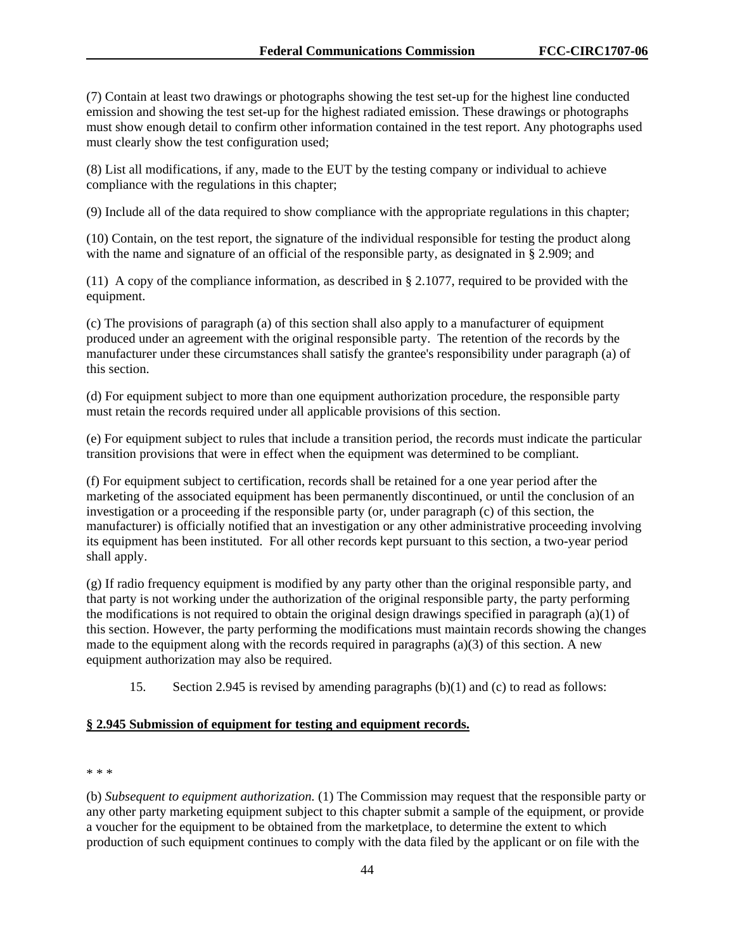(7) Contain at least two drawings or photographs showing the test set-up for the highest line conducted emission and showing the test set-up for the highest radiated emission. These drawings or photographs must show enough detail to confirm other information contained in the test report. Any photographs used must clearly show the test configuration used;

(8) List all modifications, if any, made to the EUT by the testing company or individual to achieve compliance with the regulations in this chapter;

(9) Include all of the data required to show compliance with the appropriate regulations in this chapter;

(10) Contain, on the test report, the signature of the individual responsible for testing the product along with the name and signature of an official of the responsible party, as designated in § 2.909; and

(11) A copy of the compliance information, as described in § 2.1077, required to be provided with the equipment.

(c) The provisions of paragraph (a) of this section shall also apply to a manufacturer of equipment produced under an agreement with the original responsible party. The retention of the records by the manufacturer under these circumstances shall satisfy the grantee's responsibility under paragraph (a) of this section.

(d) For equipment subject to more than one equipment authorization procedure, the responsible party must retain the records required under all applicable provisions of this section.

(e) For equipment subject to rules that include a transition period, the records must indicate the particular transition provisions that were in effect when the equipment was determined to be compliant.

(f) For equipment subject to certification, records shall be retained for a one year period after the marketing of the associated equipment has been permanently discontinued, or until the conclusion of an investigation or a proceeding if the responsible party (or, under paragraph (c) of this section, the manufacturer) is officially notified that an investigation or any other administrative proceeding involving its equipment has been instituted. For all other records kept pursuant to this section, a two-year period shall apply.

(g) If radio frequency equipment is modified by any party other than the original responsible party, and that party is not working under the authorization of the original responsible party, the party performing the modifications is not required to obtain the original design drawings specified in paragraph (a)(1) of this section. However, the party performing the modifications must maintain records showing the changes made to the equipment along with the records required in paragraphs (a)(3) of this section. A new equipment authorization may also be required.

15. Section 2.945 is revised by amending paragraphs (b)(1) and (c) to read as follows:

#### **§ 2.945 Submission of equipment for testing and equipment records.**

#### \* \* \*

(b) *Subsequent to equipment authorization.* (1) The Commission may request that the responsible party or any other party marketing equipment subject to this chapter submit a sample of the equipment, or provide a voucher for the equipment to be obtained from the marketplace, to determine the extent to which production of such equipment continues to comply with the data filed by the applicant or on file with the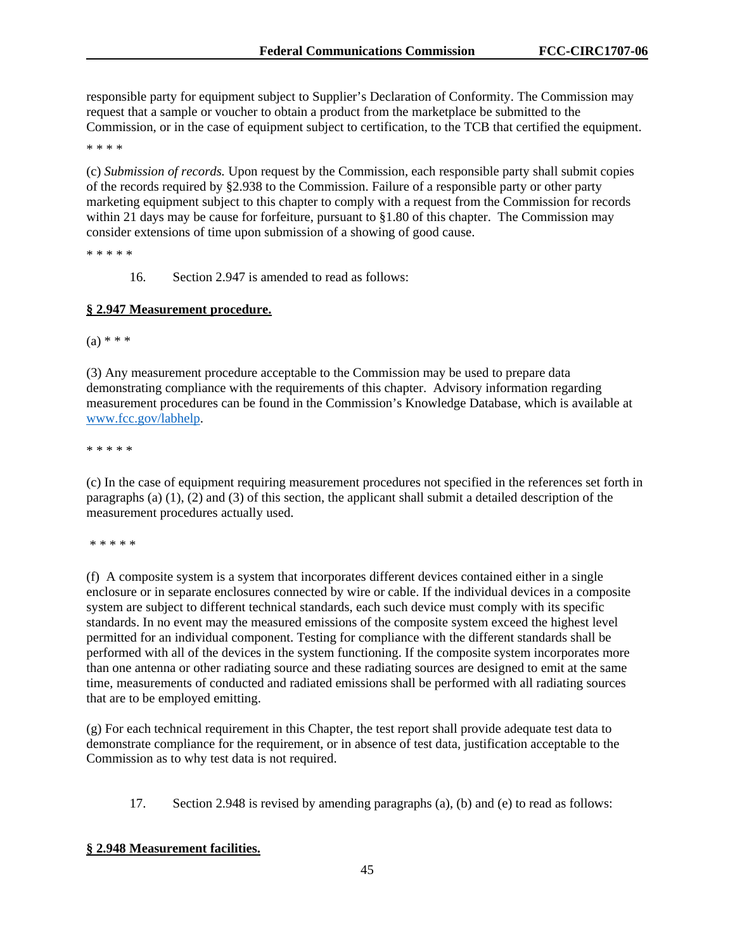responsible party for equipment subject to Supplier's Declaration of Conformity. The Commission may request that a sample or voucher to obtain a product from the marketplace be submitted to the Commission, or in the case of equipment subject to certification, to the TCB that certified the equipment.

\* \* \* \*

(c) *Submission of records.* Upon request by the Commission, each responsible party shall submit copies of the records required by §2.938 to the Commission. Failure of a responsible party or other party marketing equipment subject to this chapter to comply with a request from the Commission for records within 21 days may be cause for forfeiture, pursuant to §1.80 of this chapter. The Commission may consider extensions of time upon submission of a showing of good cause.

\* \* \* \* \*

16. Section 2.947 is amended to read as follows:

### **§ 2.947 Measurement procedure.**

 $(a) * * *$ 

(3) Any measurement procedure acceptable to the Commission may be used to prepare data demonstrating compliance with the requirements of this chapter. Advisory information regarding measurement procedures can be found in the Commission's Knowledge Database, which is available at www.fcc.gov/labhelp.

\* \* \* \* \*

(c) In the case of equipment requiring measurement procedures not specified in the references set forth in paragraphs (a)  $(1)$ ,  $(2)$  and  $(3)$  of this section, the applicant shall submit a detailed description of the measurement procedures actually used.

\* \* \* \* \*

(f) A composite system is a system that incorporates different devices contained either in a single enclosure or in separate enclosures connected by wire or cable. If the individual devices in a composite system are subject to different technical standards, each such device must comply with its specific standards. In no event may the measured emissions of the composite system exceed the highest level permitted for an individual component. Testing for compliance with the different standards shall be performed with all of the devices in the system functioning. If the composite system incorporates more than one antenna or other radiating source and these radiating sources are designed to emit at the same time, measurements of conducted and radiated emissions shall be performed with all radiating sources that are to be employed emitting.

(g) For each technical requirement in this Chapter, the test report shall provide adequate test data to demonstrate compliance for the requirement, or in absence of test data, justification acceptable to the Commission as to why test data is not required.

17. Section 2.948 is revised by amending paragraphs (a), (b) and (e) to read as follows:

### **§ 2.948 Measurement facilities.**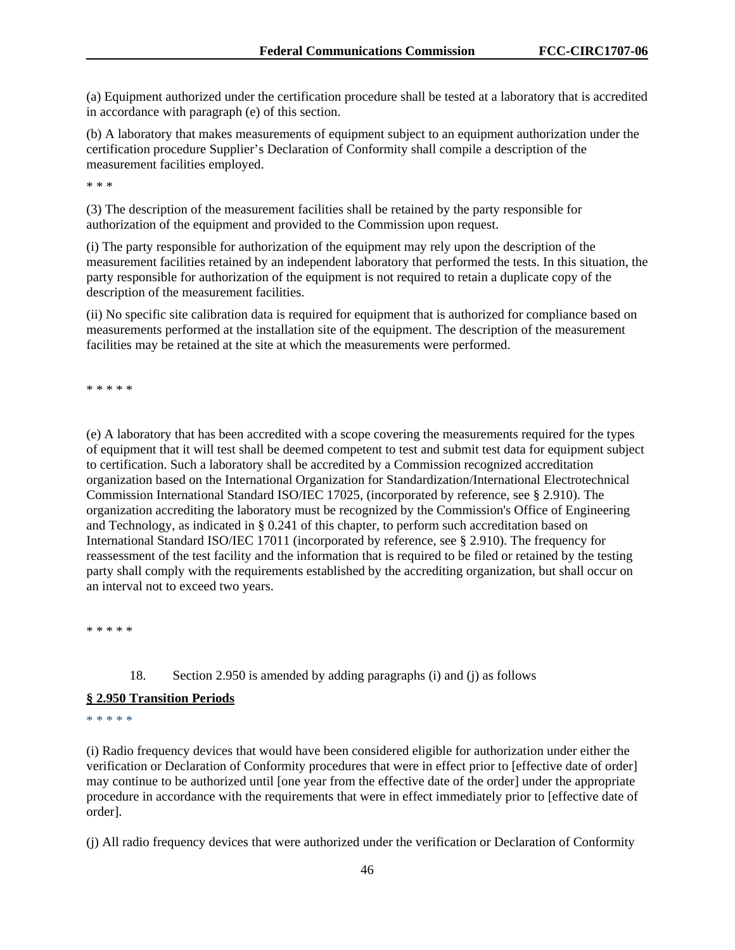(a) Equipment authorized under the certification procedure shall be tested at a laboratory that is accredited in accordance with paragraph (e) of this section.

(b) A laboratory that makes measurements of equipment subject to an equipment authorization under the certification procedure Supplier's Declaration of Conformity shall compile a description of the measurement facilities employed.

\* \* \*

(3) The description of the measurement facilities shall be retained by the party responsible for authorization of the equipment and provided to the Commission upon request.

(i) The party responsible for authorization of the equipment may rely upon the description of the measurement facilities retained by an independent laboratory that performed the tests. In this situation, the party responsible for authorization of the equipment is not required to retain a duplicate copy of the description of the measurement facilities.

(ii) No specific site calibration data is required for equipment that is authorized for compliance based on measurements performed at the installation site of the equipment. The description of the measurement facilities may be retained at the site at which the measurements were performed.

\* \* \* \* \*

(e) A laboratory that has been accredited with a scope covering the measurements required for the types of equipment that it will test shall be deemed competent to test and submit test data for equipment subject to certification. Such a laboratory shall be accredited by a Commission recognized accreditation organization based on the International Organization for Standardization/International Electrotechnical Commission International Standard ISO/IEC 17025, (incorporated by reference, see § 2.910). The organization accrediting the laboratory must be recognized by the Commission's Office of Engineering and Technology, as indicated in § 0.241 of this chapter, to perform such accreditation based on International Standard ISO/IEC 17011 (incorporated by reference, see § 2.910). The frequency for reassessment of the test facility and the information that is required to be filed or retained by the testing party shall comply with the requirements established by the accrediting organization, but shall occur on an interval not to exceed two years.

\* \* \* \* \*

18. Section 2.950 is amended by adding paragraphs (i) and (j) as follows

### **§ 2.950 Transition Periods**

\* \* \* \* \*

(i) Radio frequency devices that would have been considered eligible for authorization under either the verification or Declaration of Conformity procedures that were in effect prior to [effective date of order] may continue to be authorized until [one year from the effective date of the order] under the appropriate procedure in accordance with the requirements that were in effect immediately prior to [effective date of order].

(j) All radio frequency devices that were authorized under the verification or Declaration of Conformity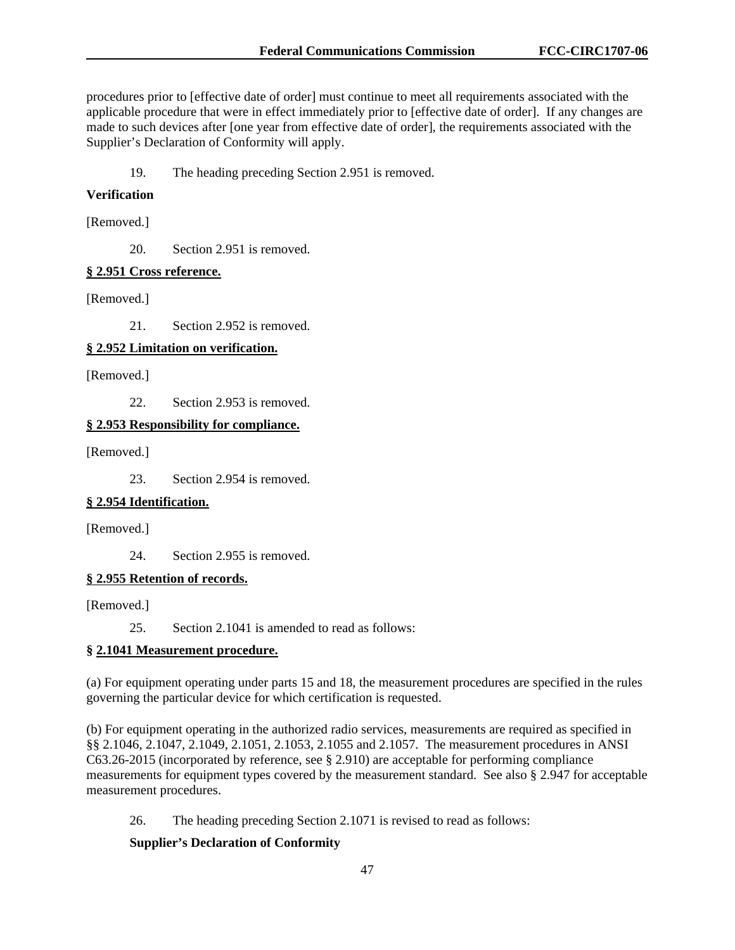procedures prior to [effective date of order] must continue to meet all requirements associated with the applicable procedure that were in effect immediately prior to [effective date of order]. If any changes are made to such devices after [one year from effective date of order], the requirements associated with the Supplier's Declaration of Conformity will apply.

19. The heading preceding Section 2.951 is removed.

#### **Verification**

[Removed.]

20. Section 2.951 is removed.

#### **§ 2.951 Cross reference.**

[Removed.]

21. Section 2.952 is removed.

### **§ 2.952 Limitation on verification.**

[Removed.]

22. Section 2.953 is removed.

### **§ 2.953 Responsibility for compliance.**

[Removed.]

23. Section 2.954 is removed.

### **§ 2.954 Identification.**

[Removed.]

24. Section 2.955 is removed.

### **§ 2.955 Retention of records.**

[Removed.]

25. Section 2.1041 is amended to read as follows:

### **§ 2.1041 Measurement procedure.**

(a) For equipment operating under parts 15 and 18, the measurement procedures are specified in the rules governing the particular device for which certification is requested.

(b) For equipment operating in the authorized radio services, measurements are required as specified in §§ 2.1046, 2.1047, 2.1049, 2.1051, 2.1053, 2.1055 and 2.1057. The measurement procedures in ANSI C63.26-2015 (incorporated by reference, see § 2.910) are acceptable for performing compliance measurements for equipment types covered by the measurement standard. See also § 2.947 for acceptable measurement procedures.

26. The heading preceding Section 2.1071 is revised to read as follows:

### **Supplier's Declaration of Conformity**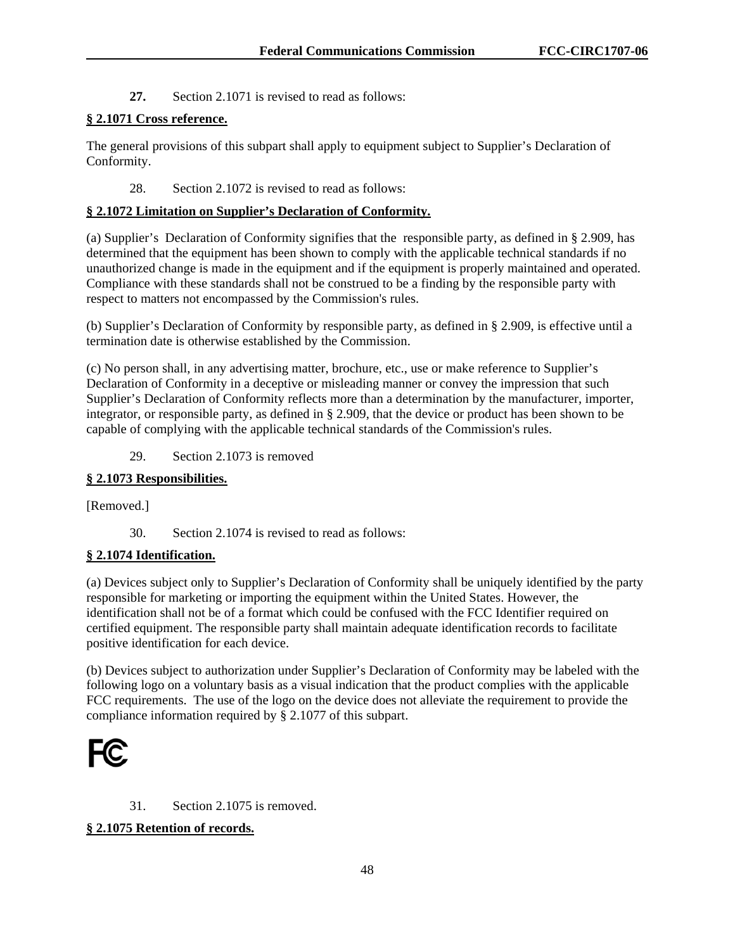**27.** Section 2.1071 is revised to read as follows:

# **§ 2.1071 Cross reference.**

The general provisions of this subpart shall apply to equipment subject to Supplier's Declaration of Conformity.

# 28. Section 2.1072 is revised to read as follows:

# **§ 2.1072 Limitation on Supplier's Declaration of Conformity.**

(a) Supplier's Declaration of Conformity signifies that the responsible party, as defined in § 2.909, has determined that the equipment has been shown to comply with the applicable technical standards if no unauthorized change is made in the equipment and if the equipment is properly maintained and operated. Compliance with these standards shall not be construed to be a finding by the responsible party with respect to matters not encompassed by the Commission's rules.

(b) Supplier's Declaration of Conformity by responsible party, as defined in § 2.909, is effective until a termination date is otherwise established by the Commission.

(c) No person shall, in any advertising matter, brochure, etc., use or make reference to Supplier's Declaration of Conformity in a deceptive or misleading manner or convey the impression that such Supplier's Declaration of Conformity reflects more than a determination by the manufacturer, importer, integrator, or responsible party, as defined in § 2.909, that the device or product has been shown to be capable of complying with the applicable technical standards of the Commission's rules.

29. Section 2.1073 is removed

# **§ 2.1073 Responsibilities.**

[Removed.]

30. Section 2.1074 is revised to read as follows:

### **§ 2.1074 Identification.**

(a) Devices subject only to Supplier's Declaration of Conformity shall be uniquely identified by the party responsible for marketing or importing the equipment within the United States. However, the identification shall not be of a format which could be confused with the FCC Identifier required on certified equipment. The responsible party shall maintain adequate identification records to facilitate positive identification for each device.

(b) Devices subject to authorization under Supplier's Declaration of Conformity may be labeled with the following logo on a voluntary basis as a visual indication that the product complies with the applicable FCC requirements. The use of the logo on the device does not alleviate the requirement to provide the compliance information required by § 2.1077 of this subpart.



### 31. Section 2.1075 is removed.

### **§ 2.1075 Retention of records.**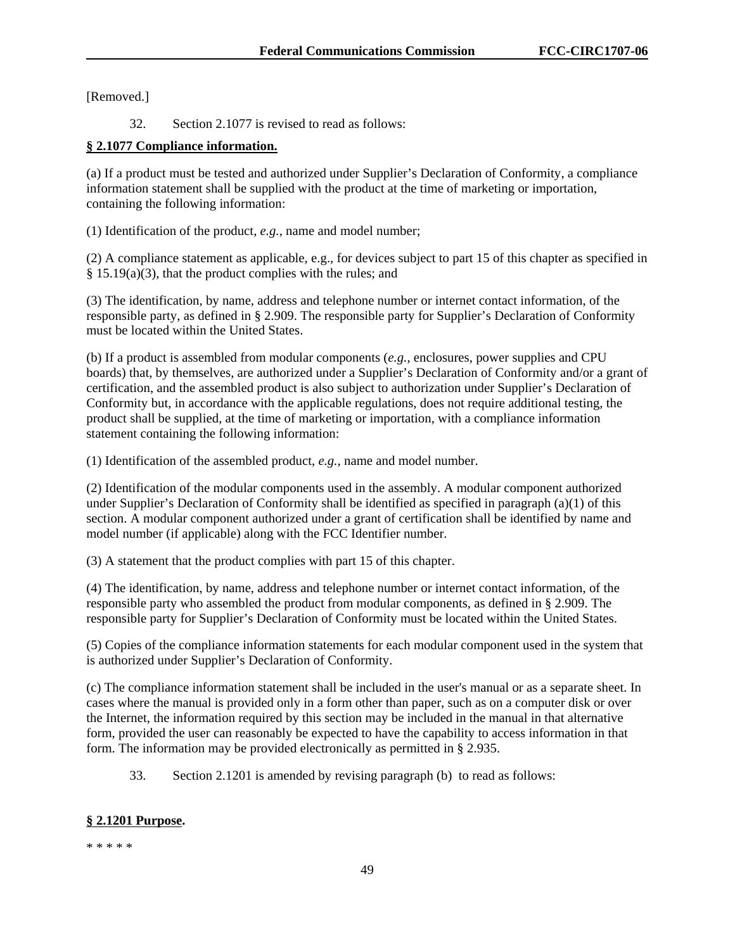[Removed.]

32. Section 2.1077 is revised to read as follows:

# **§ 2.1077 Compliance information.**

(a) If a product must be tested and authorized under Supplier's Declaration of Conformity, a compliance information statement shall be supplied with the product at the time of marketing or importation, containing the following information:

(1) Identification of the product, *e.g.,* name and model number;

(2) A compliance statement as applicable, e.g., for devices subject to part 15 of this chapter as specified in § 15.19(a)(3), that the product complies with the rules; and

(3) The identification, by name, address and telephone number or internet contact information, of the responsible party, as defined in § 2.909. The responsible party for Supplier's Declaration of Conformity must be located within the United States.

(b) If a product is assembled from modular components (*e.g.,* enclosures, power supplies and CPU boards) that, by themselves, are authorized under a Supplier's Declaration of Conformity and/or a grant of certification, and the assembled product is also subject to authorization under Supplier's Declaration of Conformity but, in accordance with the applicable regulations, does not require additional testing, the product shall be supplied, at the time of marketing or importation, with a compliance information statement containing the following information:

(1) Identification of the assembled product, *e.g.*, name and model number.

(2) Identification of the modular components used in the assembly. A modular component authorized under Supplier's Declaration of Conformity shall be identified as specified in paragraph (a)(1) of this section. A modular component authorized under a grant of certification shall be identified by name and model number (if applicable) along with the FCC Identifier number.

(3) A statement that the product complies with part 15 of this chapter.

(4) The identification, by name, address and telephone number or internet contact information, of the responsible party who assembled the product from modular components, as defined in § 2.909. The responsible party for Supplier's Declaration of Conformity must be located within the United States.

(5) Copies of the compliance information statements for each modular component used in the system that is authorized under Supplier's Declaration of Conformity.

(c) The compliance information statement shall be included in the user's manual or as a separate sheet. In cases where the manual is provided only in a form other than paper, such as on a computer disk or over the Internet, the information required by this section may be included in the manual in that alternative form, provided the user can reasonably be expected to have the capability to access information in that form. The information may be provided electronically as permitted in § 2.935.

33. Section 2.1201 is amended by revising paragraph (b) to read as follows:

# **§ 2.1201 Purpose.**

\* \* \* \* \*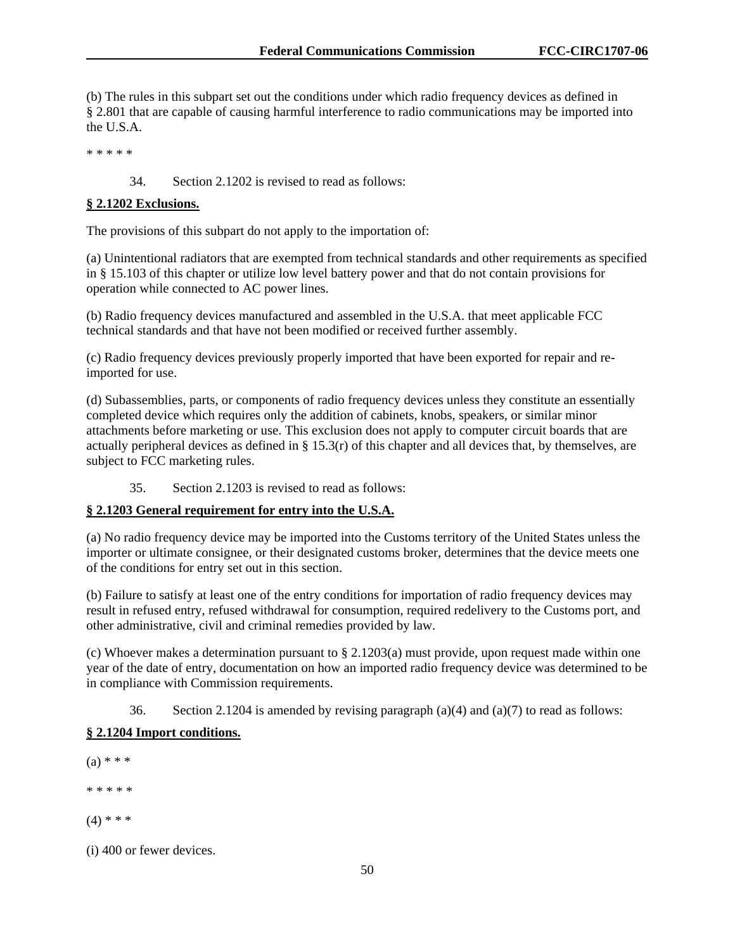(b) The rules in this subpart set out the conditions under which radio frequency devices as defined in § 2.801 that are capable of causing harmful interference to radio communications may be imported into the U.S.A.

\* \* \* \* \*

34. Section 2.1202 is revised to read as follows:

### **§ 2.1202 Exclusions.**

The provisions of this subpart do not apply to the importation of:

(a) Unintentional radiators that are exempted from technical standards and other requirements as specified in § 15.103 of this chapter or utilize low level battery power and that do not contain provisions for operation while connected to AC power lines.

(b) Radio frequency devices manufactured and assembled in the U.S.A. that meet applicable FCC technical standards and that have not been modified or received further assembly.

(c) Radio frequency devices previously properly imported that have been exported for repair and reimported for use.

(d) Subassemblies, parts, or components of radio frequency devices unless they constitute an essentially completed device which requires only the addition of cabinets, knobs, speakers, or similar minor attachments before marketing or use. This exclusion does not apply to computer circuit boards that are actually peripheral devices as defined in § 15.3(r) of this chapter and all devices that, by themselves, are subject to FCC marketing rules.

35. Section 2.1203 is revised to read as follows:

# **§ 2.1203 General requirement for entry into the U.S.A.**

(a) No radio frequency device may be imported into the Customs territory of the United States unless the importer or ultimate consignee, or their designated customs broker, determines that the device meets one of the conditions for entry set out in this section.

(b) Failure to satisfy at least one of the entry conditions for importation of radio frequency devices may result in refused entry, refused withdrawal for consumption, required redelivery to the Customs port, and other administrative, civil and criminal remedies provided by law.

(c) Whoever makes a determination pursuant to § 2.1203(a) must provide, upon request made within one year of the date of entry, documentation on how an imported radio frequency device was determined to be in compliance with Commission requirements.

36. Section 2.1204 is amended by revising paragraph  $(a)(4)$  and  $(a)(7)$  to read as follows:

# **§ 2.1204 Import conditions.**

- $(a) * * *$ \* \* \* \* \*  $(4)$  \* \* \*
- (i) 400 or fewer devices.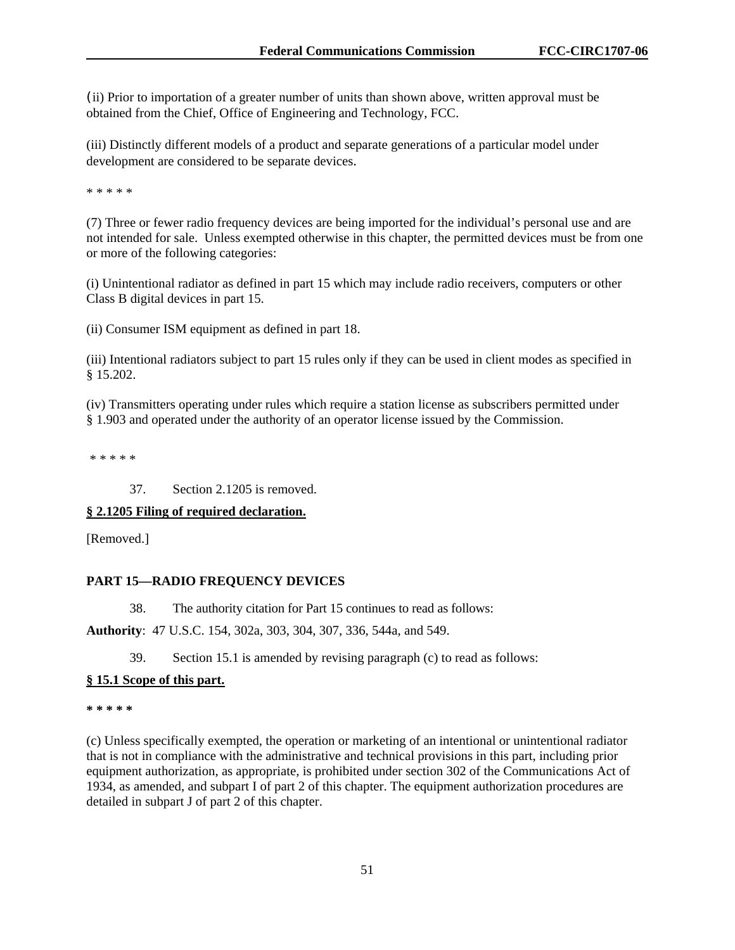(ii) Prior to importation of a greater number of units than shown above, written approval must be obtained from the Chief, Office of Engineering and Technology, FCC.

(iii) Distinctly different models of a product and separate generations of a particular model under development are considered to be separate devices.

\* \* \* \* \*

(7) Three or fewer radio frequency devices are being imported for the individual's personal use and are not intended for sale. Unless exempted otherwise in this chapter, the permitted devices must be from one or more of the following categories:

(i) Unintentional radiator as defined in part 15 which may include radio receivers, computers or other Class B digital devices in part 15.

(ii) Consumer ISM equipment as defined in part 18.

(iii) Intentional radiators subject to part 15 rules only if they can be used in client modes as specified in § 15.202.

(iv) Transmitters operating under rules which require a station license as subscribers permitted under § 1.903 and operated under the authority of an operator license issued by the Commission.

\* \* \* \* \*

37. Section 2.1205 is removed.

### **§ 2.1205 Filing of required declaration.**

[Removed.]

### **PART 15—RADIO FREQUENCY DEVICES**

38. The authority citation for Part 15 continues to read as follows:

**Authority**: 47 U.S.C. 154, 302a, 303, 304, 307, 336, 544a, and 549.

39. Section 15.1 is amended by revising paragraph (c) to read as follows:

#### **§ 15.1 Scope of this part.**

**\* \* \* \* \*** 

(c) Unless specifically exempted, the operation or marketing of an intentional or unintentional radiator that is not in compliance with the administrative and technical provisions in this part, including prior equipment authorization, as appropriate, is prohibited under section 302 of the Communications Act of 1934, as amended, and subpart I of part 2 of this chapter. The equipment authorization procedures are detailed in subpart J of part 2 of this chapter.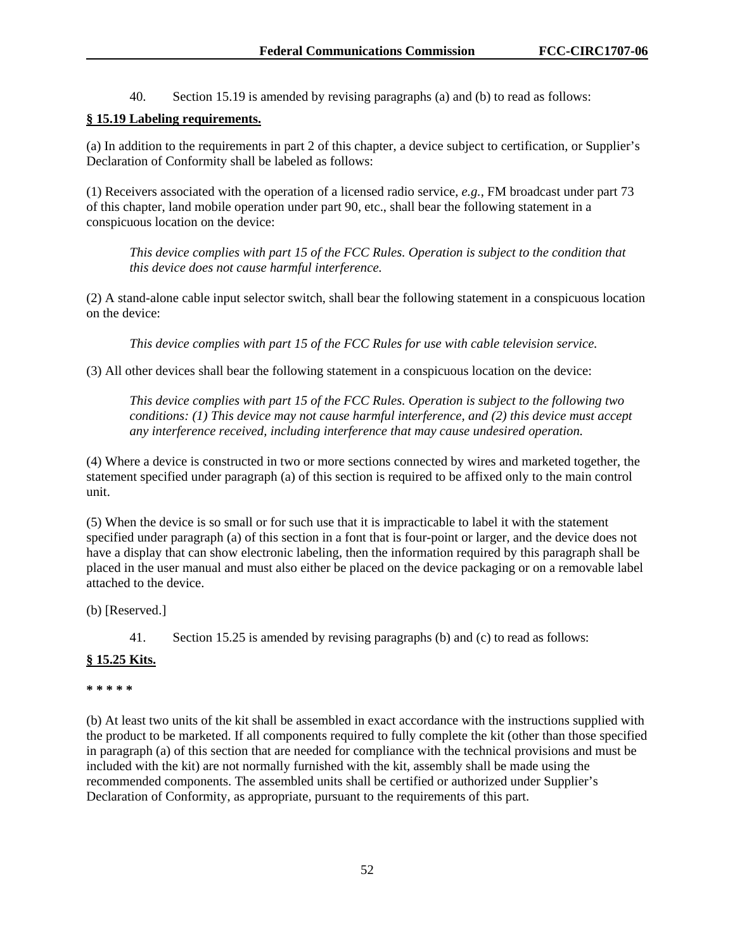40. Section 15.19 is amended by revising paragraphs (a) and (b) to read as follows:

# **§ 15.19 Labeling requirements.**

(a) In addition to the requirements in part 2 of this chapter, a device subject to certification, or Supplier's Declaration of Conformity shall be labeled as follows:

(1) Receivers associated with the operation of a licensed radio service, *e.g.*, FM broadcast under part 73 of this chapter, land mobile operation under part 90, etc., shall bear the following statement in a conspicuous location on the device:

*This device complies with part 15 of the FCC Rules. Operation is subject to the condition that this device does not cause harmful interference.* 

(2) A stand-alone cable input selector switch, shall bear the following statement in a conspicuous location on the device:

*This device complies with part 15 of the FCC Rules for use with cable television service.* 

(3) All other devices shall bear the following statement in a conspicuous location on the device:

*This device complies with part 15 of the FCC Rules. Operation is subject to the following two conditions: (1) This device may not cause harmful interference, and (2) this device must accept any interference received, including interference that may cause undesired operation.* 

(4) Where a device is constructed in two or more sections connected by wires and marketed together, the statement specified under paragraph (a) of this section is required to be affixed only to the main control unit.

(5) When the device is so small or for such use that it is impracticable to label it with the statement specified under paragraph (a) of this section in a font that is four-point or larger, and the device does not have a display that can show electronic labeling, then the information required by this paragraph shall be placed in the user manual and must also either be placed on the device packaging or on a removable label attached to the device.

(b) [Reserved.]

41. Section 15.25 is amended by revising paragraphs (b) and (c) to read as follows:

### **§ 15.25 Kits.**

#### **\* \* \* \* \***

(b) At least two units of the kit shall be assembled in exact accordance with the instructions supplied with the product to be marketed. If all components required to fully complete the kit (other than those specified in paragraph (a) of this section that are needed for compliance with the technical provisions and must be included with the kit) are not normally furnished with the kit, assembly shall be made using the recommended components. The assembled units shall be certified or authorized under Supplier's Declaration of Conformity, as appropriate, pursuant to the requirements of this part.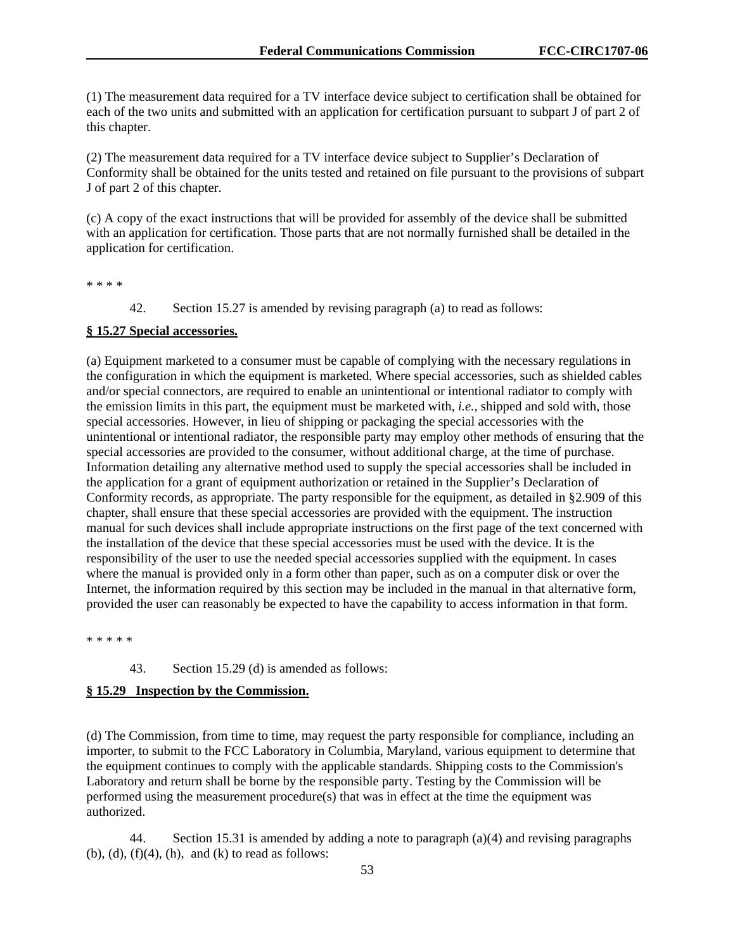(1) The measurement data required for a TV interface device subject to certification shall be obtained for each of the two units and submitted with an application for certification pursuant to subpart J of part 2 of this chapter.

(2) The measurement data required for a TV interface device subject to Supplier's Declaration of Conformity shall be obtained for the units tested and retained on file pursuant to the provisions of subpart J of part 2 of this chapter.

(c) A copy of the exact instructions that will be provided for assembly of the device shall be submitted with an application for certification. Those parts that are not normally furnished shall be detailed in the application for certification.

\* \* \* \*

42. Section 15.27 is amended by revising paragraph (a) to read as follows:

# **§ 15.27 Special accessories.**

(a) Equipment marketed to a consumer must be capable of complying with the necessary regulations in the configuration in which the equipment is marketed. Where special accessories, such as shielded cables and/or special connectors, are required to enable an unintentional or intentional radiator to comply with the emission limits in this part, the equipment must be marketed with, *i.e.*, shipped and sold with, those special accessories. However, in lieu of shipping or packaging the special accessories with the unintentional or intentional radiator, the responsible party may employ other methods of ensuring that the special accessories are provided to the consumer, without additional charge, at the time of purchase. Information detailing any alternative method used to supply the special accessories shall be included in the application for a grant of equipment authorization or retained in the Supplier's Declaration of Conformity records, as appropriate. The party responsible for the equipment, as detailed in §2.909 of this chapter, shall ensure that these special accessories are provided with the equipment. The instruction manual for such devices shall include appropriate instructions on the first page of the text concerned with the installation of the device that these special accessories must be used with the device. It is the responsibility of the user to use the needed special accessories supplied with the equipment. In cases where the manual is provided only in a form other than paper, such as on a computer disk or over the Internet, the information required by this section may be included in the manual in that alternative form, provided the user can reasonably be expected to have the capability to access information in that form.

\* \* \* \* \*

#### 43. Section 15.29 (d) is amended as follows:

#### **§ 15.29 Inspection by the Commission.**

(d) The Commission, from time to time, may request the party responsible for compliance, including an importer, to submit to the FCC Laboratory in Columbia, Maryland, various equipment to determine that the equipment continues to comply with the applicable standards. Shipping costs to the Commission's Laboratory and return shall be borne by the responsible party. Testing by the Commission will be performed using the measurement procedure $(s)$  that was in effect at the time the equipment was authorized.

44. Section 15.31 is amended by adding a note to paragraph (a)(4) and revising paragraphs  $(b)$ ,  $(d)$ ,  $(f)(4)$ ,  $(h)$ , and  $(k)$  to read as follows: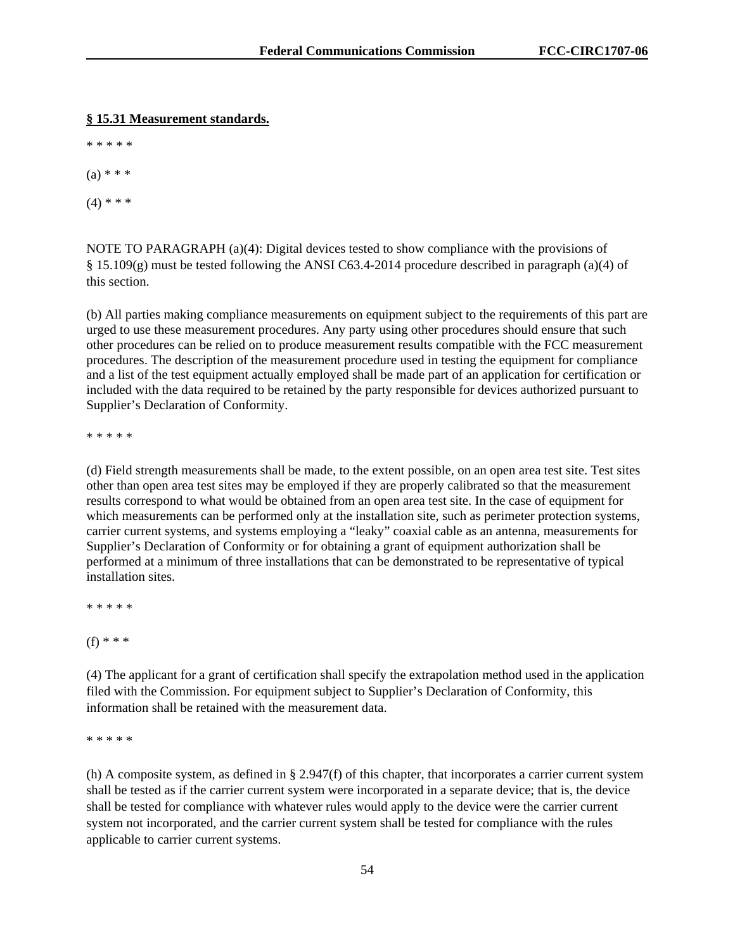#### **§ 15.31 Measurement standards.**

\* \* \* \* \*

 $(a) * * * *$ 

 $(4)$  \* \* \*

NOTE TO PARAGRAPH (a)(4): Digital devices tested to show compliance with the provisions of § 15.109(g) must be tested following the ANSI C63.4-2014 procedure described in paragraph (a)(4) of this section.

(b) All parties making compliance measurements on equipment subject to the requirements of this part are urged to use these measurement procedures. Any party using other procedures should ensure that such other procedures can be relied on to produce measurement results compatible with the FCC measurement procedures. The description of the measurement procedure used in testing the equipment for compliance and a list of the test equipment actually employed shall be made part of an application for certification or included with the data required to be retained by the party responsible for devices authorized pursuant to Supplier's Declaration of Conformity.

\* \* \* \* \*

(d) Field strength measurements shall be made, to the extent possible, on an open area test site. Test sites other than open area test sites may be employed if they are properly calibrated so that the measurement results correspond to what would be obtained from an open area test site. In the case of equipment for which measurements can be performed only at the installation site, such as perimeter protection systems, carrier current systems, and systems employing a "leaky" coaxial cable as an antenna, measurements for Supplier's Declaration of Conformity or for obtaining a grant of equipment authorization shall be performed at a minimum of three installations that can be demonstrated to be representative of typical installation sites.

\* \* \* \* \*

(f) \* \* \*

(4) The applicant for a grant of certification shall specify the extrapolation method used in the application filed with the Commission. For equipment subject to Supplier's Declaration of Conformity, this information shall be retained with the measurement data.

\* \* \* \* \*

(h) A composite system, as defined in  $\S 2.947(f)$  of this chapter, that incorporates a carrier current system shall be tested as if the carrier current system were incorporated in a separate device; that is, the device shall be tested for compliance with whatever rules would apply to the device were the carrier current system not incorporated, and the carrier current system shall be tested for compliance with the rules applicable to carrier current systems.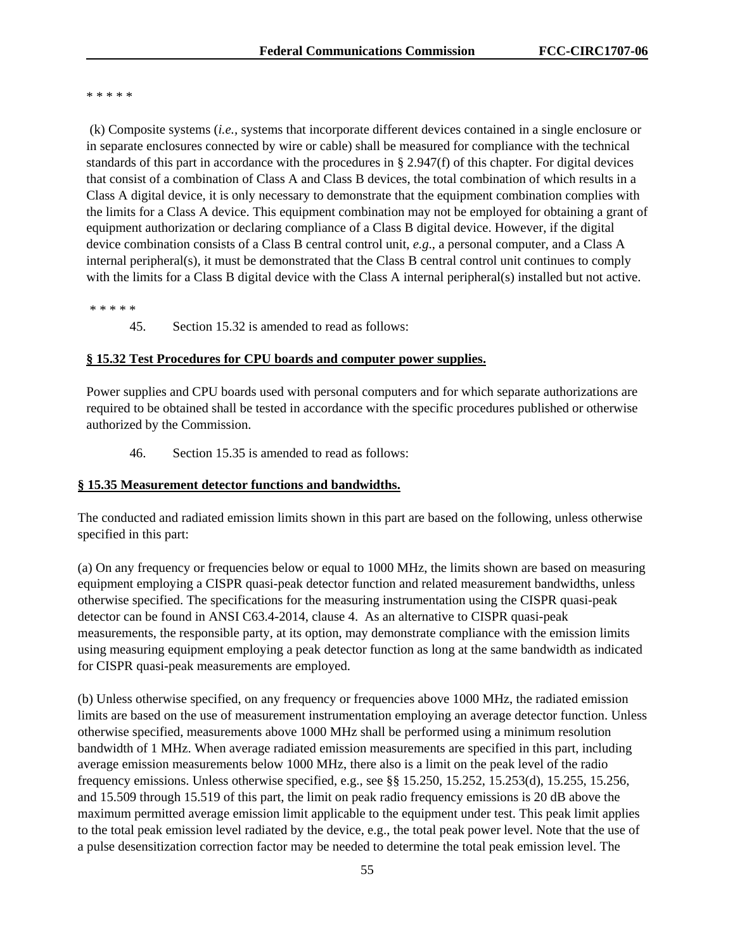\* \* \* \* \*

 (k) Composite systems (*i.e.,* systems that incorporate different devices contained in a single enclosure or in separate enclosures connected by wire or cable) shall be measured for compliance with the technical standards of this part in accordance with the procedures in  $\S 2.947(f)$  of this chapter. For digital devices that consist of a combination of Class A and Class B devices, the total combination of which results in a Class A digital device, it is only necessary to demonstrate that the equipment combination complies with the limits for a Class A device. This equipment combination may not be employed for obtaining a grant of equipment authorization or declaring compliance of a Class B digital device. However, if the digital device combination consists of a Class B central control unit, *e.g*., a personal computer, and a Class A internal peripheral(s), it must be demonstrated that the Class B central control unit continues to comply with the limits for a Class B digital device with the Class A internal peripheral(s) installed but not active.

\* \* \* \* \*

45. Section 15.32 is amended to read as follows:

#### **§ 15.32 Test Procedures for CPU boards and computer power supplies.**

Power supplies and CPU boards used with personal computers and for which separate authorizations are required to be obtained shall be tested in accordance with the specific procedures published or otherwise authorized by the Commission.

46. Section 15.35 is amended to read as follows:

#### **§ 15.35 Measurement detector functions and bandwidths.**

The conducted and radiated emission limits shown in this part are based on the following, unless otherwise specified in this part:

(a) On any frequency or frequencies below or equal to 1000 MHz, the limits shown are based on measuring equipment employing a CISPR quasi-peak detector function and related measurement bandwidths, unless otherwise specified. The specifications for the measuring instrumentation using the CISPR quasi-peak detector can be found in ANSI C63.4-2014, clause 4. As an alternative to CISPR quasi-peak measurements, the responsible party, at its option, may demonstrate compliance with the emission limits using measuring equipment employing a peak detector function as long at the same bandwidth as indicated for CISPR quasi-peak measurements are employed.

(b) Unless otherwise specified, on any frequency or frequencies above 1000 MHz, the radiated emission limits are based on the use of measurement instrumentation employing an average detector function. Unless otherwise specified, measurements above 1000 MHz shall be performed using a minimum resolution bandwidth of 1 MHz. When average radiated emission measurements are specified in this part, including average emission measurements below 1000 MHz, there also is a limit on the peak level of the radio frequency emissions. Unless otherwise specified, e.g., see §§ 15.250, 15.252, 15.253(d), 15.255, 15.256, and 15.509 through 15.519 of this part, the limit on peak radio frequency emissions is 20 dB above the maximum permitted average emission limit applicable to the equipment under test. This peak limit applies to the total peak emission level radiated by the device, e.g., the total peak power level. Note that the use of a pulse desensitization correction factor may be needed to determine the total peak emission level. The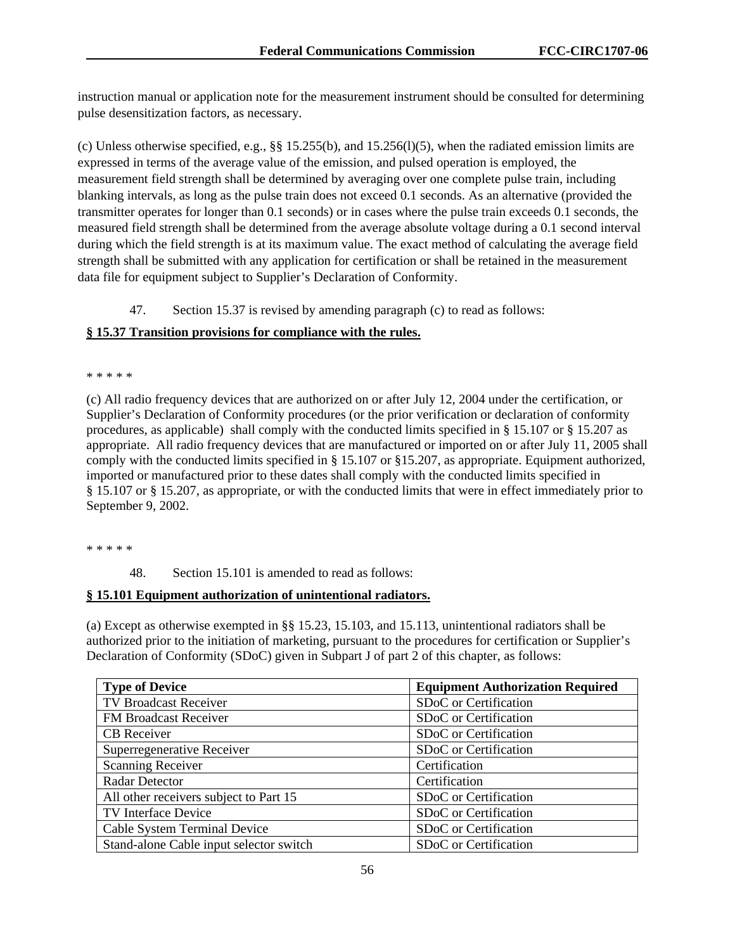instruction manual or application note for the measurement instrument should be consulted for determining pulse desensitization factors, as necessary.

(c) Unless otherwise specified, e.g.,  $\S$ § 15.255(b), and 15.256(l)(5), when the radiated emission limits are expressed in terms of the average value of the emission, and pulsed operation is employed, the measurement field strength shall be determined by averaging over one complete pulse train, including blanking intervals, as long as the pulse train does not exceed 0.1 seconds. As an alternative (provided the transmitter operates for longer than 0.1 seconds) or in cases where the pulse train exceeds 0.1 seconds, the measured field strength shall be determined from the average absolute voltage during a 0.1 second interval during which the field strength is at its maximum value. The exact method of calculating the average field strength shall be submitted with any application for certification or shall be retained in the measurement data file for equipment subject to Supplier's Declaration of Conformity.

47. Section 15.37 is revised by amending paragraph (c) to read as follows:

### **§ 15.37 Transition provisions for compliance with the rules.**

#### \* \* \* \* \*

(c) All radio frequency devices that are authorized on or after July 12, 2004 under the certification, or Supplier's Declaration of Conformity procedures (or the prior verification or declaration of conformity procedures, as applicable) shall comply with the conducted limits specified in § 15.107 or § 15.207 as appropriate. All radio frequency devices that are manufactured or imported on or after July 11, 2005 shall comply with the conducted limits specified in § 15.107 or §15.207, as appropriate. Equipment authorized, imported or manufactured prior to these dates shall comply with the conducted limits specified in § 15.107 or § 15.207, as appropriate, or with the conducted limits that were in effect immediately prior to September 9, 2002.

\* \* \* \* \*

48. Section 15.101 is amended to read as follows:

### **§ 15.101 Equipment authorization of unintentional radiators.**

(a) Except as otherwise exempted in §§ 15.23, 15.103, and 15.113, unintentional radiators shall be authorized prior to the initiation of marketing, pursuant to the procedures for certification or Supplier's Declaration of Conformity (SDoC) given in Subpart J of part 2 of this chapter, as follows:

| <b>Type of Device</b>                   | <b>Equipment Authorization Required</b> |
|-----------------------------------------|-----------------------------------------|
| TV Broadcast Receiver                   | SDoC or Certification                   |
| FM Broadcast Receiver                   | SDoC or Certification                   |
| CB Receiver                             | SDoC or Certification                   |
| Superregenerative Receiver              | SDoC or Certification                   |
| <b>Scanning Receiver</b>                | Certification                           |
| <b>Radar Detector</b>                   | Certification                           |
| All other receivers subject to Part 15  | SDoC or Certification                   |
| TV Interface Device                     | SDoC or Certification                   |
| Cable System Terminal Device            | SDoC or Certification                   |
| Stand-alone Cable input selector switch | SDoC or Certification                   |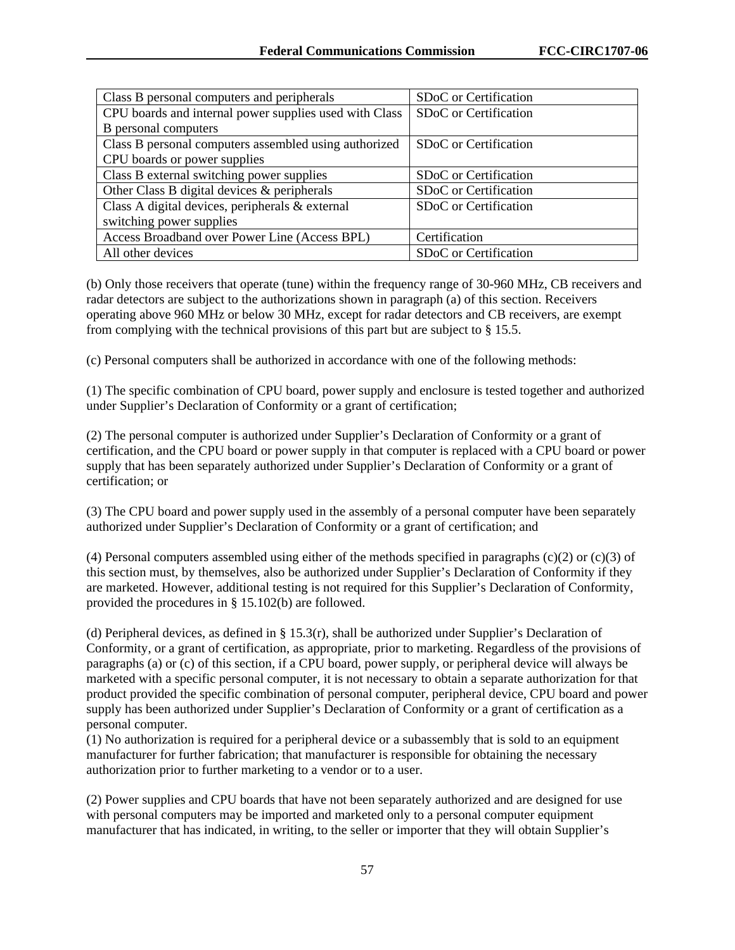| Class B personal computers and peripherals             | SDoC or Certification |
|--------------------------------------------------------|-----------------------|
| CPU boards and internal power supplies used with Class | SDoC or Certification |
| B personal computers                                   |                       |
| Class B personal computers assembled using authorized  | SDoC or Certification |
| CPU boards or power supplies                           |                       |
| Class B external switching power supplies              | SDoC or Certification |
| Other Class B digital devices & peripherals            | SDoC or Certification |
| Class A digital devices, peripherals & external        | SDoC or Certification |
| switching power supplies                               |                       |
| Access Broadband over Power Line (Access BPL)          | Certification         |
| All other devices                                      | SDoC or Certification |

(b) Only those receivers that operate (tune) within the frequency range of 30-960 MHz, CB receivers and radar detectors are subject to the authorizations shown in paragraph (a) of this section. Receivers operating above 960 MHz or below 30 MHz, except for radar detectors and CB receivers, are exempt from complying with the technical provisions of this part but are subject to § 15.5.

(c) Personal computers shall be authorized in accordance with one of the following methods:

(1) The specific combination of CPU board, power supply and enclosure is tested together and authorized under Supplier's Declaration of Conformity or a grant of certification;

(2) The personal computer is authorized under Supplier's Declaration of Conformity or a grant of certification, and the CPU board or power supply in that computer is replaced with a CPU board or power supply that has been separately authorized under Supplier's Declaration of Conformity or a grant of certification; or

(3) The CPU board and power supply used in the assembly of a personal computer have been separately authorized under Supplier's Declaration of Conformity or a grant of certification; and

(4) Personal computers assembled using either of the methods specified in paragraphs  $(c)(2)$  or  $(c)(3)$  of this section must, by themselves, also be authorized under Supplier's Declaration of Conformity if they are marketed. However, additional testing is not required for this Supplier's Declaration of Conformity, provided the procedures in § 15.102(b) are followed.

(d) Peripheral devices, as defined in § 15.3(r), shall be authorized under Supplier's Declaration of Conformity, or a grant of certification, as appropriate, prior to marketing. Regardless of the provisions of paragraphs (a) or (c) of this section, if a CPU board, power supply, or peripheral device will always be marketed with a specific personal computer, it is not necessary to obtain a separate authorization for that product provided the specific combination of personal computer, peripheral device, CPU board and power supply has been authorized under Supplier's Declaration of Conformity or a grant of certification as a personal computer.

(1) No authorization is required for a peripheral device or a subassembly that is sold to an equipment manufacturer for further fabrication; that manufacturer is responsible for obtaining the necessary authorization prior to further marketing to a vendor or to a user.

(2) Power supplies and CPU boards that have not been separately authorized and are designed for use with personal computers may be imported and marketed only to a personal computer equipment manufacturer that has indicated, in writing, to the seller or importer that they will obtain Supplier's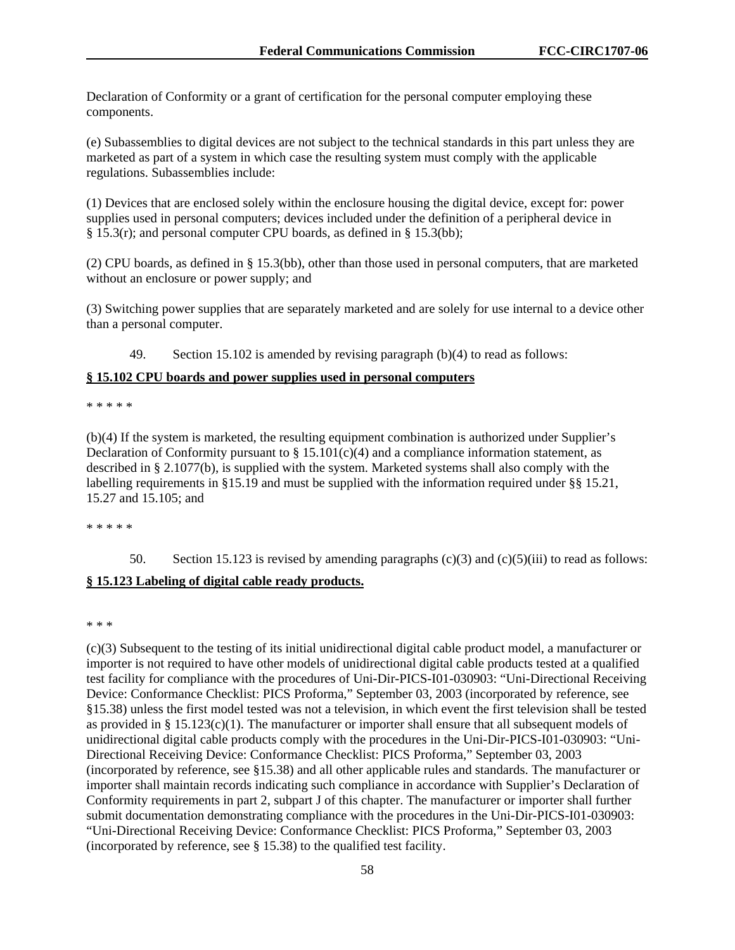Declaration of Conformity or a grant of certification for the personal computer employing these components.

(e) Subassemblies to digital devices are not subject to the technical standards in this part unless they are marketed as part of a system in which case the resulting system must comply with the applicable regulations. Subassemblies include:

(1) Devices that are enclosed solely within the enclosure housing the digital device, except for: power supplies used in personal computers; devices included under the definition of a peripheral device in § 15.3(r); and personal computer CPU boards, as defined in § 15.3(bb);

(2) CPU boards, as defined in § 15.3(bb), other than those used in personal computers, that are marketed without an enclosure or power supply; and

(3) Switching power supplies that are separately marketed and are solely for use internal to a device other than a personal computer.

49. Section 15.102 is amended by revising paragraph (b)(4) to read as follows:

#### **§ 15.102 CPU boards and power supplies used in personal computers**

\* \* \* \* \*

(b)(4) If the system is marketed, the resulting equipment combination is authorized under Supplier's Declaration of Conformity pursuant to  $\S 15.101(c)(4)$  and a compliance information statement, as described in § 2.1077(b), is supplied with the system. Marketed systems shall also comply with the labelling requirements in §15.19 and must be supplied with the information required under §§ 15.21, 15.27 and 15.105; and

\* \* \* \* \*

50. Section 15.123 is revised by amending paragraphs  $(c)(3)$  and  $(c)(5)(iii)$  to read as follows:

### **§ 15.123 Labeling of digital cable ready products.**

\* \* \*

(c)(3) Subsequent to the testing of its initial unidirectional digital cable product model, a manufacturer or importer is not required to have other models of unidirectional digital cable products tested at a qualified test facility for compliance with the procedures of Uni-Dir-PICS-I01-030903: "Uni-Directional Receiving Device: Conformance Checklist: PICS Proforma," September 03, 2003 (incorporated by reference, see §15.38) unless the first model tested was not a television, in which event the first television shall be tested as provided in § 15.123(c)(1). The manufacturer or importer shall ensure that all subsequent models of unidirectional digital cable products comply with the procedures in the Uni-Dir-PICS-I01-030903: "Uni-Directional Receiving Device: Conformance Checklist: PICS Proforma," September 03, 2003 (incorporated by reference, see §15.38) and all other applicable rules and standards. The manufacturer or importer shall maintain records indicating such compliance in accordance with Supplier's Declaration of Conformity requirements in part 2, subpart J of this chapter. The manufacturer or importer shall further submit documentation demonstrating compliance with the procedures in the Uni-Dir-PICS-I01-030903: "Uni-Directional Receiving Device: Conformance Checklist: PICS Proforma," September 03, 2003 (incorporated by reference, see § 15.38) to the qualified test facility.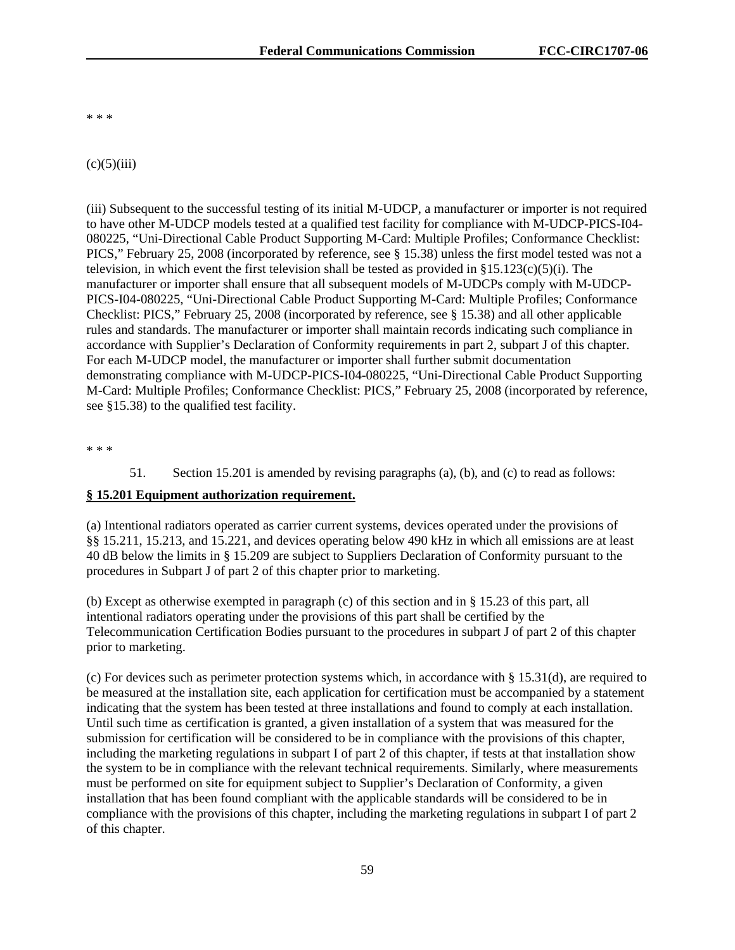\* \* \*

#### $(c)(5)(iii)$

(iii) Subsequent to the successful testing of its initial M-UDCP, a manufacturer or importer is not required to have other M-UDCP models tested at a qualified test facility for compliance with M-UDCP-PICS-I04- 080225, "Uni-Directional Cable Product Supporting M-Card: Multiple Profiles; Conformance Checklist: PICS," February 25, 2008 (incorporated by reference, see § 15.38) unless the first model tested was not a television, in which event the first television shall be tested as provided in  $\S15.123(c)(5)(i)$ . The manufacturer or importer shall ensure that all subsequent models of M-UDCPs comply with M-UDCP-PICS-I04-080225, "Uni-Directional Cable Product Supporting M-Card: Multiple Profiles; Conformance Checklist: PICS," February 25, 2008 (incorporated by reference, see § 15.38) and all other applicable rules and standards. The manufacturer or importer shall maintain records indicating such compliance in accordance with Supplier's Declaration of Conformity requirements in part 2, subpart J of this chapter. For each M-UDCP model, the manufacturer or importer shall further submit documentation demonstrating compliance with M-UDCP-PICS-I04-080225, "Uni-Directional Cable Product Supporting M-Card: Multiple Profiles; Conformance Checklist: PICS," February 25, 2008 (incorporated by reference, see §15.38) to the qualified test facility.

\* \* \*

51. Section 15.201 is amended by revising paragraphs (a), (b), and (c) to read as follows:

### **§ 15.201 Equipment authorization requirement.**

(a) Intentional radiators operated as carrier current systems, devices operated under the provisions of §§ 15.211, 15.213, and 15.221, and devices operating below 490 kHz in which all emissions are at least 40 dB below the limits in § 15.209 are subject to Suppliers Declaration of Conformity pursuant to the procedures in Subpart J of part 2 of this chapter prior to marketing.

(b) Except as otherwise exempted in paragraph (c) of this section and in § 15.23 of this part, all intentional radiators operating under the provisions of this part shall be certified by the Telecommunication Certification Bodies pursuant to the procedures in subpart J of part 2 of this chapter prior to marketing.

(c) For devices such as perimeter protection systems which, in accordance with § 15.31(d), are required to be measured at the installation site, each application for certification must be accompanied by a statement indicating that the system has been tested at three installations and found to comply at each installation. Until such time as certification is granted, a given installation of a system that was measured for the submission for certification will be considered to be in compliance with the provisions of this chapter, including the marketing regulations in subpart I of part 2 of this chapter, if tests at that installation show the system to be in compliance with the relevant technical requirements. Similarly, where measurements must be performed on site for equipment subject to Supplier's Declaration of Conformity, a given installation that has been found compliant with the applicable standards will be considered to be in compliance with the provisions of this chapter, including the marketing regulations in subpart I of part 2 of this chapter.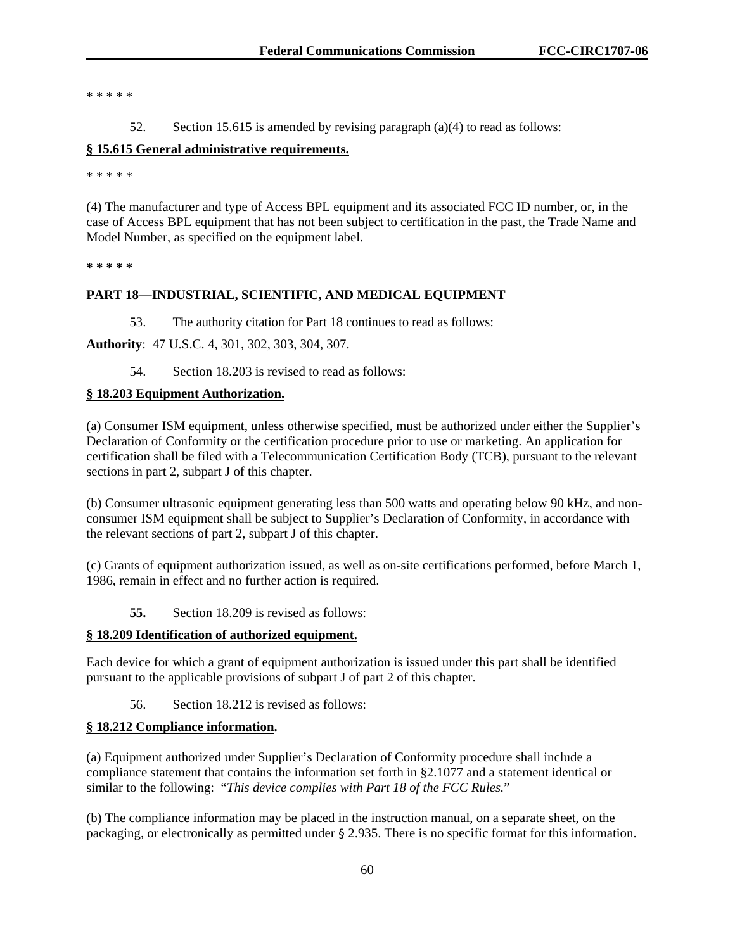\* \* \* \* \*

52. Section 15.615 is amended by revising paragraph (a)(4) to read as follows:

### **§ 15.615 General administrative requirements.**

\* \* \* \* \*

(4) The manufacturer and type of Access BPL equipment and its associated FCC ID number, or, in the case of Access BPL equipment that has not been subject to certification in the past, the Trade Name and Model Number, as specified on the equipment label.

**\* \* \* \* \*** 

### **PART 18—INDUSTRIAL, SCIENTIFIC, AND MEDICAL EQUIPMENT**

53. The authority citation for Part 18 continues to read as follows:

**Authority**: 47 U.S.C. 4, 301, 302, 303, 304, 307.

54. Section 18.203 is revised to read as follows:

### **§ 18.203 Equipment Authorization.**

(a) Consumer ISM equipment, unless otherwise specified, must be authorized under either the Supplier's Declaration of Conformity or the certification procedure prior to use or marketing. An application for certification shall be filed with a Telecommunication Certification Body (TCB), pursuant to the relevant sections in part 2, subpart J of this chapter.

(b) Consumer ultrasonic equipment generating less than 500 watts and operating below 90 kHz, and nonconsumer ISM equipment shall be subject to Supplier's Declaration of Conformity, in accordance with the relevant sections of part 2, subpart J of this chapter.

(c) Grants of equipment authorization issued, as well as on-site certifications performed, before March 1, 1986, remain in effect and no further action is required.

**55.** Section 18.209 is revised as follows:

#### **§ 18.209 Identification of authorized equipment.**

Each device for which a grant of equipment authorization is issued under this part shall be identified pursuant to the applicable provisions of subpart J of part 2 of this chapter.

56. Section 18.212 is revised as follows:

# **§ 18.212 Compliance information.**

(a) Equipment authorized under Supplier's Declaration of Conformity procedure shall include a compliance statement that contains the information set forth in §2.1077 and a statement identical or similar to the following: "*This device complies with Part 18 of the FCC Rules.*"

(b) The compliance information may be placed in the instruction manual, on a separate sheet, on the packaging, or electronically as permitted under § 2.935. There is no specific format for this information.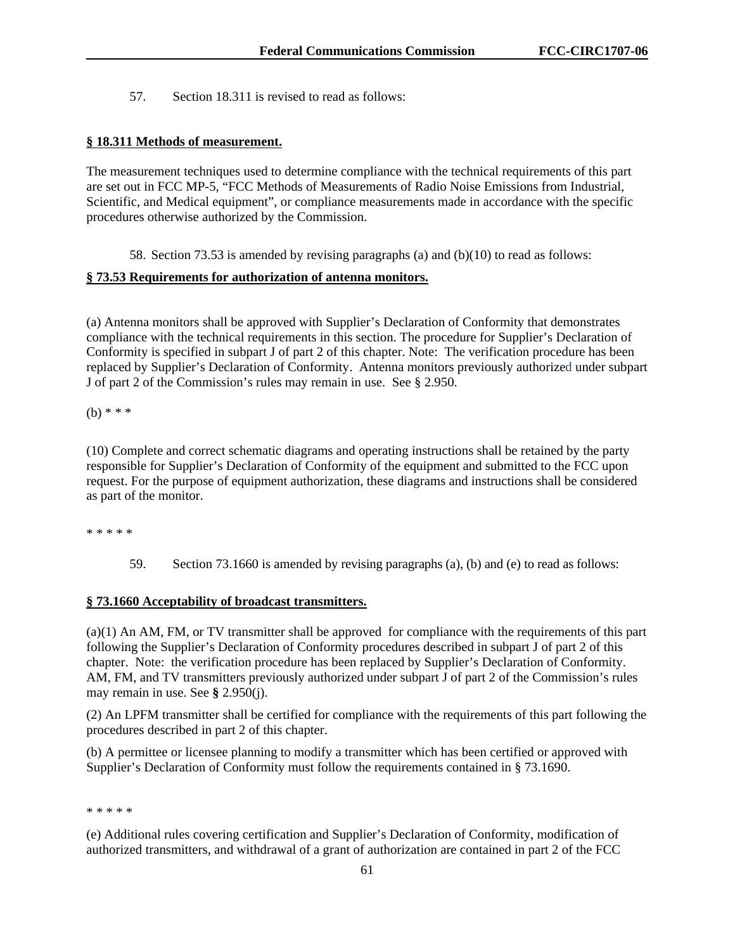57. Section 18.311 is revised to read as follows:

### **§ 18.311 Methods of measurement.**

The measurement techniques used to determine compliance with the technical requirements of this part are set out in FCC MP-5, "FCC Methods of Measurements of Radio Noise Emissions from Industrial, Scientific, and Medical equipment", or compliance measurements made in accordance with the specific procedures otherwise authorized by the Commission.

58. Section 73.53 is amended by revising paragraphs (a) and (b)(10) to read as follows:

### **§ 73.53 Requirements for authorization of antenna monitors.**

(a) Antenna monitors shall be approved with Supplier's Declaration of Conformity that demonstrates compliance with the technical requirements in this section. The procedure for Supplier's Declaration of Conformity is specified in subpart J of part 2 of this chapter. Note: The verification procedure has been replaced by Supplier's Declaration of Conformity. Antenna monitors previously authorized under subpart J of part 2 of the Commission's rules may remain in use. See § 2.950.

(b) \* \* \*

(10) Complete and correct schematic diagrams and operating instructions shall be retained by the party responsible for Supplier's Declaration of Conformity of the equipment and submitted to the FCC upon request. For the purpose of equipment authorization, these diagrams and instructions shall be considered as part of the monitor.

\* \* \* \* \*

59. Section 73.1660 is amended by revising paragraphs (a), (b) and (e) to read as follows:

### **§ 73.1660 Acceptability of broadcast transmitters.**

(a)(1) An AM, FM, or TV transmitter shall be approved for compliance with the requirements of this part following the Supplier's Declaration of Conformity procedures described in subpart J of part 2 of this chapter. Note: the verification procedure has been replaced by Supplier's Declaration of Conformity. AM, FM, and TV transmitters previously authorized under subpart J of part 2 of the Commission's rules may remain in use. See **§** 2.950(j).

(2) An LPFM transmitter shall be certified for compliance with the requirements of this part following the procedures described in part 2 of this chapter.

(b) A permittee or licensee planning to modify a transmitter which has been certified or approved with Supplier's Declaration of Conformity must follow the requirements contained in § 73.1690.

#### \* \* \* \* \*

(e) Additional rules covering certification and Supplier's Declaration of Conformity, modification of authorized transmitters, and withdrawal of a grant of authorization are contained in part 2 of the FCC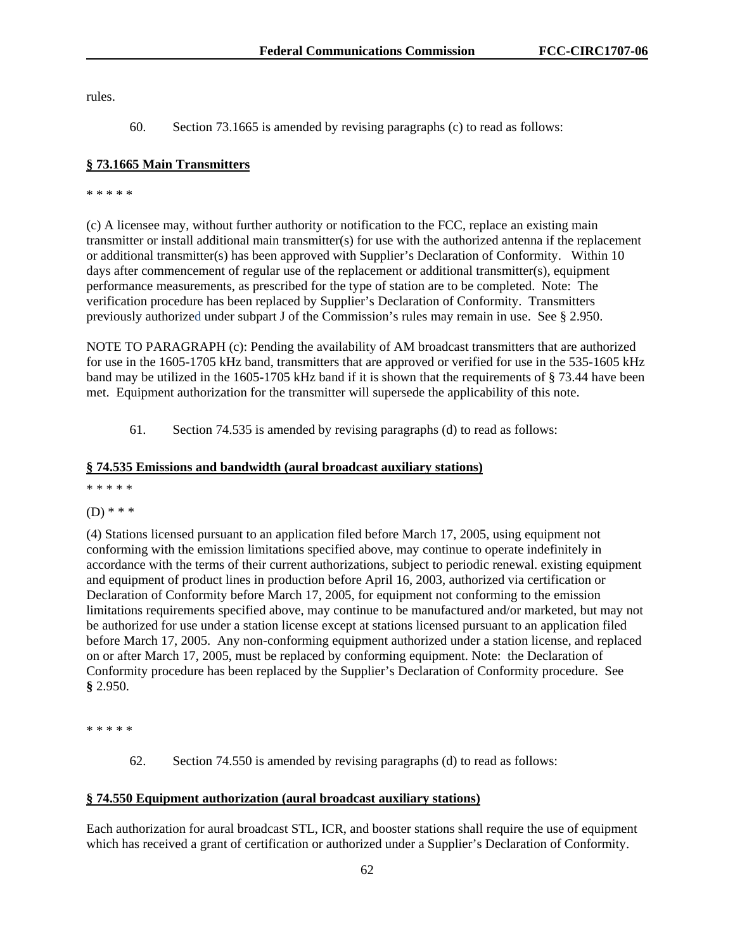rules.

60. Section 73.1665 is amended by revising paragraphs (c) to read as follows:

# **§ 73.1665 Main Transmitters**

\* \* \* \* \*

(c) A licensee may, without further authority or notification to the FCC, replace an existing main transmitter or install additional main transmitter(s) for use with the authorized antenna if the replacement or additional transmitter(s) has been approved with Supplier's Declaration of Conformity. Within 10 days after commencement of regular use of the replacement or additional transmitter(s), equipment performance measurements, as prescribed for the type of station are to be completed. Note: The verification procedure has been replaced by Supplier's Declaration of Conformity. Transmitters previously authorized under subpart J of the Commission's rules may remain in use. See § 2.950.

NOTE TO PARAGRAPH (c): Pending the availability of AM broadcast transmitters that are authorized for use in the 1605-1705 kHz band, transmitters that are approved or verified for use in the 535-1605 kHz band may be utilized in the 1605-1705 kHz band if it is shown that the requirements of § 73.44 have been met. Equipment authorization for the transmitter will supersede the applicability of this note.

61. Section 74.535 is amended by revising paragraphs (d) to read as follows:

# **§ 74.535 Emissions and bandwidth (aural broadcast auxiliary stations)**

\* \* \* \* \*

(D) \* \* \*

(4) Stations licensed pursuant to an application filed before March 17, 2005, using equipment not conforming with the emission limitations specified above, may continue to operate indefinitely in accordance with the terms of their current authorizations, subject to periodic renewal. existing equipment and equipment of product lines in production before April 16, 2003, authorized via certification or Declaration of Conformity before March 17, 2005, for equipment not conforming to the emission limitations requirements specified above, may continue to be manufactured and/or marketed, but may not be authorized for use under a station license except at stations licensed pursuant to an application filed before March 17, 2005. Any non-conforming equipment authorized under a station license, and replaced on or after March 17, 2005, must be replaced by conforming equipment. Note: the Declaration of Conformity procedure has been replaced by the Supplier's Declaration of Conformity procedure. See **§** 2.950.

\* \* \* \* \*

62. Section 74.550 is amended by revising paragraphs (d) to read as follows:

# **§ 74.550 Equipment authorization (aural broadcast auxiliary stations)**

Each authorization for aural broadcast STL, ICR, and booster stations shall require the use of equipment which has received a grant of certification or authorized under a Supplier's Declaration of Conformity.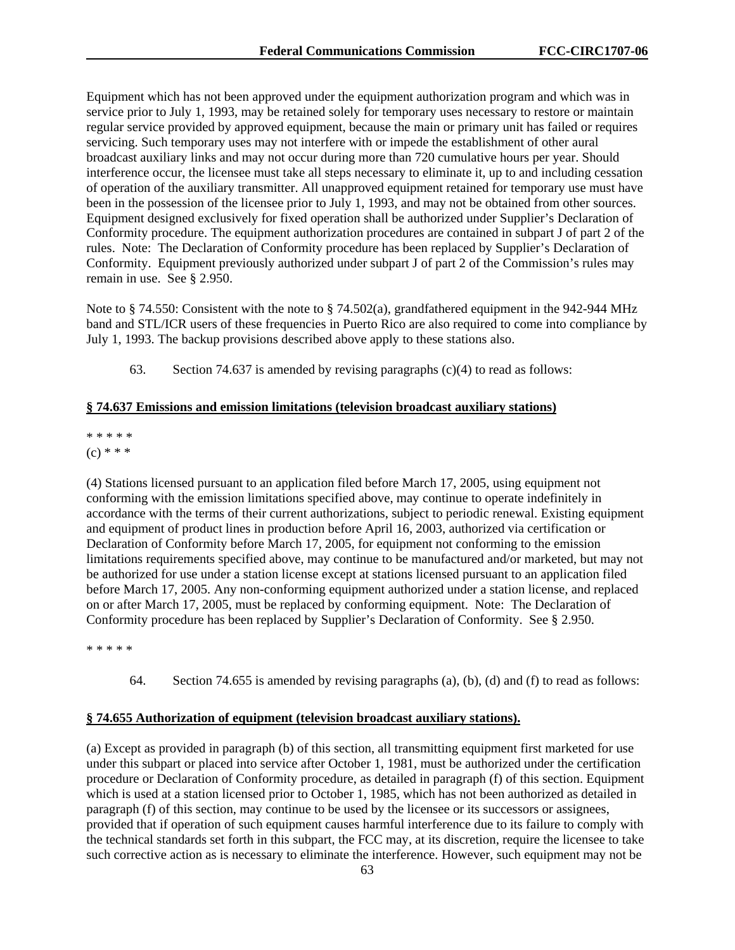Equipment which has not been approved under the equipment authorization program and which was in service prior to July 1, 1993, may be retained solely for temporary uses necessary to restore or maintain regular service provided by approved equipment, because the main or primary unit has failed or requires servicing. Such temporary uses may not interfere with or impede the establishment of other aural broadcast auxiliary links and may not occur during more than 720 cumulative hours per year. Should interference occur, the licensee must take all steps necessary to eliminate it, up to and including cessation of operation of the auxiliary transmitter. All unapproved equipment retained for temporary use must have been in the possession of the licensee prior to July 1, 1993, and may not be obtained from other sources. Equipment designed exclusively for fixed operation shall be authorized under Supplier's Declaration of Conformity procedure. The equipment authorization procedures are contained in subpart J of part 2 of the rules. Note: The Declaration of Conformity procedure has been replaced by Supplier's Declaration of Conformity. Equipment previously authorized under subpart J of part 2 of the Commission's rules may remain in use. See § 2.950.

Note to § 74.550: Consistent with the note to § 74.502(a), grandfathered equipment in the 942-944 MHz band and STL/ICR users of these frequencies in Puerto Rico are also required to come into compliance by July 1, 1993. The backup provisions described above apply to these stations also.

63. Section 74.637 is amended by revising paragraphs (c)(4) to read as follows:

### **§ 74.637 Emissions and emission limitations (television broadcast auxiliary stations)**

# \* \* \* \* \*

# $(c) * * *$

(4) Stations licensed pursuant to an application filed before March 17, 2005, using equipment not conforming with the emission limitations specified above, may continue to operate indefinitely in accordance with the terms of their current authorizations, subject to periodic renewal. Existing equipment and equipment of product lines in production before April 16, 2003, authorized via certification or Declaration of Conformity before March 17, 2005, for equipment not conforming to the emission limitations requirements specified above, may continue to be manufactured and/or marketed, but may not be authorized for use under a station license except at stations licensed pursuant to an application filed before March 17, 2005. Any non-conforming equipment authorized under a station license, and replaced on or after March 17, 2005, must be replaced by conforming equipment. Note: The Declaration of Conformity procedure has been replaced by Supplier's Declaration of Conformity. See § 2.950.

\* \* \* \* \*

64. Section 74.655 is amended by revising paragraphs (a), (b), (d) and (f) to read as follows:

### **§ 74.655 Authorization of equipment (television broadcast auxiliary stations).**

(a) Except as provided in paragraph (b) of this section, all transmitting equipment first marketed for use under this subpart or placed into service after October 1, 1981, must be authorized under the certification procedure or Declaration of Conformity procedure, as detailed in paragraph (f) of this section. Equipment which is used at a station licensed prior to October 1, 1985, which has not been authorized as detailed in paragraph (f) of this section, may continue to be used by the licensee or its successors or assignees, provided that if operation of such equipment causes harmful interference due to its failure to comply with the technical standards set forth in this subpart, the FCC may, at its discretion, require the licensee to take such corrective action as is necessary to eliminate the interference. However, such equipment may not be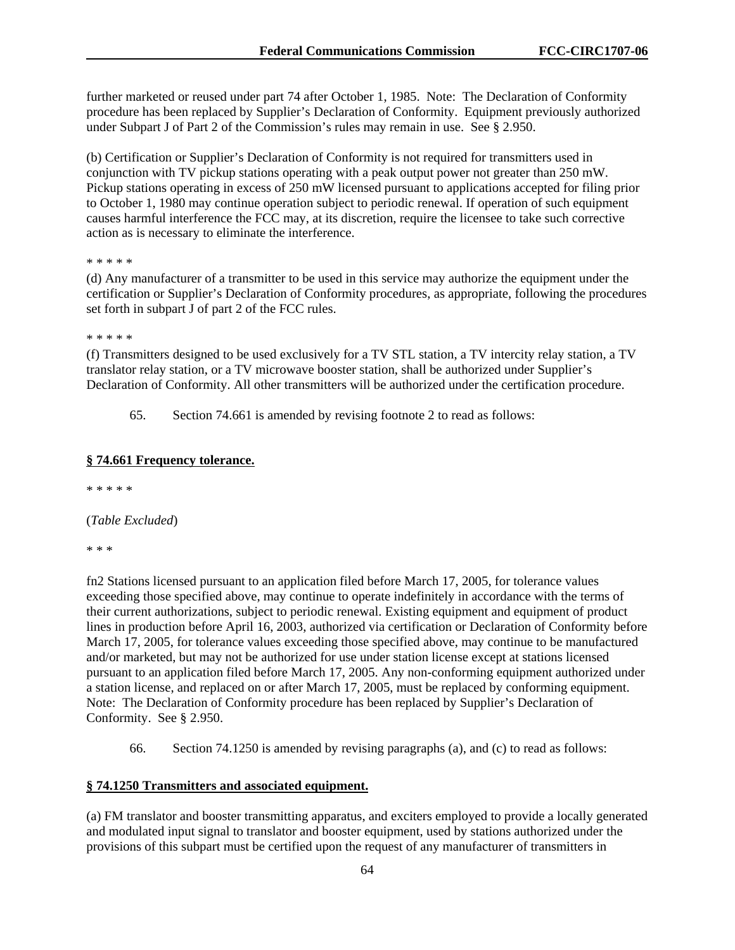further marketed or reused under part 74 after October 1, 1985. Note: The Declaration of Conformity procedure has been replaced by Supplier's Declaration of Conformity. Equipment previously authorized under Subpart J of Part 2 of the Commission's rules may remain in use. See § 2.950.

(b) Certification or Supplier's Declaration of Conformity is not required for transmitters used in conjunction with TV pickup stations operating with a peak output power not greater than 250 mW. Pickup stations operating in excess of 250 mW licensed pursuant to applications accepted for filing prior to October 1, 1980 may continue operation subject to periodic renewal. If operation of such equipment causes harmful interference the FCC may, at its discretion, require the licensee to take such corrective action as is necessary to eliminate the interference.

\* \* \* \* \*

(d) Any manufacturer of a transmitter to be used in this service may authorize the equipment under the certification or Supplier's Declaration of Conformity procedures, as appropriate, following the procedures set forth in subpart J of part 2 of the FCC rules.

\* \* \* \* \*

(f) Transmitters designed to be used exclusively for a TV STL station, a TV intercity relay station, a TV translator relay station, or a TV microwave booster station, shall be authorized under Supplier's Declaration of Conformity. All other transmitters will be authorized under the certification procedure.

65. Section 74.661 is amended by revising footnote 2 to read as follows:

### **§ 74.661 Frequency tolerance.**

\* \* \* \* \*

(*Table Excluded*)

\* \* \*

fn2 Stations licensed pursuant to an application filed before March 17, 2005, for tolerance values exceeding those specified above, may continue to operate indefinitely in accordance with the terms of their current authorizations, subject to periodic renewal. Existing equipment and equipment of product lines in production before April 16, 2003, authorized via certification or Declaration of Conformity before March 17, 2005, for tolerance values exceeding those specified above, may continue to be manufactured and/or marketed, but may not be authorized for use under station license except at stations licensed pursuant to an application filed before March 17, 2005. Any non-conforming equipment authorized under a station license, and replaced on or after March 17, 2005, must be replaced by conforming equipment. Note: The Declaration of Conformity procedure has been replaced by Supplier's Declaration of Conformity. See § 2.950.

66. Section 74.1250 is amended by revising paragraphs (a), and (c) to read as follows:

#### **§ 74.1250 Transmitters and associated equipment.**

(a) FM translator and booster transmitting apparatus, and exciters employed to provide a locally generated and modulated input signal to translator and booster equipment, used by stations authorized under the provisions of this subpart must be certified upon the request of any manufacturer of transmitters in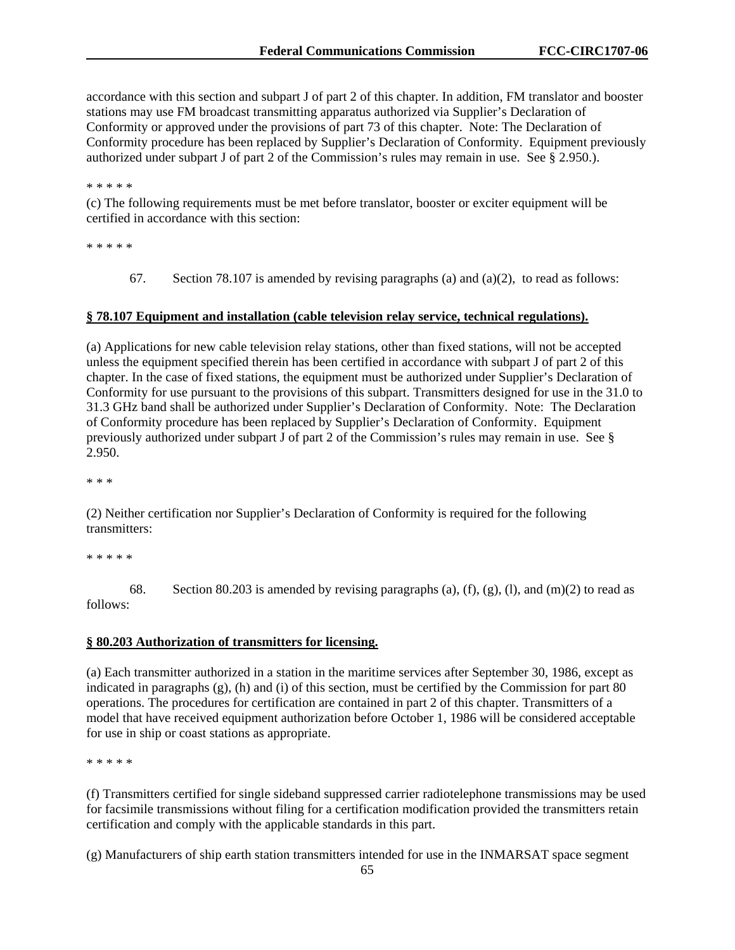accordance with this section and subpart J of part 2 of this chapter. In addition, FM translator and booster stations may use FM broadcast transmitting apparatus authorized via Supplier's Declaration of Conformity or approved under the provisions of part 73 of this chapter. Note: The Declaration of Conformity procedure has been replaced by Supplier's Declaration of Conformity. Equipment previously authorized under subpart J of part 2 of the Commission's rules may remain in use. See § 2.950.).

\* \* \* \* \*

(c) The following requirements must be met before translator, booster or exciter equipment will be certified in accordance with this section:

\* \* \* \* \*

67. Section 78.107 is amended by revising paragraphs (a) and (a)(2), to read as follows:

### **§ 78.107 Equipment and installation (cable television relay service, technical regulations).**

(a) Applications for new cable television relay stations, other than fixed stations, will not be accepted unless the equipment specified therein has been certified in accordance with subpart J of part 2 of this chapter. In the case of fixed stations, the equipment must be authorized under Supplier's Declaration of Conformity for use pursuant to the provisions of this subpart. Transmitters designed for use in the 31.0 to 31.3 GHz band shall be authorized under Supplier's Declaration of Conformity. Note: The Declaration of Conformity procedure has been replaced by Supplier's Declaration of Conformity. Equipment previously authorized under subpart J of part 2 of the Commission's rules may remain in use. See § 2.950.

\* \* \*

(2) Neither certification nor Supplier's Declaration of Conformity is required for the following transmitters:

\* \* \* \* \*

68. Section 80.203 is amended by revising paragraphs (a), (f), (g), (l), and (m)(2) to read as follows:

### **§ 80.203 Authorization of transmitters for licensing.**

(a) Each transmitter authorized in a station in the maritime services after September 30, 1986, except as indicated in paragraphs  $(g)$ , (h) and (i) of this section, must be certified by the Commission for part 80 operations. The procedures for certification are contained in part 2 of this chapter. Transmitters of a model that have received equipment authorization before October 1, 1986 will be considered acceptable for use in ship or coast stations as appropriate.

\* \* \* \* \*

(f) Transmitters certified for single sideband suppressed carrier radiotelephone transmissions may be used for facsimile transmissions without filing for a certification modification provided the transmitters retain certification and comply with the applicable standards in this part.

(g) Manufacturers of ship earth station transmitters intended for use in the INMARSAT space segment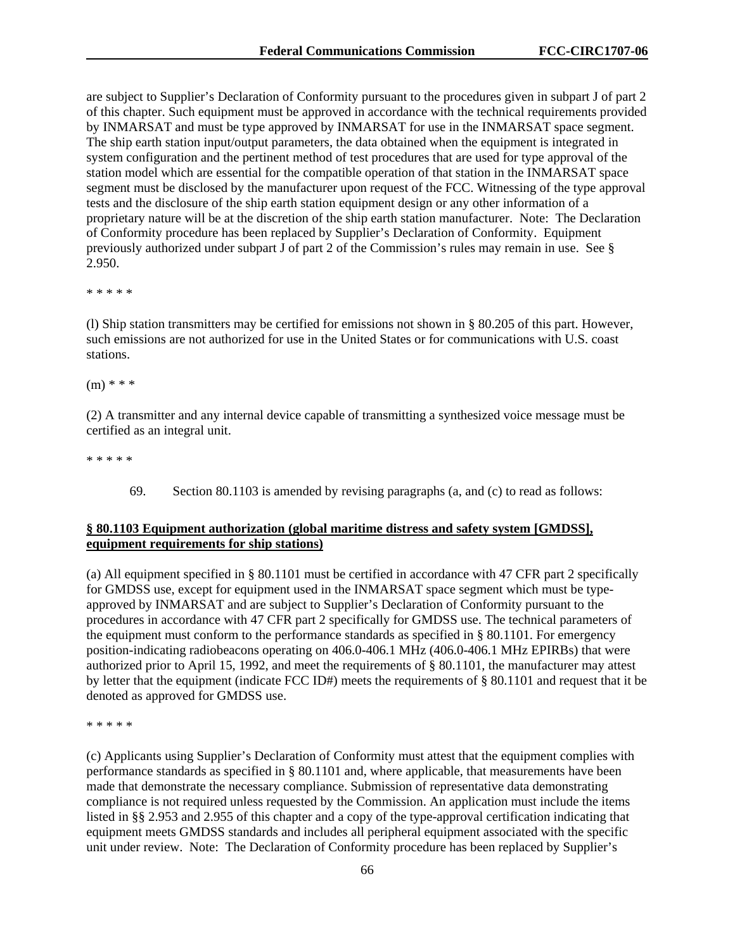are subject to Supplier's Declaration of Conformity pursuant to the procedures given in subpart J of part 2 of this chapter. Such equipment must be approved in accordance with the technical requirements provided by INMARSAT and must be type approved by INMARSAT for use in the INMARSAT space segment. The ship earth station input/output parameters, the data obtained when the equipment is integrated in system configuration and the pertinent method of test procedures that are used for type approval of the station model which are essential for the compatible operation of that station in the INMARSAT space segment must be disclosed by the manufacturer upon request of the FCC. Witnessing of the type approval tests and the disclosure of the ship earth station equipment design or any other information of a proprietary nature will be at the discretion of the ship earth station manufacturer. Note: The Declaration of Conformity procedure has been replaced by Supplier's Declaration of Conformity. Equipment previously authorized under subpart J of part 2 of the Commission's rules may remain in use. See § 2.950.

\* \* \* \* \*

(l) Ship station transmitters may be certified for emissions not shown in § 80.205 of this part. However, such emissions are not authorized for use in the United States or for communications with U.S. coast stations.

(m) \* \* \*

(2) A transmitter and any internal device capable of transmitting a synthesized voice message must be certified as an integral unit.

\* \* \* \* \*

69. Section 80.1103 is amended by revising paragraphs (a, and (c) to read as follows:

### **§ 80.1103 Equipment authorization (global maritime distress and safety system [GMDSS], equipment requirements for ship stations)**

(a) All equipment specified in § 80.1101 must be certified in accordance with 47 CFR part 2 specifically for GMDSS use, except for equipment used in the INMARSAT space segment which must be typeapproved by INMARSAT and are subject to Supplier's Declaration of Conformity pursuant to the procedures in accordance with 47 CFR part 2 specifically for GMDSS use. The technical parameters of the equipment must conform to the performance standards as specified in  $\S$  80.1101. For emergency position-indicating radiobeacons operating on 406.0-406.1 MHz (406.0-406.1 MHz EPIRBs) that were authorized prior to April 15, 1992, and meet the requirements of § 80.1101, the manufacturer may attest by letter that the equipment (indicate FCC ID#) meets the requirements of § 80.1101 and request that it be denoted as approved for GMDSS use.

\* \* \* \* \*

(c) Applicants using Supplier's Declaration of Conformity must attest that the equipment complies with performance standards as specified in § 80.1101 and, where applicable, that measurements have been made that demonstrate the necessary compliance. Submission of representative data demonstrating compliance is not required unless requested by the Commission. An application must include the items listed in §§ 2.953 and 2.955 of this chapter and a copy of the type-approval certification indicating that equipment meets GMDSS standards and includes all peripheral equipment associated with the specific unit under review. Note: The Declaration of Conformity procedure has been replaced by Supplier's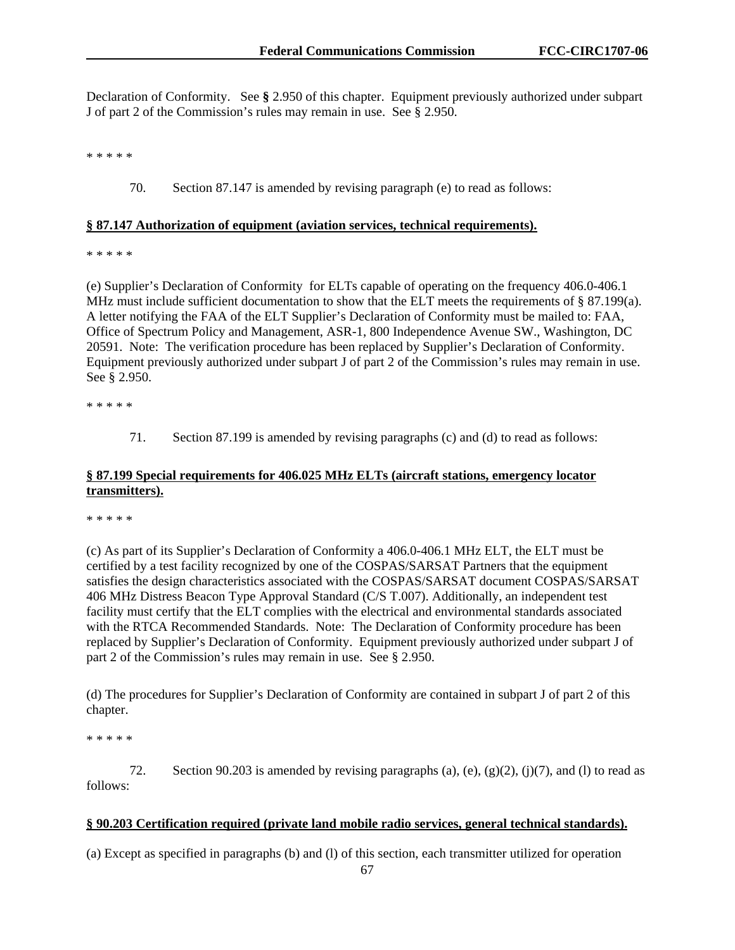Declaration of Conformity. See **§** 2.950 of this chapter. Equipment previously authorized under subpart J of part 2 of the Commission's rules may remain in use. See § 2.950.

\* \* \* \* \*

70. Section 87.147 is amended by revising paragraph (e) to read as follows:

### **§ 87.147 Authorization of equipment (aviation services, technical requirements).**

\* \* \* \* \*

(e) Supplier's Declaration of Conformity for ELTs capable of operating on the frequency 406.0-406.1 MHz must include sufficient documentation to show that the ELT meets the requirements of  $\S 87.199(a)$ . A letter notifying the FAA of the ELT Supplier's Declaration of Conformity must be mailed to: FAA, Office of Spectrum Policy and Management, ASR-1, 800 Independence Avenue SW., Washington, DC 20591. Note: The verification procedure has been replaced by Supplier's Declaration of Conformity. Equipment previously authorized under subpart J of part 2 of the Commission's rules may remain in use. See § 2.950.

\* \* \* \* \*

71. Section 87.199 is amended by revising paragraphs (c) and (d) to read as follows:

# **§ 87.199 Special requirements for 406.025 MHz ELTs (aircraft stations, emergency locator transmitters).**

\* \* \* \* \*

(c) As part of its Supplier's Declaration of Conformity a 406.0-406.1 MHz ELT, the ELT must be certified by a test facility recognized by one of the COSPAS/SARSAT Partners that the equipment satisfies the design characteristics associated with the COSPAS/SARSAT document COSPAS/SARSAT 406 MHz Distress Beacon Type Approval Standard (C/S T.007). Additionally, an independent test facility must certify that the ELT complies with the electrical and environmental standards associated with the RTCA Recommended Standards. Note: The Declaration of Conformity procedure has been replaced by Supplier's Declaration of Conformity. Equipment previously authorized under subpart J of part 2 of the Commission's rules may remain in use. See § 2.950.

(d) The procedures for Supplier's Declaration of Conformity are contained in subpart J of part 2 of this chapter.

\* \* \* \* \*

72. Section 90.203 is amended by revising paragraphs (a), (e),  $(g)(2)$ ,  $(j)(7)$ , and (1) to read as follows:

### **§ 90.203 Certification required (private land mobile radio services, general technical standards).**

(a) Except as specified in paragraphs (b) and (l) of this section, each transmitter utilized for operation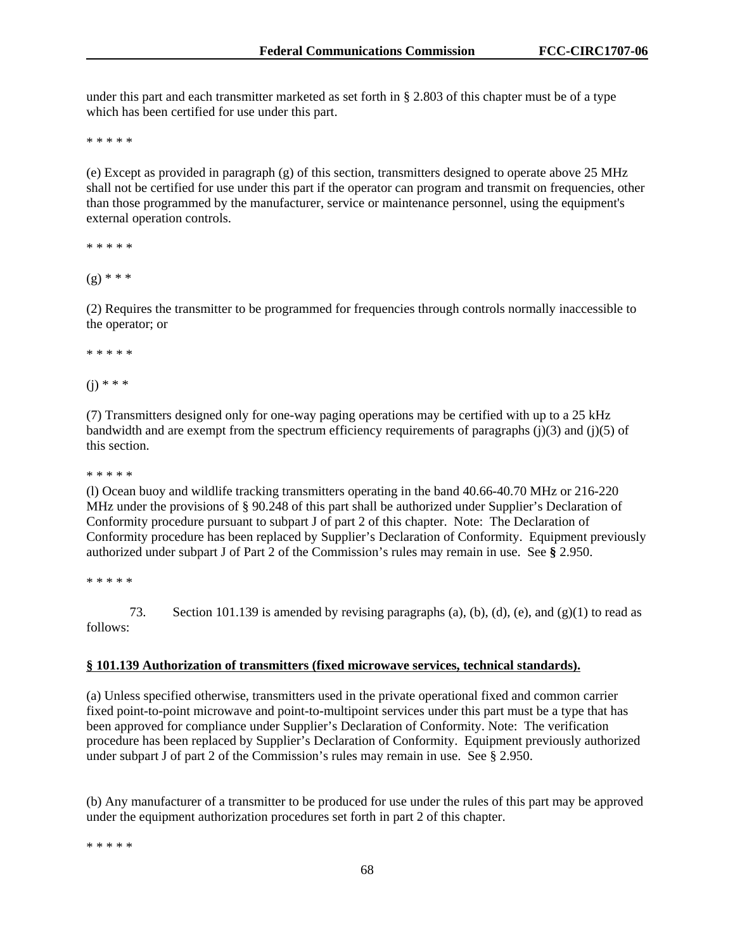under this part and each transmitter marketed as set forth in § 2.803 of this chapter must be of a type which has been certified for use under this part.

\* \* \* \* \*

(e) Except as provided in paragraph (g) of this section, transmitters designed to operate above 25 MHz shall not be certified for use under this part if the operator can program and transmit on frequencies, other than those programmed by the manufacturer, service or maintenance personnel, using the equipment's external operation controls.

\* \* \* \* \*

 $(g)$  \* \* \*

(2) Requires the transmitter to be programmed for frequencies through controls normally inaccessible to the operator; or

\* \* \* \* \*

 $(i) * * * *$ 

(7) Transmitters designed only for one-way paging operations may be certified with up to a 25 kHz bandwidth and are exempt from the spectrum efficiency requirements of paragraphs  $(i)(3)$  and  $(i)(5)$  of this section.

\* \* \* \* \*

(l) Ocean buoy and wildlife tracking transmitters operating in the band 40.66-40.70 MHz or 216-220 MHz under the provisions of § 90.248 of this part shall be authorized under Supplier's Declaration of Conformity procedure pursuant to subpart J of part 2 of this chapter. Note: The Declaration of Conformity procedure has been replaced by Supplier's Declaration of Conformity. Equipment previously authorized under subpart J of Part 2 of the Commission's rules may remain in use. See **§** 2.950.

\* \* \* \* \*

73. Section 101.139 is amended by revising paragraphs (a), (b), (d), (e), and (g)(1) to read as follows:

#### **§ 101.139 Authorization of transmitters (fixed microwave services, technical standards).**

(a) Unless specified otherwise, transmitters used in the private operational fixed and common carrier fixed point-to-point microwave and point-to-multipoint services under this part must be a type that has been approved for compliance under Supplier's Declaration of Conformity. Note: The verification procedure has been replaced by Supplier's Declaration of Conformity. Equipment previously authorized under subpart J of part 2 of the Commission's rules may remain in use. See § 2.950.

(b) Any manufacturer of a transmitter to be produced for use under the rules of this part may be approved under the equipment authorization procedures set forth in part 2 of this chapter.

\* \* \* \* \*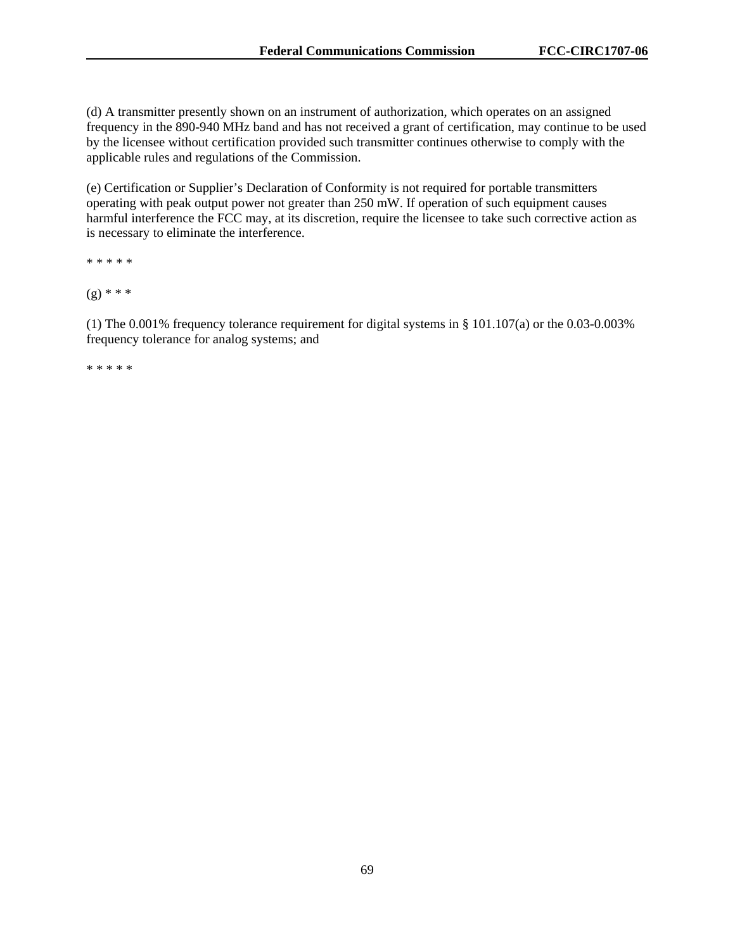(d) A transmitter presently shown on an instrument of authorization, which operates on an assigned frequency in the 890-940 MHz band and has not received a grant of certification, may continue to be used by the licensee without certification provided such transmitter continues otherwise to comply with the applicable rules and regulations of the Commission.

(e) Certification or Supplier's Declaration of Conformity is not required for portable transmitters operating with peak output power not greater than 250 mW. If operation of such equipment causes harmful interference the FCC may, at its discretion, require the licensee to take such corrective action as is necessary to eliminate the interference.

\* \* \* \* \*

 $(g)$  \* \* \*

(1) The 0.001% frequency tolerance requirement for digital systems in § 101.107(a) or the 0.03-0.003% frequency tolerance for analog systems; and

\* \* \* \* \*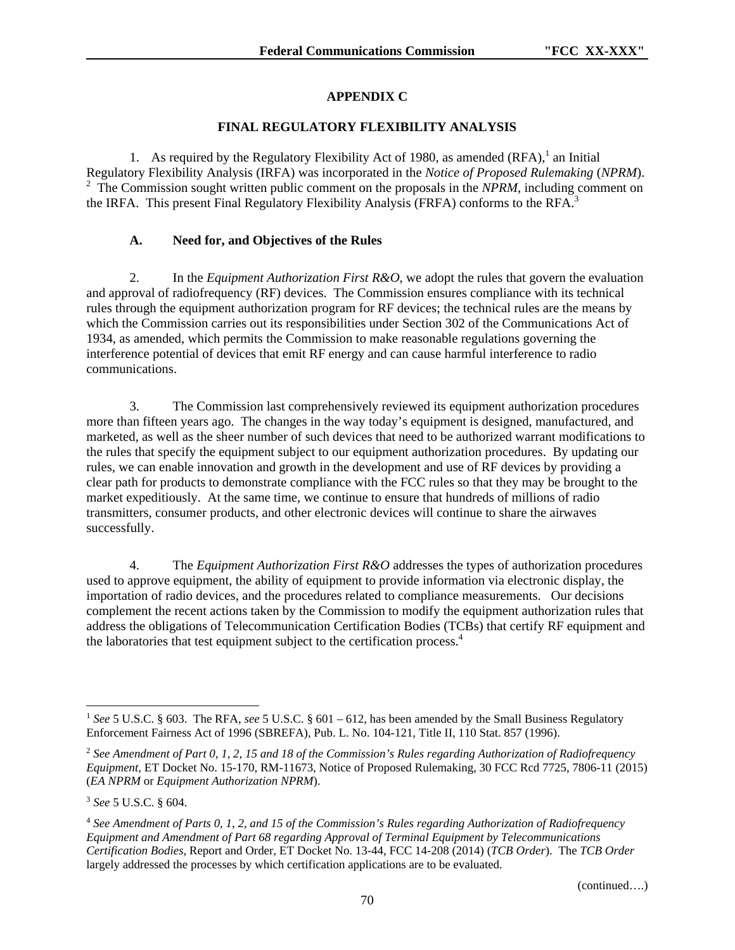# **APPENDIX C**

# **FINAL REGULATORY FLEXIBILITY ANALYSIS**

1. As required by the Regulatory Flexibility Act of 1980, as amended  $(RFA)$ ,<sup>1</sup> an Initial Regulatory Flexibility Analysis (IRFA) was incorporated in the *Notice of Proposed Rulemaking* (*NPRM*). <sup>2</sup> The Commission sought written public comment on the proposals in the *NPRM*, including comment on the IRFA. This present Final Regulatory Flexibility Analysis (FRFA) conforms to the RFA.<sup>3</sup>

# **A. Need for, and Objectives of the Rules**

2. In the *Equipment Authorization First R&O*, we adopt the rules that govern the evaluation and approval of radiofrequency (RF) devices. The Commission ensures compliance with its technical rules through the equipment authorization program for RF devices; the technical rules are the means by which the Commission carries out its responsibilities under Section 302 of the Communications Act of 1934, as amended, which permits the Commission to make reasonable regulations governing the interference potential of devices that emit RF energy and can cause harmful interference to radio communications.

3. The Commission last comprehensively reviewed its equipment authorization procedures more than fifteen years ago. The changes in the way today's equipment is designed, manufactured, and marketed, as well as the sheer number of such devices that need to be authorized warrant modifications to the rules that specify the equipment subject to our equipment authorization procedures. By updating our rules, we can enable innovation and growth in the development and use of RF devices by providing a clear path for products to demonstrate compliance with the FCC rules so that they may be brought to the market expeditiously. At the same time, we continue to ensure that hundreds of millions of radio transmitters, consumer products, and other electronic devices will continue to share the airwaves successfully.

4. The *Equipment Authorization First R&O* addresses the types of authorization procedures used to approve equipment, the ability of equipment to provide information via electronic display, the importation of radio devices, and the procedures related to compliance measurements. Our decisions complement the recent actions taken by the Commission to modify the equipment authorization rules that address the obligations of Telecommunication Certification Bodies (TCBs) that certify RF equipment and the laboratories that test equipment subject to the certification process.<sup>4</sup>

l

<sup>1</sup> *See* 5 U.S.C. § 603. The RFA, *see* 5 U.S.C. § 601 – 612, has been amended by the Small Business Regulatory Enforcement Fairness Act of 1996 (SBREFA), Pub. L. No. 104-121, Title II, 110 Stat. 857 (1996).

<sup>2</sup> *See Amendment of Part 0, 1, 2, 15 and 18 of the Commission's Rules regarding Authorization of Radiofrequency Equipment,* ET Docket No. 15-170, RM-11673, Notice of Proposed Rulemaking, 30 FCC Rcd 7725, 7806-11 (2015) (*EA NPRM* or *Equipment Authorization NPRM*).

<sup>3</sup> *See* 5 U.S.C. § 604.

<sup>4</sup> *See Amendment of Parts 0, 1, 2, and 15 of the Commission's Rules regarding Authorization of Radiofrequency Equipment and Amendment of Part 68 regarding Approval of Terminal Equipment by Telecommunications Certification Bodies,* Report and Order*,* ET Docket No. 13-44, FCC 14-208 (2014) (*TCB Order*). The *TCB Order* largely addressed the processes by which certification applications are to be evaluated.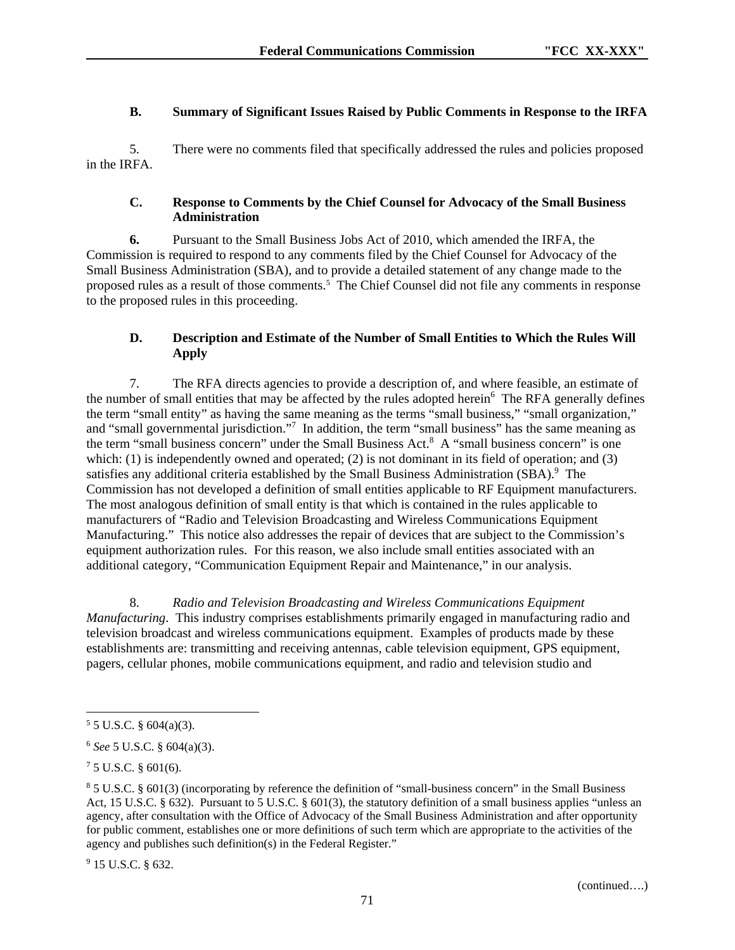# **B. Summary of Significant Issues Raised by Public Comments in Response to the IRFA**

5. There were no comments filed that specifically addressed the rules and policies proposed in the IRFA.

### **C. Response to Comments by the Chief Counsel for Advocacy of the Small Business Administration**

**6.** Pursuant to the Small Business Jobs Act of 2010, which amended the IRFA, the Commission is required to respond to any comments filed by the Chief Counsel for Advocacy of the Small Business Administration (SBA), and to provide a detailed statement of any change made to the proposed rules as a result of those comments.<sup>5</sup> The Chief Counsel did not file any comments in response to the proposed rules in this proceeding.

# **D. Description and Estimate of the Number of Small Entities to Which the Rules Will Apply**

7. The RFA directs agencies to provide a description of, and where feasible, an estimate of the number of small entities that may be affected by the rules adopted herein<sup>6</sup> The RFA generally defines the term "small entity" as having the same meaning as the terms "small business," "small organization," and "small governmental jurisdiction."<sup>7</sup> In addition, the term "small business" has the same meaning as the term "small business concern" under the Small Business Act.<sup>8</sup> A "small business concern" is one which: (1) is independently owned and operated; (2) is not dominant in its field of operation; and (3) satisfies any additional criteria established by the Small Business Administration (SBA).<sup>9</sup> The Commission has not developed a definition of small entities applicable to RF Equipment manufacturers. The most analogous definition of small entity is that which is contained in the rules applicable to manufacturers of "Radio and Television Broadcasting and Wireless Communications Equipment Manufacturing." This notice also addresses the repair of devices that are subject to the Commission's equipment authorization rules. For this reason, we also include small entities associated with an additional category, "Communication Equipment Repair and Maintenance," in our analysis.

8. *Radio and Television Broadcasting and Wireless Communications Equipment Manufacturing*. This industry comprises establishments primarily engaged in manufacturing radio and television broadcast and wireless communications equipment. Examples of products made by these establishments are: transmitting and receiving antennas, cable television equipment, GPS equipment, pagers, cellular phones, mobile communications equipment, and radio and television studio and

1

<sup>9</sup> 15 U.S.C. § 632.

 $55$  U.S.C. § 604(a)(3).

<sup>6</sup> *See* 5 U.S.C. § 604(a)(3).

 $75$  U.S.C. § 601(6).

<sup>8</sup> 5 U.S.C. § 601(3) (incorporating by reference the definition of "small-business concern" in the Small Business Act, 15 U.S.C. § 632). Pursuant to 5 U.S.C. § 601(3), the statutory definition of a small business applies "unless an agency, after consultation with the Office of Advocacy of the Small Business Administration and after opportunity for public comment, establishes one or more definitions of such term which are appropriate to the activities of the agency and publishes such definition(s) in the Federal Register."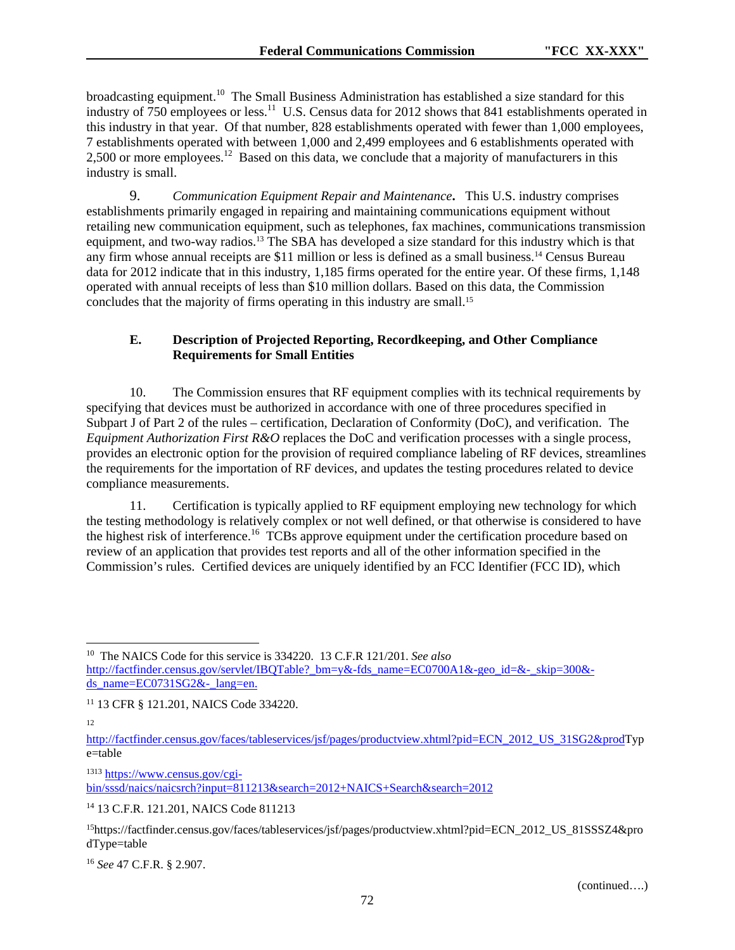broadcasting equipment.<sup>10</sup> The Small Business Administration has established a size standard for this industry of 750 employees or less.<sup>11</sup> U.S. Census data for 2012 shows that 841 establishments operated in this industry in that year. Of that number, 828 establishments operated with fewer than 1,000 employees, 7 establishments operated with between 1,000 and 2,499 employees and 6 establishments operated with 2,500 or more employees.<sup>12</sup> Based on this data, we conclude that a majority of manufacturers in this industry is small.

9. *Communication Equipment Repair and Maintenance***.** This U.S. industry comprises establishments primarily engaged in repairing and maintaining communications equipment without retailing new communication equipment, such as telephones, fax machines, communications transmission equipment, and two-way radios.13 The SBA has developed a size standard for this industry which is that any firm whose annual receipts are \$11 million or less is defined as a small business.14 Census Bureau data for 2012 indicate that in this industry, 1,185 firms operated for the entire year. Of these firms, 1,148 operated with annual receipts of less than \$10 million dollars. Based on this data, the Commission concludes that the majority of firms operating in this industry are small.<sup>15</sup>

## **E. Description of Projected Reporting, Recordkeeping, and Other Compliance Requirements for Small Entities**

10. The Commission ensures that RF equipment complies with its technical requirements by specifying that devices must be authorized in accordance with one of three procedures specified in Subpart J of Part 2 of the rules – certification, Declaration of Conformity (DoC), and verification. The *Equipment Authorization First R&O* replaces the DoC and verification processes with a single process, provides an electronic option for the provision of required compliance labeling of RF devices, streamlines the requirements for the importation of RF devices, and updates the testing procedures related to device compliance measurements.

11. Certification is typically applied to RF equipment employing new technology for which the testing methodology is relatively complex or not well defined, or that otherwise is considered to have the highest risk of interference.<sup>16</sup> TCBs approve equipment under the certification procedure based on review of an application that provides test reports and all of the other information specified in the Commission's rules. Certified devices are uniquely identified by an FCC Identifier (FCC ID), which

12

l

<sup>1313</sup> https://www.census.gov/cgibin/sssd/naics/naicsrch?input=811213&search=2012+NAICS+Search&search=2012

14 13 C.F.R. 121.201, NAICS Code 811213

<sup>16</sup> *See* 47 C.F.R. § 2.907.

<sup>10</sup> The NAICS Code for this service is 334220. 13 C.F.R 121/201. *See also* http://factfinder.census.gov/servlet/IBQTable? bm=y&-fds\_name=EC0700A1&-geo\_id=&-\_skip=300&ds\_name= $EC0731SG2\&$ - lang=en.

<sup>11 13</sup> CFR § 121.201, NAICS Code 334220.

http://factfinder.census.gov/faces/tableservices/jsf/pages/productview.xhtml?pid=ECN\_2012\_US\_31SG2&prodTyp e=table

<sup>15</sup>https://factfinder.census.gov/faces/tableservices/jsf/pages/productview.xhtml?pid=ECN\_2012\_US\_81SSSZ4&pro dType=table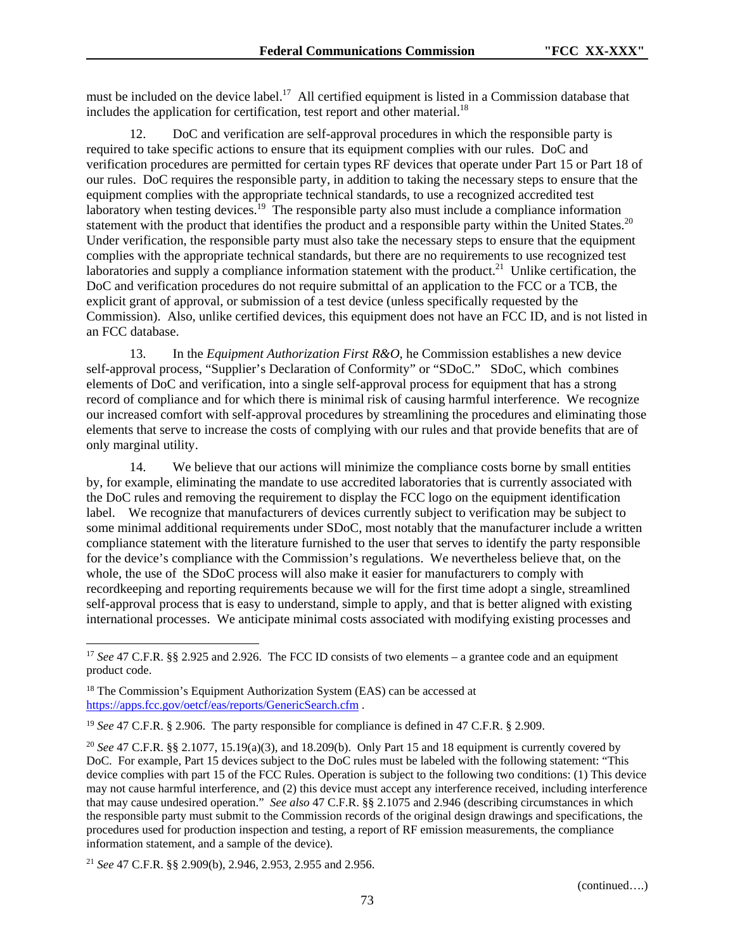must be included on the device label.<sup>17</sup> All certified equipment is listed in a Commission database that includes the application for certification, test report and other material.<sup>18</sup>

12. DoC and verification are self-approval procedures in which the responsible party is required to take specific actions to ensure that its equipment complies with our rules. DoC and verification procedures are permitted for certain types RF devices that operate under Part 15 or Part 18 of our rules. DoC requires the responsible party, in addition to taking the necessary steps to ensure that the equipment complies with the appropriate technical standards, to use a recognized accredited test laboratory when testing devices.<sup>19</sup> The responsible party also must include a compliance information statement with the product that identifies the product and a responsible party within the United States.<sup>20</sup> Under verification, the responsible party must also take the necessary steps to ensure that the equipment complies with the appropriate technical standards, but there are no requirements to use recognized test laboratories and supply a compliance information statement with the product.<sup>21</sup> Unlike certification, the DoC and verification procedures do not require submittal of an application to the FCC or a TCB, the explicit grant of approval, or submission of a test device (unless specifically requested by the Commission). Also, unlike certified devices, this equipment does not have an FCC ID, and is not listed in an FCC database.

13. In the *Equipment Authorization First R&O*, he Commission establishes a new device self-approval process, "Supplier's Declaration of Conformity" or "SDoC." SDoC, which combines elements of DoC and verification, into a single self-approval process for equipment that has a strong record of compliance and for which there is minimal risk of causing harmful interference. We recognize our increased comfort with self-approval procedures by streamlining the procedures and eliminating those elements that serve to increase the costs of complying with our rules and that provide benefits that are of only marginal utility.

14. We believe that our actions will minimize the compliance costs borne by small entities by, for example, eliminating the mandate to use accredited laboratories that is currently associated with the DoC rules and removing the requirement to display the FCC logo on the equipment identification label. We recognize that manufacturers of devices currently subject to verification may be subject to some minimal additional requirements under SDoC, most notably that the manufacturer include a written compliance statement with the literature furnished to the user that serves to identify the party responsible for the device's compliance with the Commission's regulations. We nevertheless believe that, on the whole, the use of the SDoC process will also make it easier for manufacturers to comply with recordkeeping and reporting requirements because we will for the first time adopt a single, streamlined self-approval process that is easy to understand, simple to apply, and that is better aligned with existing international processes. We anticipate minimal costs associated with modifying existing processes and

 $\overline{\phantom{a}}$ 

<sup>&</sup>lt;sup>17</sup> *See* 47 C.F.R. §§ 2.925 and 2.926. The FCC ID consists of two elements – a grantee code and an equipment product code.

<sup>&</sup>lt;sup>18</sup> The Commission's Equipment Authorization System (EAS) can be accessed at https://apps.fcc.gov/oetcf/eas/reports/GenericSearch.cfm .

<sup>19</sup> *See* 47 C.F.R. § 2.906. The party responsible for compliance is defined in 47 C.F.R. § 2.909.

<sup>&</sup>lt;sup>20</sup> *See* 47 C.F.R. §§ 2.1077, 15.19(a)(3), and 18.209(b). Only Part 15 and 18 equipment is currently covered by DoC. For example, Part 15 devices subject to the DoC rules must be labeled with the following statement: "This device complies with part 15 of the FCC Rules. Operation is subject to the following two conditions: (1) This device may not cause harmful interference, and (2) this device must accept any interference received, including interference that may cause undesired operation." *See also* 47 C.F.R. §§ 2.1075 and 2.946 (describing circumstances in which the responsible party must submit to the Commission records of the original design drawings and specifications, the procedures used for production inspection and testing, a report of RF emission measurements, the compliance information statement, and a sample of the device).

<sup>21</sup> *See* 47 C.F.R. §§ 2.909(b), 2.946, 2.953, 2.955 and 2.956.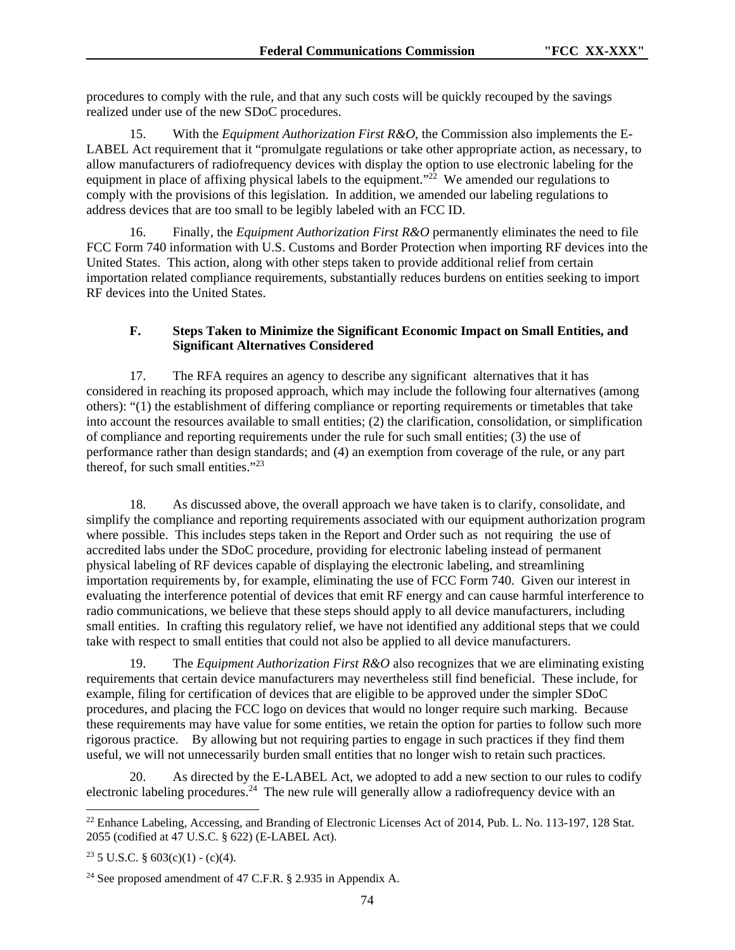procedures to comply with the rule, and that any such costs will be quickly recouped by the savings realized under use of the new SDoC procedures.

15. With the *Equipment Authorization First R&O*, the Commission also implements the E-LABEL Act requirement that it "promulgate regulations or take other appropriate action, as necessary, to allow manufacturers of radiofrequency devices with display the option to use electronic labeling for the equipment in place of affixing physical labels to the equipment."<sup>22</sup> We amended our regulations to comply with the provisions of this legislation. In addition, we amended our labeling regulations to address devices that are too small to be legibly labeled with an FCC ID.

16. Finally, the *Equipment Authorization First R&O* permanently eliminates the need to file FCC Form 740 information with U.S. Customs and Border Protection when importing RF devices into the United States. This action, along with other steps taken to provide additional relief from certain importation related compliance requirements, substantially reduces burdens on entities seeking to import RF devices into the United States.

## **F. Steps Taken to Minimize the Significant Economic Impact on Small Entities, and Significant Alternatives Considered**

17. The RFA requires an agency to describe any significant alternatives that it has considered in reaching its proposed approach, which may include the following four alternatives (among others): "(1) the establishment of differing compliance or reporting requirements or timetables that take into account the resources available to small entities; (2) the clarification, consolidation, or simplification of compliance and reporting requirements under the rule for such small entities; (3) the use of performance rather than design standards; and (4) an exemption from coverage of the rule, or any part thereof, for such small entities." $^{23}$ 

18. As discussed above, the overall approach we have taken is to clarify, consolidate, and simplify the compliance and reporting requirements associated with our equipment authorization program where possible. This includes steps taken in the Report and Order such as not requiring the use of accredited labs under the SDoC procedure, providing for electronic labeling instead of permanent physical labeling of RF devices capable of displaying the electronic labeling, and streamlining importation requirements by, for example, eliminating the use of FCC Form 740. Given our interest in evaluating the interference potential of devices that emit RF energy and can cause harmful interference to radio communications, we believe that these steps should apply to all device manufacturers, including small entities. In crafting this regulatory relief, we have not identified any additional steps that we could take with respect to small entities that could not also be applied to all device manufacturers.

19. The *Equipment Authorization First R&O* also recognizes that we are eliminating existing requirements that certain device manufacturers may nevertheless still find beneficial. These include, for example, filing for certification of devices that are eligible to be approved under the simpler SDoC procedures, and placing the FCC logo on devices that would no longer require such marking. Because these requirements may have value for some entities, we retain the option for parties to follow such more rigorous practice. By allowing but not requiring parties to engage in such practices if they find them useful, we will not unnecessarily burden small entities that no longer wish to retain such practices.

20. As directed by the E-LABEL Act, we adopted to add a new section to our rules to codify electronic labeling procedures.<sup>24</sup> The new rule will generally allow a radiofrequency device with an

l

<sup>&</sup>lt;sup>22</sup> Enhance Labeling, Accessing, and Branding of Electronic Licenses Act of 2014, Pub. L. No. 113-197, 128 Stat. 2055 (codified at 47 U.S.C. § 622) (E-LABEL Act).

<sup>&</sup>lt;sup>23</sup> 5 U.S.C. §  $603(c)(1) - (c)(4)$ .

<sup>24</sup> See proposed amendment of 47 C.F.R. § 2.935 in Appendix A.